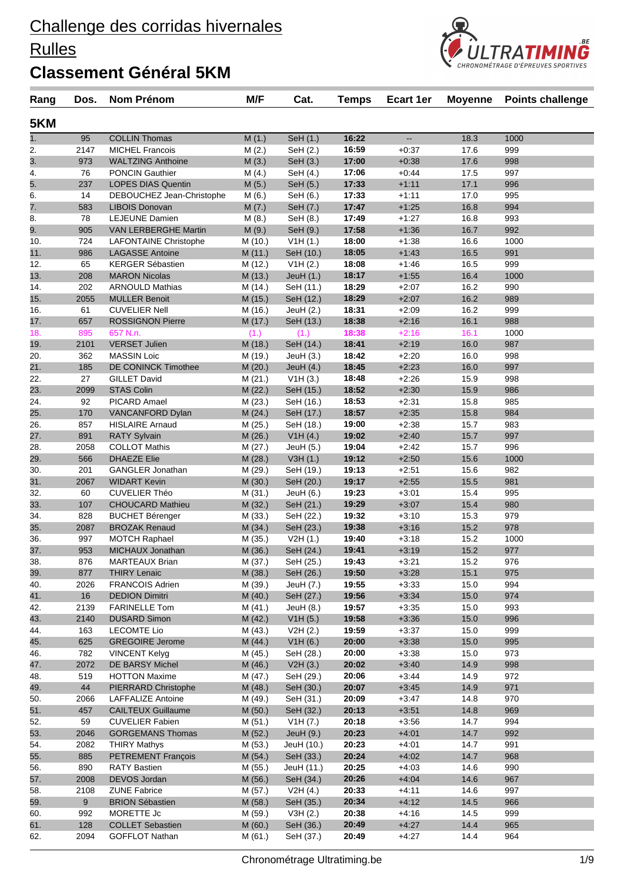#### **Rulles**

### **Classement Général 5KM**

| 5KM        |             |                                                  |                    |                          |                |                    |              |            |  |
|------------|-------------|--------------------------------------------------|--------------------|--------------------------|----------------|--------------------|--------------|------------|--|
| 1.         | 95          | <b>COLLIN Thomas</b>                             | M(1.)              | SeH (1.)                 | 16:22          | цц.                | 18.3         | 1000       |  |
| 2.         | 2147        | <b>MICHEL Francois</b>                           | M(2.)              | SeH (2.)                 | 16:59          | $+0.37$            | 17.6         | 999        |  |
| 3.         | 973         | <b>WALTZING Anthoine</b>                         | M(3.)              | SeH (3.)                 | 17:00          | $+0.38$            | 17.6         | 998        |  |
| 4.         | 76          | <b>PONCIN Gauthier</b>                           | M(4.)              | SeH (4.)                 | 17:06          | $+0.44$            | 17.5         | 997        |  |
| 5.         | 237         | <b>LOPES DIAS Quentin</b>                        | M(5.)              | SeH (5.)                 | 17:33          | $+1:11$            | 17.1         | 996        |  |
| 6.         | 14          | DEBOUCHEZ Jean-Christophe                        | M(6.)              | SeH (6.)                 | 17:33          | $+1:11$            | 17.0         | 995        |  |
| 7.         | 583         | <b>LIBOIS Donovan</b>                            | M(7.)              | SeH (7.)                 | 17:47          | $+1:25$            | 16.8         | 994        |  |
| 8.         | 78          | <b>LEJEUNE Damien</b>                            | M(8.)              | SeH (8.)                 | 17:49          | $+1:27$            | 16.8         | 993        |  |
| 9.         | 905         | VAN LERBERGHE Martin                             | M(9.)              | SeH (9.)                 | 17:58          | $+1:36$            | 16.7         | 992        |  |
| 10.        | 724         | <b>LAFONTAINE Christophe</b>                     | M (10.)            | V1H(1.)                  | 18:00          | $+1:38$            | 16.6         | 1000       |  |
| 11.        | 986         | <b>LAGASSE Antoine</b>                           | M(11.)             | SeH (10.)                | 18:05          | $+1:43$            | 16.5         | 991        |  |
| 12.        | 65          | <b>KERGER Sébastien</b>                          | M (12.)            | V1H (2.)                 | 18:08          | $+1:46$            | 16.5         | 999        |  |
| 13.        | 208         | <b>MARON Nicolas</b>                             | M (13.)            | JeuH $(1.)$              | 18:17          | $+1:55$            | 16.4         | 1000       |  |
| 14.        | 202         | <b>ARNOULD Mathias</b>                           | M (14.)            | SeH (11.)                | 18:29          | $+2:07$            | 16.2         | 990<br>989 |  |
| 15.<br>16. | 2055<br>61  | <b>MULLER Benoit</b><br><b>CUVELIER Nell</b>     | M (15.)            | SeH (12.)                | 18:29<br>18:31 | $+2:07$<br>$+2:09$ | 16.2<br>16.2 | 999        |  |
| 17.        | 657         | <b>ROSSIGNON Pierre</b>                          | M (16.)<br>M (17.) | JeuH $(2.)$<br>SeH (13.) | 18:38          | $+2:16$            | 16.1         | 988        |  |
| 18.        | 895         | 657 N.n.                                         | (1.)               | (1.)                     | 18:38          | $+2:16$            | 16.1         | 1000       |  |
| 19.        | 2101        | <b>VERSET Julien</b>                             | M (18.)            | SeH (14.)                | 18:41          | $+2:19$            | 16.0         | 987        |  |
| 20.        | 362         | <b>MASSIN Loic</b>                               | M (19.)            | JeuH(3.)                 | 18:42          | $+2:20$            | 16.0         | 998        |  |
| 21.        | 185         | <b>DE CONINCK Timothee</b>                       | M (20.)            | JeuH $(4.)$              | 18:45          | $+2:23$            | 16.0         | 997        |  |
| 22.        | 27          | <b>GILLET David</b>                              | M(21.)             | V1H(3.)                  | 18:48          | $+2:26$            | 15.9         | 998        |  |
| 23.        | 2099        | <b>STAS Colin</b>                                | M (22.)            | SeH (15.)                | 18:52          | $+2:30$            | 15.9         | 986        |  |
| 24.        | 92          | <b>PICARD Amael</b>                              | M (23.)            | SeH (16.)                | 18:53          | $+2:31$            | 15.8         | 985        |  |
| 25.        | 170         | VANCANFORD Dylan                                 | M(24.)             | SeH (17.)                | 18:57          | $+2:35$            | 15.8         | 984        |  |
| 26.        | 857         | <b>HISLAIRE Arnaud</b>                           | M (25.)            | SeH (18.)                | 19:00          | $+2:38$            | 15.7         | 983        |  |
| 27.        | 891         | <b>RATY Sylvain</b>                              | M (26.)            | V1H(4.)                  | 19:02          | $+2:40$            | 15.7         | 997        |  |
| 28.        | 2058        | <b>COLLOT Mathis</b>                             | M (27.)            | JeuH (5.)                | 19:04          | $+2:42$            | 15.7         | 996        |  |
| 29.        | 566         | <b>DHAEZE Elie</b>                               | M (28.)            | V3H(1.)                  | 19:12          | $+2:50$            | 15.6         | 1000       |  |
| 30.        | 201         | <b>GANGLER Jonathan</b>                          | M (29.)            | SeH (19.)                | 19:13          | $+2:51$            | 15.6         | 982        |  |
| 31.        | 2067        | <b>WIDART Kevin</b>                              | M (30.)            | SeH (20.)                | 19:17          | $+2:55$            | 15.5         | 981        |  |
| 32.        | 60          | <b>CUVELIER Théo</b>                             | M (31.)            | JeuH $(6.)$              | 19:23          | $+3:01$            | 15.4         | 995        |  |
| 33.        | 107         | <b>CHOUCARD Mathieu</b>                          | M (32.)            | SeH (21.)                | 19:29          | $+3:07$            | 15.4         | 980        |  |
| 34.        | 828         | <b>BUCHET Bérenger</b>                           | M (33.)            | SeH (22.)                | 19:32          | $+3:10$            | 15.3         | 979        |  |
| 35.        | 2087        | <b>BROZAK Renaud</b>                             | M (34.)            | SeH (23.)                | 19:38          | $+3:16$            | 15.2         | 978        |  |
| 36.        | 997         | <b>MOTCH Raphael</b>                             | M (35.)            | V2H(1.)                  | 19:40          | $+3:18$            | 15.2         | 1000       |  |
| 37.        | 953<br>876  | MICHAUX Jonathan                                 | M (36.)            | SeH (24.)                | 19:41          | $+3:19$<br>$+3.21$ | 15.2<br>15.2 | 977<br>976 |  |
| 38.<br>39. | 877         | <b>MARTEAUX Brian</b><br><b>THIRY Lenaic</b>     | M (37.)<br>M (38.) | SeH (25.)<br>SeH (26.)   | 19:43<br>19:50 | $+3:28$            | 15.1         | 975        |  |
| 40.        | 2026        | <b>FRANCOIS Adrien</b>                           | M (39.)            | JeuH (7.)                | 19:55          | $+3:33$            | 15.0         | 994        |  |
| 41.        | 16          | <b>DEDION Dimitri</b>                            | M(40.)             | SeH (27.)                | 19:56          | $+3:34$            | 15.0         | 974        |  |
| 42.        | 2139        | <b>FARINELLE Tom</b>                             | M (41.)            | JeuH $(8.)$              | 19:57          | $+3:35$            | 15.0         | 993        |  |
| 43.        | 2140        | <b>DUSARD Simon</b>                              | M(42.)             | V1H(5.)                  | 19:58          | $+3:36$            | 15.0         | 996        |  |
| 44.        | 163         | <b>LECOMTE Lio</b>                               | M (43.)            | V2H (2.)                 | 19:59          | $+3:37$            | 15.0         | 999        |  |
| 45.        | 625         | <b>GREGOIRE Jerome</b>                           | M (44.)            | V1H(6.)                  | 20:00          | $+3:38$            | 15.0         | 995        |  |
| 46.        | 782         | <b>VINCENT Kelyg</b>                             | M (45.)            | SeH (28.)                | 20:00          | $+3.38$            | 15.0         | 973        |  |
| 47.        | 2072        | DE BARSY Michel                                  | M (46.)            | V2H(3.)                  | 20:02          | $+3:40$            | 14.9         | 998        |  |
| 48.        | 519         | <b>HOTTON Maxime</b>                             | M (47.)            | SeH (29.)                | 20:06          | $+3:44$            | 14.9         | 972        |  |
| 49.        | 44          | PIERRARD Christophe                              | M (48.)            | SeH (30.)                | 20:07          | $+3.45$            | 14.9         | 971        |  |
| 50.        | 2066        | <b>LAFFALIZE Antoine</b>                         | M (49.)            | SeH (31.)                | 20:09          | $+3.47$            | 14.8         | 970        |  |
| 51.        | 457         | <b>CAILTEUX Guillaume</b>                        | M (50.)            | SeH (32.)                | 20:13          | $+3.51$            | 14.8         | 969        |  |
| 52.        | 59          | <b>CUVELIER Fabien</b>                           | M (51.)            | V1H (7.)                 | 20:18          | $+3.56$            | 14.7         | 994        |  |
| 53.        | 2046        | <b>GORGEMANS Thomas</b>                          | M (52.)            | JeuH (9.)                | 20:23          | $+4.01$            | 14.7         | 992        |  |
| 54.        | 2082        | <b>THIRY Mathys</b>                              | M (53.)            | JeuH (10.)               | 20:23          | $+4:01$            | 14.7         | 991        |  |
| 55.        | 885         | PETREMENT François                               | M(54.)             | SeH (33.)                | 20:24          | $+4:02$            | 14.7         | 968        |  |
| 56.        | 890         | <b>RATY Bastien</b>                              | M (55.)            | JeuH (11.)               | 20:25          | $+4:03$            | 14.6         | 990        |  |
| 57.        | 2008        | DEVOS Jordan                                     | M (56.)            | SeH (34.)                | 20:26          | $+4:04$            | 14.6         | 967        |  |
| 58.        | 2108        | <b>ZUNE Fabrice</b>                              | M (57.)            | V2H(4.)                  | 20:33          | $+4:11$            | 14.6         | 997        |  |
| 59.        | 9           | <b>BRION Sébastien</b>                           | M (58.)            | SeH (35.)                | 20:34          | $+4:12$            | 14.5         | 966        |  |
| 60.        | 992         | MORETTE Jc                                       | M (59.)            | V3H(2.)                  | 20:38          | $+4:16$            | 14.5         | 999        |  |
| 61.<br>62. | 128<br>2094 | <b>COLLET Sebastien</b><br><b>GOFFLOT Nathan</b> | M(60.)<br>M (61.)  | SeH (36.)<br>SeH (37.)   | 20:49<br>20:49 | $+4:27$<br>$+4.27$ | 14.4<br>14.4 | 965<br>964 |  |
|            |             |                                                  |                    |                          |                |                    |              |            |  |

**Rang Dos. Nom Prénom M/F Cat. Temps Ecart 1er Moyenne Points challenge**

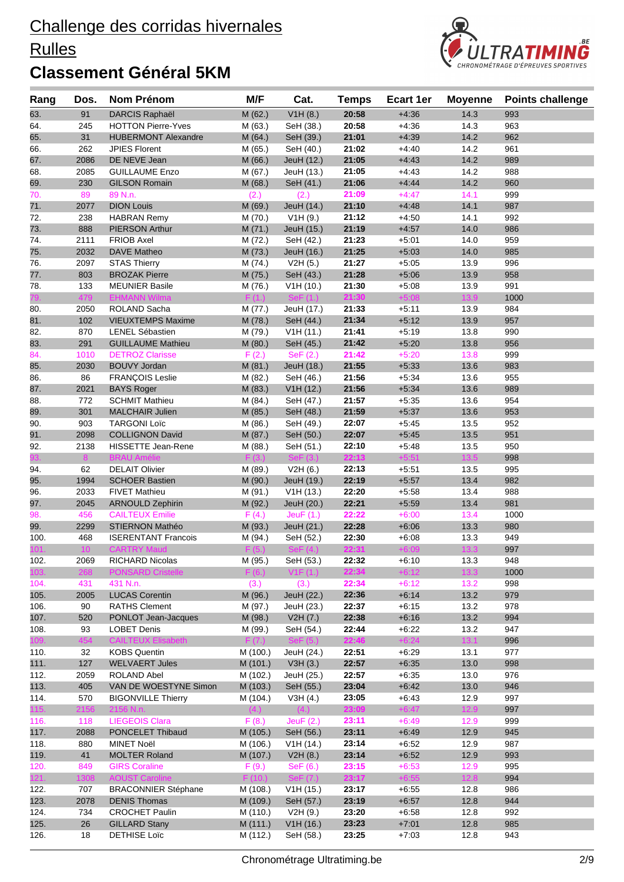#### **Rulles**



| Rang | Dos.            | Nom Prénom                 | M/F      | Cat.             | <b>Temps</b> | <b>Ecart 1er</b> | <b>Moyenne</b> | <b>Points challenge</b> |
|------|-----------------|----------------------------|----------|------------------|--------------|------------------|----------------|-------------------------|
| 63.  | 91              | <b>DARCIS Raphaël</b>      | M (62.)  | V1H(8.)          | 20:58        | $+4:36$          | 14.3           | 993                     |
| 64.  | 245             | <b>HOTTON Pierre-Yves</b>  | M (63.)  | SeH (38.)        | 20:58        | $+4:36$          | 14.3           | 963                     |
| 65.  | 31              | <b>HUBERMONT Alexandre</b> | M (64.)  | SeH (39.)        | 21:01        | $+4:39$          | 14.2           | 962                     |
| 66.  | 262             | <b>JPIES Florent</b>       | M (65.)  | SeH (40.)        | 21:02        | $+4:40$          | 14.2           | 961                     |
| 67.  | 2086            | DE NEVE Jean               | M (66.)  | JeuH (12.)       | 21:05        | $+4:43$          | 14.2           | 989                     |
| 68.  | 2085            | <b>GUILLAUME Enzo</b>      | M (67.)  | JeuH (13.)       | 21:05        | $+4.43$          | 14.2           | 988                     |
| 69.  | 230             | <b>GILSON Romain</b>       | M (68.)  | SeH (41.)        | 21:06        | $+4:44$          | 14.2           | 960                     |
| 70.  | 89              | 89 N.n.                    | (2.)     | (2.)             | 21:09        | $+4:47$          | 14.1           | 999                     |
| 71.  | 2077            | <b>DION Louis</b>          | M (69.)  | JeuH (14.)       | 21:10        | $+4:48$          | 14.1           | 987                     |
| 72.  | 238             | <b>HABRAN Remy</b>         | M (70.)  | V1H(9.)          | 21:12        | $+4:50$          | 14.1           | 992                     |
| 73.  | 888             | <b>PIERSON Arthur</b>      | M(71.)   | JeuH (15.)       | 21:19        | $+4:57$          | 14.0           | 986                     |
| 74.  | 2111            | <b>FRIOB Axel</b>          | M (72.)  | SeH (42.)        | 21:23        | $+5:01$          | 14.0           | 959                     |
| 75.  | 2032            | DAVE Matheo                | M (73.)  | JeuH (16.)       | 21:25        | $+5:03$          | 14.0           | 985                     |
| 76.  | 2097            | <b>STAS Thierry</b>        | M (74.)  | V2H(5.)          | 21:27        | $+5:05$          | 13.9           | 996                     |
| 77.  | 803             | <b>BROZAK Pierre</b>       | M (75.)  | SeH (43.)        | 21:28        | $+5:06$          | 13.9           | 958                     |
| 78.  | 133             | <b>MEUNIER Basile</b>      | M (76.)  | V1H(10.)         | 21:30        | $+5:08$          | 13.9           | 991                     |
|      | 479             | <b>EHMANN Wilma</b>        | F(1.)    | $\text{SeF}(1.)$ | 21:30        | $+5:08$          | 13.9           | 1000                    |
| 80.  | 2050            | ROLAND Sacha               | M (77.)  | JeuH (17.)       | 21:33        | $+5:11$          | 13.9           | 984                     |
| 81.  | 102             | <b>VIEUXTEMPS Maxime</b>   | M (78.)  | SeH (44.)        | 21:34        | $+5:12$          | 13.9           | 957                     |
| 82.  | 870             | <b>LENEL Sébastien</b>     | M (79.)  | V1H(11.)         | 21:41        | $+5:19$          | 13.8           | 990                     |
| 83.  | 291             | <b>GUILLAUME Mathieu</b>   | M (80.)  | SeH (45.)        | 21:42        | $+5:20$          | 13.8           | 956                     |
| 84.  | 1010            | <b>DETROZ Clarisse</b>     | F(2.)    | SeF(2.)          | 21:42        | $+5:20$          | 13.8           | 999                     |
| 85.  | 2030            | <b>BOUVY Jordan</b>        | M(81.)   | JeuH (18.)       | 21:55        | $+5:33$          | 13.6           | 983                     |
| 86.  | 86              | FRANÇOIS Leslie            | M (82.)  | SeH (46.)        | 21:56        | $+5:34$          | 13.6           | 955                     |
| 87.  | 2021            | <b>BAYS Roger</b>          | M (83.)  | V1H(12.)         | 21:56        | $+5:34$          | 13.6           | 989                     |
| 88.  | 772             | <b>SCHMIT Mathieu</b>      | M (84.)  | SeH (47.)        | 21:57        | $+5:35$          | 13.6           | 954                     |
| 89.  | 301             | <b>MALCHAIR Julien</b>     | M (85.)  | SeH (48.)        | 21:59        | $+5:37$          | 13.6           | 953                     |
| 90.  | 903             | <b>TARGONI Loïc</b>        | M (86.)  | SeH (49.)        | 22:07        | $+5:45$          | 13.5           | 952                     |
| 91.  | 2098            | <b>COLLIGNON David</b>     | M (87.)  | SeH (50.)        | 22:07        | $+5:45$          | 13.5           | 951                     |
| 92.  | 2138            | HISSETTE Jean-Rene         | M (88.)  | SeH (51.)        | 22:10        | $+5:48$          | 13.5           | 950                     |
| 93.  | 8 <sup>°</sup>  | <b>BRAU Amélie</b>         | F(3.)    | SeF(3.)          | 22:13        | $+5:51$          | $13.5$         | 998                     |
| 94.  | 62              | <b>DELAIT Olivier</b>      | M (89.)  | V2H(6.)          | 22:13        | $+5.51$          | 13.5           | 995                     |
| 95.  | 1994            | <b>SCHOER Bastien</b>      | M (90.)  | JeuH (19.)       | 22:19        | $+5:57$          | 13.4           | 982                     |
| 96.  | 2033            | <b>FIVET Mathieu</b>       | M (91.)  | V1H(13.)         | 22:20        | $+5:58$          | 13.4           | 988                     |
| 97.  | 2045            | <b>ARNOULD Zephirin</b>    | M (92.)  | JeuH (20.)       | 22:21        | $+5:59$          | 13.4           | 981                     |
| 98.  | 456             | <b>CAILTEUX Emilie</b>     | F(4.)    | JeuF $(1.)$      | 22:22        | $+6:00$          | 13.4           | 1000                    |
| 99.  | 2299            | <b>STIERNON Mathéo</b>     | M (93.)  | JeuH (21.)       | 22:28        | $+6:06$          | 13.3           | 980                     |
| 100. | 468             | <b>ISERENTANT Francois</b> | M (94.)  | SeH (52.)        | 22:30        | $+6:08$          | 13.3           | 949                     |
| 101. | 10 <sup>°</sup> | <b>CARTRY Maud</b>         | F(5)     | SeF(4.)          | 22:31        | $+6:09$          | 13.3           | 997                     |
| 102. | 2069            | RICHARD Nicolas            | M (95.)  | SeH (53.)        | 22:32        | $+6:10$          | 13.3           | 948                     |
| 103. | 268             | <b>PONSARD Cristelle</b>   | F(6.)    | V1F(1.)          | 22:34        | $+6:12$          | $13.3$         | 1000                    |
| 104. | 431             | 431 N.n.                   | (3.)     | (3.)             | 22:34        | $+6:12$          | 13.2           | 998                     |
| 105. | 2005            | <b>LUCAS Corentin</b>      | M (96.)  | JeuH (22.)       | 22:36        | $+6:14$          | 13.2           | 979                     |
| 106. | 90              | <b>RATHS Clement</b>       | M (97.)  | JeuH (23.)       | 22:37        | $+6:15$          | 13.2           | 978                     |
| 107. | 520             | PONLOT Jean-Jacques        | M (98.)  | V2H (7.)         | 22:38        | $+6:16$          | 13.2           | 994                     |
| 108. | 93              | <b>LOBET Denis</b>         | M (99.)  | SeH (54.)        | 22:44        | $+6:22$          | 13.2           | 947                     |
| 109. | 454             | <b>CAILTEUX Elisabeth</b>  | F(7.)    | SeF(5.)          | 22:46        | $+6:24$          | 13.1           | 996                     |
| 110. | 32              | <b>KOBS Quentin</b>        | M (100.) | JeuH (24.)       | 22:51        | $+6.29$          | 13.1           | 977                     |
| 111. | 127             | <b>WELVAERT Jules</b>      | M (101.) | V3H(3.)          | 22:57        | $+6:35$          | 13.0           | 998                     |
| 112. | 2059            | ROLAND Abel                | M (102.) | JeuH (25.)       | 22:57        | $+6:35$          | 13.0           | 976                     |
| 113. | 405             | VAN DE WOESTYNE Simon      | M (103.) | SeH (55.)        | 23:04        | $+6:42$          | 13.0           | 946                     |
| 114. | 570             | <b>BIGONVILLE Thierry</b>  | M (104.) | V3H(4.)          | 23:05        | $+6:43$          | 12.9           | 997                     |
| 115. | 2156            | 2156 N.n.                  | (4.)     | (4.)             | 23:09        | $+6:47$          | 12.9           | 997                     |
| 116. | 118             | LIEGEOIS Clara             | F(8.)    | Jeu $F(2)$       | 23:11        | $+6:49$          | 12.9           | 999                     |
| 117. | 2088            | PONCELET Thibaud           | M (105.) | SeH (56.)        | 23:11        | $+6:49$          | 12.9           | 945                     |
| 118. | 880             | MINET Noël                 | M (106.) | V1H(14.)         | 23:14        | $+6.52$          | 12.9           | 987                     |
| 119. | 41              | <b>MOLTER Roland</b>       | M (107.) | V2H(8.)          | 23:14        | $+6:52$          | 12.9           | 993                     |
| 120. | 849             | <b>GIRS Coraline</b>       | F(9.)    | SeF (6.)         | 23:15        | $+6:53$          | 12.9           | 995                     |
| 121. | 1308            | <b>AOUST Caroline</b>      | F(10.)   | SeF (7.)         | 23:17        | $+6:55$          | 12.8           | 994                     |
| 122. | 707             | <b>BRACONNIER Stéphane</b> | M (108.) | V1H(15.)         | 23:17        | $+6:55$          | 12.8           | 986                     |
| 123. | 2078            | <b>DENIS Thomas</b>        | M (109.) | SeH (57.)        | 23:19        | $+6:57$          | 12.8           | 944                     |
| 124. | 734             | <b>CROCHET Paulin</b>      | M (110.) | V2H (9.)         | 23:20        | $+6:58$          | 12.8           | 992                     |
| 125. | 26              | <b>GILLARD Stany</b>       | M (111.) | V1H(16.)         | 23:23        | $+7:01$          | 12.8           | 985                     |
| 126. | 18              | <b>DETHISE Loïc</b>        | M (112.) | SeH (58.)        | 23:25        | $+7:03$          | 12.8           | 943                     |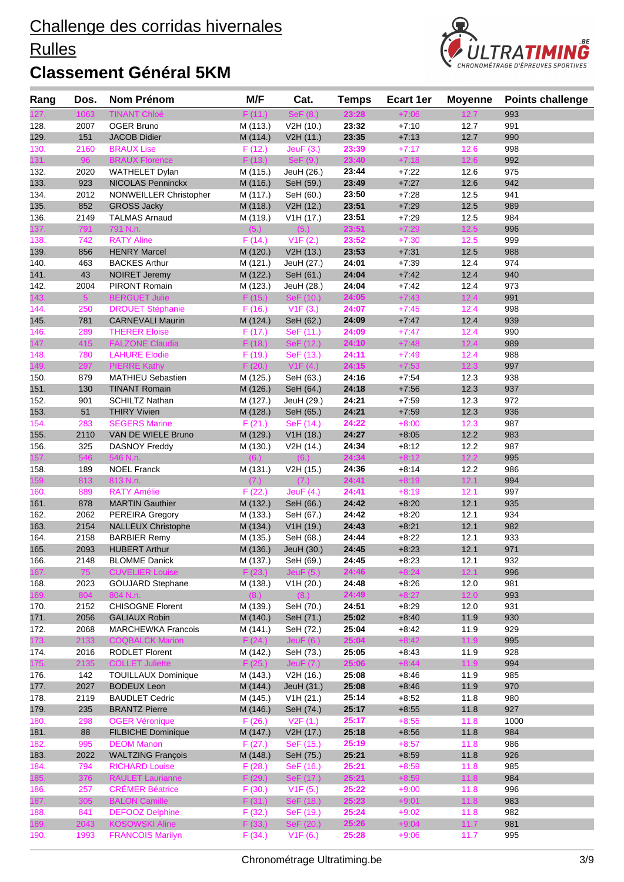#### **Rulles**



| <b>TINANT Chloé</b><br>1063<br>F(11.)<br>$+7:06$<br>993<br>23:28<br>12.7<br>2007<br><b>OGER Bruno</b><br>V2H (10.)<br>23:32<br>$+7:10$<br>12.7<br>991<br>M (113.)<br>151<br><b>JACOB Didier</b><br>23:35<br>$+7:13$<br>12.7<br>990<br>M (114.)<br>V2H (11.)<br>23:39<br>$+7:17$<br>2160<br><b>BRAUX Lise</b><br>12.6<br>998<br>F(12.)<br>Jeu $F(3)$<br>96<br>23:40<br>131.<br><b>BRAUX Florence</b><br>F(13.)<br>SeF(9)<br>12.6<br>$+7:18$<br>992<br>975<br>2020<br><b>WATHELET Dylan</b><br>M (115.)<br>JeuH (26.)<br>23:44<br>$+7:22$<br>12.6<br>923<br>23:49<br>$+7:27$<br>12.6<br>942<br>133.<br><b>NICOLAS Penninckx</b><br>M (116.)<br>SeH (59.)<br>2012<br>134.<br>NONWEILLER Christopher<br>23:50<br>$+7:28$<br>12.5<br>941<br>M (117.)<br>SeH (60.)<br>135.<br>852<br>12.5<br><b>GROSS Jacky</b><br>V2H (12.)<br>23:51<br>$+7:29$<br>989<br>M (118.)<br>23:51<br>$+7:29$<br>12.5<br>136.<br>2149<br><b>TALMAS Arnaud</b><br>V1H (17.)<br>984<br>M (119.)<br>23:51<br>$+7:29$<br>12.5<br>791<br>791 N.n.<br>(5.)<br>137.<br>(5.)<br>996<br>999<br>138.<br>742<br><b>RATY Aline</b><br>F(14.)<br>V1F(2.)<br>23:52<br>$+7:30$<br>12.5<br>139.<br>856<br><b>HENRY Marcel</b><br>V2H (13.)<br>23:53<br>$+7:31$<br>12.5<br>988<br>M (120.)<br>463<br>24:01<br>$+7:39$<br>12.4<br>140.<br><b>BACKES Arthur</b><br>M (121.)<br>JeuH (27.)<br>974<br>43<br>$+7.42$<br>12.4<br>141.<br><b>NOIRET Jeremy</b><br>SeH (61.)<br>24:04<br>940<br>M (122.)<br>12.4<br>142.<br>2004<br>PIRONT Romain<br>M (123.)<br>24:04<br>$+7:42$<br>973<br>JeuH (28.)<br>5 <sup>1</sup><br><b>BERGUET Julie</b><br>F(15.)<br>SeF (10.)<br>24:05<br>$+7:43$<br>12.4<br>143.<br>991<br><b>DROUET Stéphanie</b><br>V1F(3.)<br>24:07<br>$+7:45$<br>12.4<br>998<br>144.<br>250<br>F(16.)<br>145.<br>24:09<br>12.4<br>939<br>781<br><b>CARNEVALI Maurin</b><br>M (124.)<br>SeH (62.)<br>$+7:47$<br>289<br>24:09<br>$+7:47$<br>12.4<br>990<br>146.<br><b>THERER Eloise</b><br>F(17.)<br>SeF (11.)<br>147.<br>415<br><b>FALZONE Claudia</b><br>24:10<br>12.4<br>F(18.)<br>$+7:48$<br>989<br>SeF (12.)<br><b>LAHURE Elodie</b><br>F(19.)<br>SeF (13.)<br>24:11<br>$+7:49$<br>12.4<br>988<br>148.<br>780<br>297<br>24:15<br>12.3<br>149.<br><b>PIERRE Kathy</b><br>F(20.)<br>V1F(4.)<br>$+7:53$<br>997<br>879<br><b>MATHIEU Sebastien</b><br>M (125.)<br>SeH (63.)<br>24:16<br>$+7:54$<br>12.3<br>938<br>150.<br>151.<br>130<br><b>TINANT Romain</b><br>24:18<br>$+7:56$<br>12.3<br>937<br>M (126.)<br>SeH (64.)<br>24:21<br>$+7:59$<br>12.3<br>152.<br>901<br><b>SCHILTZ Nathan</b><br>M (127.)<br>JeuH (29.)<br>972<br>51<br>24:21<br>$+7:59$<br>12.3<br>153.<br><b>THIRY Vivien</b><br>M (128.)<br>936<br>SeH (65.)<br>283<br>F(21.)<br>24:22<br>12.3<br>154.<br><b>SEGERS Marine</b><br>SeF (14.)<br>$+8:00$<br>987<br>24:27<br>12.2<br>155.<br>2110<br>VAN DE WIELE Bruno<br>M (129.)<br>V1H (18.)<br>$+8:05$<br>983<br>156.<br>325<br><b>DASNOY Freddy</b><br>M (130.)<br>V2H (14.)<br>24:34<br>$+8:12$<br>12.2<br>987<br>157.<br>546<br>546 N.n.<br>24:34<br>$+8:12$<br>12.2<br>995<br>(6.)<br>(6.)<br>189<br><b>NOEL Franck</b><br>V2H (15.)<br>24:36<br>$+8:14$<br>12.2<br>986<br>158.<br>M (131.)<br>24:41<br>159.<br>813<br>813 N.n.<br>(7.)<br>$+8:19$<br>12.1<br>994<br>(7.)<br>24:41<br>997<br>889<br><b>RATY Amélie</b><br>F(22.)<br>JeuF $(4.)$<br>$+8:19$<br>12.1<br>160.<br>878<br>24:42<br>12.1<br>935<br>161.<br><b>MARTIN Gauthier</b><br>M (132.)<br>SeH (66.)<br>$+8:20$<br>162.<br>2062<br>M (133.)<br>24:42<br>$+8:20$<br>12.1<br>934<br><b>PEREIRA Gregory</b><br>SeH (67.)<br>12.1<br>163.<br>2154<br>V1H (19.)<br>24:43<br>$+8.21$<br>982<br><b>NALLEUX Christophe</b><br>M (134.)<br>24:44<br>$+8:22$<br>164.<br>2158<br><b>BARBIER Remy</b><br>M (135.)<br>SeH (68.)<br>12.1<br>933<br>165.<br><b>HUBERT Arthur</b><br>M (136.)<br>$+8:23$<br>12.1<br>971<br>2093<br>JeuH (30.)<br>24:45<br>$+8:23$<br>24:45<br>932<br>166.<br>2148<br><b>BLOMME Danick</b><br>M (137.)<br>SeH (69.)<br>12.1<br>167.<br>24:46<br>$+8:24$<br>12.1<br><b>CUVELIER Louise</b><br>75<br>996<br>F(23.)<br>JeuF $(5.)$<br><b>GOUJARD Stephane</b><br>24:48<br>2023<br>V1H (20.)<br>$+8:26$<br>12.0<br>981<br>168.<br>M (138.)<br>24:49<br>169.<br>804<br>804 N.n.<br>$+8:27$<br>12.0<br>993<br>(8.)<br>2152<br><b>CHISOGNE Florent</b><br>M (139.)<br>SeH (70.)<br>24:51<br>$+8:29$<br>12.0<br>931<br>170.<br>2056<br>M (140.)<br>SeH (71.)<br>25:02<br>171.<br><b>GALIAUX Robin</b><br>$+8:40$<br>11.9<br>930<br>2068<br>25:04<br>$+8:42$<br>11.9<br>172.<br><b>MARCHEWKA Francois</b><br>M (141.)<br>SeH (72.)<br>929<br>25:04<br>$+8:42$<br>11.9<br>173.<br>2133<br><b>COQBALCK Marion</b><br>F(24.)<br>Jeu $F(6.)$<br>995<br>25:05<br>928<br>2016<br><b>RODLET Florent</b><br>SeH (73.)<br>$+8.43$<br>11.9<br>174.<br>M (142.)<br>25:06<br>$+8:44$<br>175.<br><b>COLLET Juliette</b><br>11.9<br>2135<br>F(25.)<br>994<br>JeuF $(7.)$<br>25:08<br>142<br><b>TOUILLAUX Dominique</b><br>M (143.)<br>V2H (16.)<br>$+8:46$<br>11.9<br>985<br>11.9<br>177.<br>2027<br><b>BODEUX Leon</b><br>M (144.)<br>JeuH (31.)<br>25:08<br>$+8:46$<br>970<br>2119<br><b>BAUDLET Cedric</b><br>M (145.)<br>V1H (21.)<br>25:14<br>$+8:52$<br>11.8<br>980<br>235<br>25:17<br>11.8<br>927<br><b>BRANTZ Pierre</b><br>M (146.)<br>SeH (74.)<br>$+8:55$<br>298<br><b>OGER Véronique</b><br>F(26.)<br>V2F(1.)<br>25:17<br>$+8:55$<br>11.8<br>1000<br>88<br><b>FILBICHE Dominique</b><br>25:18<br>11.8<br>M (147.)<br>V2H (17.)<br>$+8:56$<br>984<br>995<br><b>DEOM Manon</b><br>F(27.)<br>25:19<br>$+8:57$<br>11.8<br>986<br>SeF (15.)<br><b>WALTZING François</b><br>25:21<br>11.8<br>2022<br>M (148.)<br>SeH (75.)<br>$+8:59$<br>926<br>794<br><b>RICHARD Louise</b><br>F(28.)<br>SeF (16.)<br>25:21<br>$+8:59$<br>11.8<br>985<br><b>RAULET Laurianne</b><br>F(29.)<br>25:21<br>$+8:59$<br>376<br>SeF (17.)<br>11.8<br>984<br>257<br><b>CRÉMER Béatrice</b><br>F(30.)<br>V1F(5.)<br>25:22<br>996<br>$+9:00$<br>11.8<br>305<br>F(31.)<br>25:23<br><b>BALON Camille</b><br>SeF (18.)<br>$+9:01$<br>11.8<br>983<br>841<br><b>DEFOOZ Delphine</b><br>SeF (19.)<br>25:24<br>$+9:02$<br>11.8<br>982<br>F(32.)<br>2043<br><b>KOSOWSKI Aline</b><br>25:26<br>189.<br>F(33.)<br>SeF (20.)<br>$+9:04$<br>11.7<br>981<br>25:28<br>1993<br><b>FRANCOIS Marilyn</b><br>V1F(6.)<br>995<br>F(34.)<br>$+9:06$<br>11.7 | Rang | Dos. | Nom Prénom | M/F | Cat. | <b>Temps</b> | Ecart 1er | <b>Moyenne</b> | <b>Points challenge</b> |
|---------------------------------------------------------------------------------------------------------------------------------------------------------------------------------------------------------------------------------------------------------------------------------------------------------------------------------------------------------------------------------------------------------------------------------------------------------------------------------------------------------------------------------------------------------------------------------------------------------------------------------------------------------------------------------------------------------------------------------------------------------------------------------------------------------------------------------------------------------------------------------------------------------------------------------------------------------------------------------------------------------------------------------------------------------------------------------------------------------------------------------------------------------------------------------------------------------------------------------------------------------------------------------------------------------------------------------------------------------------------------------------------------------------------------------------------------------------------------------------------------------------------------------------------------------------------------------------------------------------------------------------------------------------------------------------------------------------------------------------------------------------------------------------------------------------------------------------------------------------------------------------------------------------------------------------------------------------------------------------------------------------------------------------------------------------------------------------------------------------------------------------------------------------------------------------------------------------------------------------------------------------------------------------------------------------------------------------------------------------------------------------------------------------------------------------------------------------------------------------------------------------------------------------------------------------------------------------------------------------------------------------------------------------------------------------------------------------------------------------------------------------------------------------------------------------------------------------------------------------------------------------------------------------------------------------------------------------------------------------------------------------------------------------------------------------------------------------------------------------------------------------------------------------------------------------------------------------------------------------------------------------------------------------------------------------------------------------------------------------------------------------------------------------------------------------------------------------------------------------------------------------------------------------------------------------------------------------------------------------------------------------------------------------------------------------------------------------------------------------------------------------------------------------------------------------------------------------------------------------------------------------------------------------------------------------------------------------------------------------------------------------------------------------------------------------------------------------------------------------------------------------------------------------------------------------------------------------------------------------------------------------------------------------------------------------------------------------------------------------------------------------------------------------------------------------------------------------------------------------------------------------------------------------------------------------------------------------------------------------------------------------------------------------------------------------------------------------------------------------------------------------------------------------------------------------------------------------------------------------------------------------------------------------------------------------------------------------------------------------------------------------------------------------------------------------------------------------------------------------------------------------------------------------------------------------------------------------------------------------------------------------------------------------------------------------------------------------------------------------------------------------------------------------------------------------------------------------------------------------------------------------------------------------------------------------------------------------------------------------------------------------------------------------------------------------------------------------------------------------------------------------------------------------------------------------------------------------------------------------------------------------------------------------------------------------------------------------------------------------------------------------------------------------------------------------------------------------------------------------------------------------------------------------------------------------------------------------------------------------------------------------------------------------------------------------------------------------------------------------|------|------|------------|-----|------|--------------|-----------|----------------|-------------------------|
|                                                                                                                                                                                                                                                                                                                                                                                                                                                                                                                                                                                                                                                                                                                                                                                                                                                                                                                                                                                                                                                                                                                                                                                                                                                                                                                                                                                                                                                                                                                                                                                                                                                                                                                                                                                                                                                                                                                                                                                                                                                                                                                                                                                                                                                                                                                                                                                                                                                                                                                                                                                                                                                                                                                                                                                                                                                                                                                                                                                                                                                                                                                                                                                                                                                                                                                                                                                                                                                                                                                                                                                                                                                                                                                                                                                                                                                                                                                                                                                                                                                                                                                                                                                                                                                                                                                                                                                                                                                                                                                                                                                                                                                                                                                                                                                                                                                                                                                                                                                                                                                                                                                                                                                                                                                                                                                                                                                                                                                                                                                                                                                                                                                                                                                                                                                                                                                                                                                                                                                                                                                                                                                                                                                                                                                                                                                                                               |      |      |            |     |      |              |           |                |                         |
|                                                                                                                                                                                                                                                                                                                                                                                                                                                                                                                                                                                                                                                                                                                                                                                                                                                                                                                                                                                                                                                                                                                                                                                                                                                                                                                                                                                                                                                                                                                                                                                                                                                                                                                                                                                                                                                                                                                                                                                                                                                                                                                                                                                                                                                                                                                                                                                                                                                                                                                                                                                                                                                                                                                                                                                                                                                                                                                                                                                                                                                                                                                                                                                                                                                                                                                                                                                                                                                                                                                                                                                                                                                                                                                                                                                                                                                                                                                                                                                                                                                                                                                                                                                                                                                                                                                                                                                                                                                                                                                                                                                                                                                                                                                                                                                                                                                                                                                                                                                                                                                                                                                                                                                                                                                                                                                                                                                                                                                                                                                                                                                                                                                                                                                                                                                                                                                                                                                                                                                                                                                                                                                                                                                                                                                                                                                                                               | 128. |      |            |     |      |              |           |                |                         |
|                                                                                                                                                                                                                                                                                                                                                                                                                                                                                                                                                                                                                                                                                                                                                                                                                                                                                                                                                                                                                                                                                                                                                                                                                                                                                                                                                                                                                                                                                                                                                                                                                                                                                                                                                                                                                                                                                                                                                                                                                                                                                                                                                                                                                                                                                                                                                                                                                                                                                                                                                                                                                                                                                                                                                                                                                                                                                                                                                                                                                                                                                                                                                                                                                                                                                                                                                                                                                                                                                                                                                                                                                                                                                                                                                                                                                                                                                                                                                                                                                                                                                                                                                                                                                                                                                                                                                                                                                                                                                                                                                                                                                                                                                                                                                                                                                                                                                                                                                                                                                                                                                                                                                                                                                                                                                                                                                                                                                                                                                                                                                                                                                                                                                                                                                                                                                                                                                                                                                                                                                                                                                                                                                                                                                                                                                                                                                               | 129. |      |            |     |      |              |           |                |                         |
|                                                                                                                                                                                                                                                                                                                                                                                                                                                                                                                                                                                                                                                                                                                                                                                                                                                                                                                                                                                                                                                                                                                                                                                                                                                                                                                                                                                                                                                                                                                                                                                                                                                                                                                                                                                                                                                                                                                                                                                                                                                                                                                                                                                                                                                                                                                                                                                                                                                                                                                                                                                                                                                                                                                                                                                                                                                                                                                                                                                                                                                                                                                                                                                                                                                                                                                                                                                                                                                                                                                                                                                                                                                                                                                                                                                                                                                                                                                                                                                                                                                                                                                                                                                                                                                                                                                                                                                                                                                                                                                                                                                                                                                                                                                                                                                                                                                                                                                                                                                                                                                                                                                                                                                                                                                                                                                                                                                                                                                                                                                                                                                                                                                                                                                                                                                                                                                                                                                                                                                                                                                                                                                                                                                                                                                                                                                                                               | 130. |      |            |     |      |              |           |                |                         |
|                                                                                                                                                                                                                                                                                                                                                                                                                                                                                                                                                                                                                                                                                                                                                                                                                                                                                                                                                                                                                                                                                                                                                                                                                                                                                                                                                                                                                                                                                                                                                                                                                                                                                                                                                                                                                                                                                                                                                                                                                                                                                                                                                                                                                                                                                                                                                                                                                                                                                                                                                                                                                                                                                                                                                                                                                                                                                                                                                                                                                                                                                                                                                                                                                                                                                                                                                                                                                                                                                                                                                                                                                                                                                                                                                                                                                                                                                                                                                                                                                                                                                                                                                                                                                                                                                                                                                                                                                                                                                                                                                                                                                                                                                                                                                                                                                                                                                                                                                                                                                                                                                                                                                                                                                                                                                                                                                                                                                                                                                                                                                                                                                                                                                                                                                                                                                                                                                                                                                                                                                                                                                                                                                                                                                                                                                                                                                               |      |      |            |     |      |              |           |                |                         |
|                                                                                                                                                                                                                                                                                                                                                                                                                                                                                                                                                                                                                                                                                                                                                                                                                                                                                                                                                                                                                                                                                                                                                                                                                                                                                                                                                                                                                                                                                                                                                                                                                                                                                                                                                                                                                                                                                                                                                                                                                                                                                                                                                                                                                                                                                                                                                                                                                                                                                                                                                                                                                                                                                                                                                                                                                                                                                                                                                                                                                                                                                                                                                                                                                                                                                                                                                                                                                                                                                                                                                                                                                                                                                                                                                                                                                                                                                                                                                                                                                                                                                                                                                                                                                                                                                                                                                                                                                                                                                                                                                                                                                                                                                                                                                                                                                                                                                                                                                                                                                                                                                                                                                                                                                                                                                                                                                                                                                                                                                                                                                                                                                                                                                                                                                                                                                                                                                                                                                                                                                                                                                                                                                                                                                                                                                                                                                               | 132. |      |            |     |      |              |           |                |                         |
|                                                                                                                                                                                                                                                                                                                                                                                                                                                                                                                                                                                                                                                                                                                                                                                                                                                                                                                                                                                                                                                                                                                                                                                                                                                                                                                                                                                                                                                                                                                                                                                                                                                                                                                                                                                                                                                                                                                                                                                                                                                                                                                                                                                                                                                                                                                                                                                                                                                                                                                                                                                                                                                                                                                                                                                                                                                                                                                                                                                                                                                                                                                                                                                                                                                                                                                                                                                                                                                                                                                                                                                                                                                                                                                                                                                                                                                                                                                                                                                                                                                                                                                                                                                                                                                                                                                                                                                                                                                                                                                                                                                                                                                                                                                                                                                                                                                                                                                                                                                                                                                                                                                                                                                                                                                                                                                                                                                                                                                                                                                                                                                                                                                                                                                                                                                                                                                                                                                                                                                                                                                                                                                                                                                                                                                                                                                                                               |      |      |            |     |      |              |           |                |                         |
|                                                                                                                                                                                                                                                                                                                                                                                                                                                                                                                                                                                                                                                                                                                                                                                                                                                                                                                                                                                                                                                                                                                                                                                                                                                                                                                                                                                                                                                                                                                                                                                                                                                                                                                                                                                                                                                                                                                                                                                                                                                                                                                                                                                                                                                                                                                                                                                                                                                                                                                                                                                                                                                                                                                                                                                                                                                                                                                                                                                                                                                                                                                                                                                                                                                                                                                                                                                                                                                                                                                                                                                                                                                                                                                                                                                                                                                                                                                                                                                                                                                                                                                                                                                                                                                                                                                                                                                                                                                                                                                                                                                                                                                                                                                                                                                                                                                                                                                                                                                                                                                                                                                                                                                                                                                                                                                                                                                                                                                                                                                                                                                                                                                                                                                                                                                                                                                                                                                                                                                                                                                                                                                                                                                                                                                                                                                                                               |      |      |            |     |      |              |           |                |                         |
|                                                                                                                                                                                                                                                                                                                                                                                                                                                                                                                                                                                                                                                                                                                                                                                                                                                                                                                                                                                                                                                                                                                                                                                                                                                                                                                                                                                                                                                                                                                                                                                                                                                                                                                                                                                                                                                                                                                                                                                                                                                                                                                                                                                                                                                                                                                                                                                                                                                                                                                                                                                                                                                                                                                                                                                                                                                                                                                                                                                                                                                                                                                                                                                                                                                                                                                                                                                                                                                                                                                                                                                                                                                                                                                                                                                                                                                                                                                                                                                                                                                                                                                                                                                                                                                                                                                                                                                                                                                                                                                                                                                                                                                                                                                                                                                                                                                                                                                                                                                                                                                                                                                                                                                                                                                                                                                                                                                                                                                                                                                                                                                                                                                                                                                                                                                                                                                                                                                                                                                                                                                                                                                                                                                                                                                                                                                                                               |      |      |            |     |      |              |           |                |                         |
|                                                                                                                                                                                                                                                                                                                                                                                                                                                                                                                                                                                                                                                                                                                                                                                                                                                                                                                                                                                                                                                                                                                                                                                                                                                                                                                                                                                                                                                                                                                                                                                                                                                                                                                                                                                                                                                                                                                                                                                                                                                                                                                                                                                                                                                                                                                                                                                                                                                                                                                                                                                                                                                                                                                                                                                                                                                                                                                                                                                                                                                                                                                                                                                                                                                                                                                                                                                                                                                                                                                                                                                                                                                                                                                                                                                                                                                                                                                                                                                                                                                                                                                                                                                                                                                                                                                                                                                                                                                                                                                                                                                                                                                                                                                                                                                                                                                                                                                                                                                                                                                                                                                                                                                                                                                                                                                                                                                                                                                                                                                                                                                                                                                                                                                                                                                                                                                                                                                                                                                                                                                                                                                                                                                                                                                                                                                                                               |      |      |            |     |      |              |           |                |                         |
|                                                                                                                                                                                                                                                                                                                                                                                                                                                                                                                                                                                                                                                                                                                                                                                                                                                                                                                                                                                                                                                                                                                                                                                                                                                                                                                                                                                                                                                                                                                                                                                                                                                                                                                                                                                                                                                                                                                                                                                                                                                                                                                                                                                                                                                                                                                                                                                                                                                                                                                                                                                                                                                                                                                                                                                                                                                                                                                                                                                                                                                                                                                                                                                                                                                                                                                                                                                                                                                                                                                                                                                                                                                                                                                                                                                                                                                                                                                                                                                                                                                                                                                                                                                                                                                                                                                                                                                                                                                                                                                                                                                                                                                                                                                                                                                                                                                                                                                                                                                                                                                                                                                                                                                                                                                                                                                                                                                                                                                                                                                                                                                                                                                                                                                                                                                                                                                                                                                                                                                                                                                                                                                                                                                                                                                                                                                                                               |      |      |            |     |      |              |           |                |                         |
|                                                                                                                                                                                                                                                                                                                                                                                                                                                                                                                                                                                                                                                                                                                                                                                                                                                                                                                                                                                                                                                                                                                                                                                                                                                                                                                                                                                                                                                                                                                                                                                                                                                                                                                                                                                                                                                                                                                                                                                                                                                                                                                                                                                                                                                                                                                                                                                                                                                                                                                                                                                                                                                                                                                                                                                                                                                                                                                                                                                                                                                                                                                                                                                                                                                                                                                                                                                                                                                                                                                                                                                                                                                                                                                                                                                                                                                                                                                                                                                                                                                                                                                                                                                                                                                                                                                                                                                                                                                                                                                                                                                                                                                                                                                                                                                                                                                                                                                                                                                                                                                                                                                                                                                                                                                                                                                                                                                                                                                                                                                                                                                                                                                                                                                                                                                                                                                                                                                                                                                                                                                                                                                                                                                                                                                                                                                                                               |      |      |            |     |      |              |           |                |                         |
|                                                                                                                                                                                                                                                                                                                                                                                                                                                                                                                                                                                                                                                                                                                                                                                                                                                                                                                                                                                                                                                                                                                                                                                                                                                                                                                                                                                                                                                                                                                                                                                                                                                                                                                                                                                                                                                                                                                                                                                                                                                                                                                                                                                                                                                                                                                                                                                                                                                                                                                                                                                                                                                                                                                                                                                                                                                                                                                                                                                                                                                                                                                                                                                                                                                                                                                                                                                                                                                                                                                                                                                                                                                                                                                                                                                                                                                                                                                                                                                                                                                                                                                                                                                                                                                                                                                                                                                                                                                                                                                                                                                                                                                                                                                                                                                                                                                                                                                                                                                                                                                                                                                                                                                                                                                                                                                                                                                                                                                                                                                                                                                                                                                                                                                                                                                                                                                                                                                                                                                                                                                                                                                                                                                                                                                                                                                                                               |      |      |            |     |      |              |           |                |                         |
|                                                                                                                                                                                                                                                                                                                                                                                                                                                                                                                                                                                                                                                                                                                                                                                                                                                                                                                                                                                                                                                                                                                                                                                                                                                                                                                                                                                                                                                                                                                                                                                                                                                                                                                                                                                                                                                                                                                                                                                                                                                                                                                                                                                                                                                                                                                                                                                                                                                                                                                                                                                                                                                                                                                                                                                                                                                                                                                                                                                                                                                                                                                                                                                                                                                                                                                                                                                                                                                                                                                                                                                                                                                                                                                                                                                                                                                                                                                                                                                                                                                                                                                                                                                                                                                                                                                                                                                                                                                                                                                                                                                                                                                                                                                                                                                                                                                                                                                                                                                                                                                                                                                                                                                                                                                                                                                                                                                                                                                                                                                                                                                                                                                                                                                                                                                                                                                                                                                                                                                                                                                                                                                                                                                                                                                                                                                                                               |      |      |            |     |      |              |           |                |                         |
|                                                                                                                                                                                                                                                                                                                                                                                                                                                                                                                                                                                                                                                                                                                                                                                                                                                                                                                                                                                                                                                                                                                                                                                                                                                                                                                                                                                                                                                                                                                                                                                                                                                                                                                                                                                                                                                                                                                                                                                                                                                                                                                                                                                                                                                                                                                                                                                                                                                                                                                                                                                                                                                                                                                                                                                                                                                                                                                                                                                                                                                                                                                                                                                                                                                                                                                                                                                                                                                                                                                                                                                                                                                                                                                                                                                                                                                                                                                                                                                                                                                                                                                                                                                                                                                                                                                                                                                                                                                                                                                                                                                                                                                                                                                                                                                                                                                                                                                                                                                                                                                                                                                                                                                                                                                                                                                                                                                                                                                                                                                                                                                                                                                                                                                                                                                                                                                                                                                                                                                                                                                                                                                                                                                                                                                                                                                                                               |      |      |            |     |      |              |           |                |                         |
|                                                                                                                                                                                                                                                                                                                                                                                                                                                                                                                                                                                                                                                                                                                                                                                                                                                                                                                                                                                                                                                                                                                                                                                                                                                                                                                                                                                                                                                                                                                                                                                                                                                                                                                                                                                                                                                                                                                                                                                                                                                                                                                                                                                                                                                                                                                                                                                                                                                                                                                                                                                                                                                                                                                                                                                                                                                                                                                                                                                                                                                                                                                                                                                                                                                                                                                                                                                                                                                                                                                                                                                                                                                                                                                                                                                                                                                                                                                                                                                                                                                                                                                                                                                                                                                                                                                                                                                                                                                                                                                                                                                                                                                                                                                                                                                                                                                                                                                                                                                                                                                                                                                                                                                                                                                                                                                                                                                                                                                                                                                                                                                                                                                                                                                                                                                                                                                                                                                                                                                                                                                                                                                                                                                                                                                                                                                                                               |      |      |            |     |      |              |           |                |                         |
|                                                                                                                                                                                                                                                                                                                                                                                                                                                                                                                                                                                                                                                                                                                                                                                                                                                                                                                                                                                                                                                                                                                                                                                                                                                                                                                                                                                                                                                                                                                                                                                                                                                                                                                                                                                                                                                                                                                                                                                                                                                                                                                                                                                                                                                                                                                                                                                                                                                                                                                                                                                                                                                                                                                                                                                                                                                                                                                                                                                                                                                                                                                                                                                                                                                                                                                                                                                                                                                                                                                                                                                                                                                                                                                                                                                                                                                                                                                                                                                                                                                                                                                                                                                                                                                                                                                                                                                                                                                                                                                                                                                                                                                                                                                                                                                                                                                                                                                                                                                                                                                                                                                                                                                                                                                                                                                                                                                                                                                                                                                                                                                                                                                                                                                                                                                                                                                                                                                                                                                                                                                                                                                                                                                                                                                                                                                                                               |      |      |            |     |      |              |           |                |                         |
|                                                                                                                                                                                                                                                                                                                                                                                                                                                                                                                                                                                                                                                                                                                                                                                                                                                                                                                                                                                                                                                                                                                                                                                                                                                                                                                                                                                                                                                                                                                                                                                                                                                                                                                                                                                                                                                                                                                                                                                                                                                                                                                                                                                                                                                                                                                                                                                                                                                                                                                                                                                                                                                                                                                                                                                                                                                                                                                                                                                                                                                                                                                                                                                                                                                                                                                                                                                                                                                                                                                                                                                                                                                                                                                                                                                                                                                                                                                                                                                                                                                                                                                                                                                                                                                                                                                                                                                                                                                                                                                                                                                                                                                                                                                                                                                                                                                                                                                                                                                                                                                                                                                                                                                                                                                                                                                                                                                                                                                                                                                                                                                                                                                                                                                                                                                                                                                                                                                                                                                                                                                                                                                                                                                                                                                                                                                                                               |      |      |            |     |      |              |           |                |                         |
|                                                                                                                                                                                                                                                                                                                                                                                                                                                                                                                                                                                                                                                                                                                                                                                                                                                                                                                                                                                                                                                                                                                                                                                                                                                                                                                                                                                                                                                                                                                                                                                                                                                                                                                                                                                                                                                                                                                                                                                                                                                                                                                                                                                                                                                                                                                                                                                                                                                                                                                                                                                                                                                                                                                                                                                                                                                                                                                                                                                                                                                                                                                                                                                                                                                                                                                                                                                                                                                                                                                                                                                                                                                                                                                                                                                                                                                                                                                                                                                                                                                                                                                                                                                                                                                                                                                                                                                                                                                                                                                                                                                                                                                                                                                                                                                                                                                                                                                                                                                                                                                                                                                                                                                                                                                                                                                                                                                                                                                                                                                                                                                                                                                                                                                                                                                                                                                                                                                                                                                                                                                                                                                                                                                                                                                                                                                                                               |      |      |            |     |      |              |           |                |                         |
|                                                                                                                                                                                                                                                                                                                                                                                                                                                                                                                                                                                                                                                                                                                                                                                                                                                                                                                                                                                                                                                                                                                                                                                                                                                                                                                                                                                                                                                                                                                                                                                                                                                                                                                                                                                                                                                                                                                                                                                                                                                                                                                                                                                                                                                                                                                                                                                                                                                                                                                                                                                                                                                                                                                                                                                                                                                                                                                                                                                                                                                                                                                                                                                                                                                                                                                                                                                                                                                                                                                                                                                                                                                                                                                                                                                                                                                                                                                                                                                                                                                                                                                                                                                                                                                                                                                                                                                                                                                                                                                                                                                                                                                                                                                                                                                                                                                                                                                                                                                                                                                                                                                                                                                                                                                                                                                                                                                                                                                                                                                                                                                                                                                                                                                                                                                                                                                                                                                                                                                                                                                                                                                                                                                                                                                                                                                                                               |      |      |            |     |      |              |           |                |                         |
|                                                                                                                                                                                                                                                                                                                                                                                                                                                                                                                                                                                                                                                                                                                                                                                                                                                                                                                                                                                                                                                                                                                                                                                                                                                                                                                                                                                                                                                                                                                                                                                                                                                                                                                                                                                                                                                                                                                                                                                                                                                                                                                                                                                                                                                                                                                                                                                                                                                                                                                                                                                                                                                                                                                                                                                                                                                                                                                                                                                                                                                                                                                                                                                                                                                                                                                                                                                                                                                                                                                                                                                                                                                                                                                                                                                                                                                                                                                                                                                                                                                                                                                                                                                                                                                                                                                                                                                                                                                                                                                                                                                                                                                                                                                                                                                                                                                                                                                                                                                                                                                                                                                                                                                                                                                                                                                                                                                                                                                                                                                                                                                                                                                                                                                                                                                                                                                                                                                                                                                                                                                                                                                                                                                                                                                                                                                                                               |      |      |            |     |      |              |           |                |                         |
|                                                                                                                                                                                                                                                                                                                                                                                                                                                                                                                                                                                                                                                                                                                                                                                                                                                                                                                                                                                                                                                                                                                                                                                                                                                                                                                                                                                                                                                                                                                                                                                                                                                                                                                                                                                                                                                                                                                                                                                                                                                                                                                                                                                                                                                                                                                                                                                                                                                                                                                                                                                                                                                                                                                                                                                                                                                                                                                                                                                                                                                                                                                                                                                                                                                                                                                                                                                                                                                                                                                                                                                                                                                                                                                                                                                                                                                                                                                                                                                                                                                                                                                                                                                                                                                                                                                                                                                                                                                                                                                                                                                                                                                                                                                                                                                                                                                                                                                                                                                                                                                                                                                                                                                                                                                                                                                                                                                                                                                                                                                                                                                                                                                                                                                                                                                                                                                                                                                                                                                                                                                                                                                                                                                                                                                                                                                                                               |      |      |            |     |      |              |           |                |                         |
|                                                                                                                                                                                                                                                                                                                                                                                                                                                                                                                                                                                                                                                                                                                                                                                                                                                                                                                                                                                                                                                                                                                                                                                                                                                                                                                                                                                                                                                                                                                                                                                                                                                                                                                                                                                                                                                                                                                                                                                                                                                                                                                                                                                                                                                                                                                                                                                                                                                                                                                                                                                                                                                                                                                                                                                                                                                                                                                                                                                                                                                                                                                                                                                                                                                                                                                                                                                                                                                                                                                                                                                                                                                                                                                                                                                                                                                                                                                                                                                                                                                                                                                                                                                                                                                                                                                                                                                                                                                                                                                                                                                                                                                                                                                                                                                                                                                                                                                                                                                                                                                                                                                                                                                                                                                                                                                                                                                                                                                                                                                                                                                                                                                                                                                                                                                                                                                                                                                                                                                                                                                                                                                                                                                                                                                                                                                                                               |      |      |            |     |      |              |           |                |                         |
|                                                                                                                                                                                                                                                                                                                                                                                                                                                                                                                                                                                                                                                                                                                                                                                                                                                                                                                                                                                                                                                                                                                                                                                                                                                                                                                                                                                                                                                                                                                                                                                                                                                                                                                                                                                                                                                                                                                                                                                                                                                                                                                                                                                                                                                                                                                                                                                                                                                                                                                                                                                                                                                                                                                                                                                                                                                                                                                                                                                                                                                                                                                                                                                                                                                                                                                                                                                                                                                                                                                                                                                                                                                                                                                                                                                                                                                                                                                                                                                                                                                                                                                                                                                                                                                                                                                                                                                                                                                                                                                                                                                                                                                                                                                                                                                                                                                                                                                                                                                                                                                                                                                                                                                                                                                                                                                                                                                                                                                                                                                                                                                                                                                                                                                                                                                                                                                                                                                                                                                                                                                                                                                                                                                                                                                                                                                                                               |      |      |            |     |      |              |           |                |                         |
|                                                                                                                                                                                                                                                                                                                                                                                                                                                                                                                                                                                                                                                                                                                                                                                                                                                                                                                                                                                                                                                                                                                                                                                                                                                                                                                                                                                                                                                                                                                                                                                                                                                                                                                                                                                                                                                                                                                                                                                                                                                                                                                                                                                                                                                                                                                                                                                                                                                                                                                                                                                                                                                                                                                                                                                                                                                                                                                                                                                                                                                                                                                                                                                                                                                                                                                                                                                                                                                                                                                                                                                                                                                                                                                                                                                                                                                                                                                                                                                                                                                                                                                                                                                                                                                                                                                                                                                                                                                                                                                                                                                                                                                                                                                                                                                                                                                                                                                                                                                                                                                                                                                                                                                                                                                                                                                                                                                                                                                                                                                                                                                                                                                                                                                                                                                                                                                                                                                                                                                                                                                                                                                                                                                                                                                                                                                                                               |      |      |            |     |      |              |           |                |                         |
|                                                                                                                                                                                                                                                                                                                                                                                                                                                                                                                                                                                                                                                                                                                                                                                                                                                                                                                                                                                                                                                                                                                                                                                                                                                                                                                                                                                                                                                                                                                                                                                                                                                                                                                                                                                                                                                                                                                                                                                                                                                                                                                                                                                                                                                                                                                                                                                                                                                                                                                                                                                                                                                                                                                                                                                                                                                                                                                                                                                                                                                                                                                                                                                                                                                                                                                                                                                                                                                                                                                                                                                                                                                                                                                                                                                                                                                                                                                                                                                                                                                                                                                                                                                                                                                                                                                                                                                                                                                                                                                                                                                                                                                                                                                                                                                                                                                                                                                                                                                                                                                                                                                                                                                                                                                                                                                                                                                                                                                                                                                                                                                                                                                                                                                                                                                                                                                                                                                                                                                                                                                                                                                                                                                                                                                                                                                                                               |      |      |            |     |      |              |           |                |                         |
|                                                                                                                                                                                                                                                                                                                                                                                                                                                                                                                                                                                                                                                                                                                                                                                                                                                                                                                                                                                                                                                                                                                                                                                                                                                                                                                                                                                                                                                                                                                                                                                                                                                                                                                                                                                                                                                                                                                                                                                                                                                                                                                                                                                                                                                                                                                                                                                                                                                                                                                                                                                                                                                                                                                                                                                                                                                                                                                                                                                                                                                                                                                                                                                                                                                                                                                                                                                                                                                                                                                                                                                                                                                                                                                                                                                                                                                                                                                                                                                                                                                                                                                                                                                                                                                                                                                                                                                                                                                                                                                                                                                                                                                                                                                                                                                                                                                                                                                                                                                                                                                                                                                                                                                                                                                                                                                                                                                                                                                                                                                                                                                                                                                                                                                                                                                                                                                                                                                                                                                                                                                                                                                                                                                                                                                                                                                                                               |      |      |            |     |      |              |           |                |                         |
|                                                                                                                                                                                                                                                                                                                                                                                                                                                                                                                                                                                                                                                                                                                                                                                                                                                                                                                                                                                                                                                                                                                                                                                                                                                                                                                                                                                                                                                                                                                                                                                                                                                                                                                                                                                                                                                                                                                                                                                                                                                                                                                                                                                                                                                                                                                                                                                                                                                                                                                                                                                                                                                                                                                                                                                                                                                                                                                                                                                                                                                                                                                                                                                                                                                                                                                                                                                                                                                                                                                                                                                                                                                                                                                                                                                                                                                                                                                                                                                                                                                                                                                                                                                                                                                                                                                                                                                                                                                                                                                                                                                                                                                                                                                                                                                                                                                                                                                                                                                                                                                                                                                                                                                                                                                                                                                                                                                                                                                                                                                                                                                                                                                                                                                                                                                                                                                                                                                                                                                                                                                                                                                                                                                                                                                                                                                                                               |      |      |            |     |      |              |           |                |                         |
|                                                                                                                                                                                                                                                                                                                                                                                                                                                                                                                                                                                                                                                                                                                                                                                                                                                                                                                                                                                                                                                                                                                                                                                                                                                                                                                                                                                                                                                                                                                                                                                                                                                                                                                                                                                                                                                                                                                                                                                                                                                                                                                                                                                                                                                                                                                                                                                                                                                                                                                                                                                                                                                                                                                                                                                                                                                                                                                                                                                                                                                                                                                                                                                                                                                                                                                                                                                                                                                                                                                                                                                                                                                                                                                                                                                                                                                                                                                                                                                                                                                                                                                                                                                                                                                                                                                                                                                                                                                                                                                                                                                                                                                                                                                                                                                                                                                                                                                                                                                                                                                                                                                                                                                                                                                                                                                                                                                                                                                                                                                                                                                                                                                                                                                                                                                                                                                                                                                                                                                                                                                                                                                                                                                                                                                                                                                                                               |      |      |            |     |      |              |           |                |                         |
|                                                                                                                                                                                                                                                                                                                                                                                                                                                                                                                                                                                                                                                                                                                                                                                                                                                                                                                                                                                                                                                                                                                                                                                                                                                                                                                                                                                                                                                                                                                                                                                                                                                                                                                                                                                                                                                                                                                                                                                                                                                                                                                                                                                                                                                                                                                                                                                                                                                                                                                                                                                                                                                                                                                                                                                                                                                                                                                                                                                                                                                                                                                                                                                                                                                                                                                                                                                                                                                                                                                                                                                                                                                                                                                                                                                                                                                                                                                                                                                                                                                                                                                                                                                                                                                                                                                                                                                                                                                                                                                                                                                                                                                                                                                                                                                                                                                                                                                                                                                                                                                                                                                                                                                                                                                                                                                                                                                                                                                                                                                                                                                                                                                                                                                                                                                                                                                                                                                                                                                                                                                                                                                                                                                                                                                                                                                                                               |      |      |            |     |      |              |           |                |                         |
|                                                                                                                                                                                                                                                                                                                                                                                                                                                                                                                                                                                                                                                                                                                                                                                                                                                                                                                                                                                                                                                                                                                                                                                                                                                                                                                                                                                                                                                                                                                                                                                                                                                                                                                                                                                                                                                                                                                                                                                                                                                                                                                                                                                                                                                                                                                                                                                                                                                                                                                                                                                                                                                                                                                                                                                                                                                                                                                                                                                                                                                                                                                                                                                                                                                                                                                                                                                                                                                                                                                                                                                                                                                                                                                                                                                                                                                                                                                                                                                                                                                                                                                                                                                                                                                                                                                                                                                                                                                                                                                                                                                                                                                                                                                                                                                                                                                                                                                                                                                                                                                                                                                                                                                                                                                                                                                                                                                                                                                                                                                                                                                                                                                                                                                                                                                                                                                                                                                                                                                                                                                                                                                                                                                                                                                                                                                                                               |      |      |            |     |      |              |           |                |                         |
|                                                                                                                                                                                                                                                                                                                                                                                                                                                                                                                                                                                                                                                                                                                                                                                                                                                                                                                                                                                                                                                                                                                                                                                                                                                                                                                                                                                                                                                                                                                                                                                                                                                                                                                                                                                                                                                                                                                                                                                                                                                                                                                                                                                                                                                                                                                                                                                                                                                                                                                                                                                                                                                                                                                                                                                                                                                                                                                                                                                                                                                                                                                                                                                                                                                                                                                                                                                                                                                                                                                                                                                                                                                                                                                                                                                                                                                                                                                                                                                                                                                                                                                                                                                                                                                                                                                                                                                                                                                                                                                                                                                                                                                                                                                                                                                                                                                                                                                                                                                                                                                                                                                                                                                                                                                                                                                                                                                                                                                                                                                                                                                                                                                                                                                                                                                                                                                                                                                                                                                                                                                                                                                                                                                                                                                                                                                                                               |      |      |            |     |      |              |           |                |                         |
|                                                                                                                                                                                                                                                                                                                                                                                                                                                                                                                                                                                                                                                                                                                                                                                                                                                                                                                                                                                                                                                                                                                                                                                                                                                                                                                                                                                                                                                                                                                                                                                                                                                                                                                                                                                                                                                                                                                                                                                                                                                                                                                                                                                                                                                                                                                                                                                                                                                                                                                                                                                                                                                                                                                                                                                                                                                                                                                                                                                                                                                                                                                                                                                                                                                                                                                                                                                                                                                                                                                                                                                                                                                                                                                                                                                                                                                                                                                                                                                                                                                                                                                                                                                                                                                                                                                                                                                                                                                                                                                                                                                                                                                                                                                                                                                                                                                                                                                                                                                                                                                                                                                                                                                                                                                                                                                                                                                                                                                                                                                                                                                                                                                                                                                                                                                                                                                                                                                                                                                                                                                                                                                                                                                                                                                                                                                                                               |      |      |            |     |      |              |           |                |                         |
|                                                                                                                                                                                                                                                                                                                                                                                                                                                                                                                                                                                                                                                                                                                                                                                                                                                                                                                                                                                                                                                                                                                                                                                                                                                                                                                                                                                                                                                                                                                                                                                                                                                                                                                                                                                                                                                                                                                                                                                                                                                                                                                                                                                                                                                                                                                                                                                                                                                                                                                                                                                                                                                                                                                                                                                                                                                                                                                                                                                                                                                                                                                                                                                                                                                                                                                                                                                                                                                                                                                                                                                                                                                                                                                                                                                                                                                                                                                                                                                                                                                                                                                                                                                                                                                                                                                                                                                                                                                                                                                                                                                                                                                                                                                                                                                                                                                                                                                                                                                                                                                                                                                                                                                                                                                                                                                                                                                                                                                                                                                                                                                                                                                                                                                                                                                                                                                                                                                                                                                                                                                                                                                                                                                                                                                                                                                                                               |      |      |            |     |      |              |           |                |                         |
|                                                                                                                                                                                                                                                                                                                                                                                                                                                                                                                                                                                                                                                                                                                                                                                                                                                                                                                                                                                                                                                                                                                                                                                                                                                                                                                                                                                                                                                                                                                                                                                                                                                                                                                                                                                                                                                                                                                                                                                                                                                                                                                                                                                                                                                                                                                                                                                                                                                                                                                                                                                                                                                                                                                                                                                                                                                                                                                                                                                                                                                                                                                                                                                                                                                                                                                                                                                                                                                                                                                                                                                                                                                                                                                                                                                                                                                                                                                                                                                                                                                                                                                                                                                                                                                                                                                                                                                                                                                                                                                                                                                                                                                                                                                                                                                                                                                                                                                                                                                                                                                                                                                                                                                                                                                                                                                                                                                                                                                                                                                                                                                                                                                                                                                                                                                                                                                                                                                                                                                                                                                                                                                                                                                                                                                                                                                                                               |      |      |            |     |      |              |           |                |                         |
|                                                                                                                                                                                                                                                                                                                                                                                                                                                                                                                                                                                                                                                                                                                                                                                                                                                                                                                                                                                                                                                                                                                                                                                                                                                                                                                                                                                                                                                                                                                                                                                                                                                                                                                                                                                                                                                                                                                                                                                                                                                                                                                                                                                                                                                                                                                                                                                                                                                                                                                                                                                                                                                                                                                                                                                                                                                                                                                                                                                                                                                                                                                                                                                                                                                                                                                                                                                                                                                                                                                                                                                                                                                                                                                                                                                                                                                                                                                                                                                                                                                                                                                                                                                                                                                                                                                                                                                                                                                                                                                                                                                                                                                                                                                                                                                                                                                                                                                                                                                                                                                                                                                                                                                                                                                                                                                                                                                                                                                                                                                                                                                                                                                                                                                                                                                                                                                                                                                                                                                                                                                                                                                                                                                                                                                                                                                                                               |      |      |            |     |      |              |           |                |                         |
|                                                                                                                                                                                                                                                                                                                                                                                                                                                                                                                                                                                                                                                                                                                                                                                                                                                                                                                                                                                                                                                                                                                                                                                                                                                                                                                                                                                                                                                                                                                                                                                                                                                                                                                                                                                                                                                                                                                                                                                                                                                                                                                                                                                                                                                                                                                                                                                                                                                                                                                                                                                                                                                                                                                                                                                                                                                                                                                                                                                                                                                                                                                                                                                                                                                                                                                                                                                                                                                                                                                                                                                                                                                                                                                                                                                                                                                                                                                                                                                                                                                                                                                                                                                                                                                                                                                                                                                                                                                                                                                                                                                                                                                                                                                                                                                                                                                                                                                                                                                                                                                                                                                                                                                                                                                                                                                                                                                                                                                                                                                                                                                                                                                                                                                                                                                                                                                                                                                                                                                                                                                                                                                                                                                                                                                                                                                                                               |      |      |            |     |      |              |           |                |                         |
|                                                                                                                                                                                                                                                                                                                                                                                                                                                                                                                                                                                                                                                                                                                                                                                                                                                                                                                                                                                                                                                                                                                                                                                                                                                                                                                                                                                                                                                                                                                                                                                                                                                                                                                                                                                                                                                                                                                                                                                                                                                                                                                                                                                                                                                                                                                                                                                                                                                                                                                                                                                                                                                                                                                                                                                                                                                                                                                                                                                                                                                                                                                                                                                                                                                                                                                                                                                                                                                                                                                                                                                                                                                                                                                                                                                                                                                                                                                                                                                                                                                                                                                                                                                                                                                                                                                                                                                                                                                                                                                                                                                                                                                                                                                                                                                                                                                                                                                                                                                                                                                                                                                                                                                                                                                                                                                                                                                                                                                                                                                                                                                                                                                                                                                                                                                                                                                                                                                                                                                                                                                                                                                                                                                                                                                                                                                                                               |      |      |            |     |      |              |           |                |                         |
|                                                                                                                                                                                                                                                                                                                                                                                                                                                                                                                                                                                                                                                                                                                                                                                                                                                                                                                                                                                                                                                                                                                                                                                                                                                                                                                                                                                                                                                                                                                                                                                                                                                                                                                                                                                                                                                                                                                                                                                                                                                                                                                                                                                                                                                                                                                                                                                                                                                                                                                                                                                                                                                                                                                                                                                                                                                                                                                                                                                                                                                                                                                                                                                                                                                                                                                                                                                                                                                                                                                                                                                                                                                                                                                                                                                                                                                                                                                                                                                                                                                                                                                                                                                                                                                                                                                                                                                                                                                                                                                                                                                                                                                                                                                                                                                                                                                                                                                                                                                                                                                                                                                                                                                                                                                                                                                                                                                                                                                                                                                                                                                                                                                                                                                                                                                                                                                                                                                                                                                                                                                                                                                                                                                                                                                                                                                                                               |      |      |            |     |      |              |           |                |                         |
|                                                                                                                                                                                                                                                                                                                                                                                                                                                                                                                                                                                                                                                                                                                                                                                                                                                                                                                                                                                                                                                                                                                                                                                                                                                                                                                                                                                                                                                                                                                                                                                                                                                                                                                                                                                                                                                                                                                                                                                                                                                                                                                                                                                                                                                                                                                                                                                                                                                                                                                                                                                                                                                                                                                                                                                                                                                                                                                                                                                                                                                                                                                                                                                                                                                                                                                                                                                                                                                                                                                                                                                                                                                                                                                                                                                                                                                                                                                                                                                                                                                                                                                                                                                                                                                                                                                                                                                                                                                                                                                                                                                                                                                                                                                                                                                                                                                                                                                                                                                                                                                                                                                                                                                                                                                                                                                                                                                                                                                                                                                                                                                                                                                                                                                                                                                                                                                                                                                                                                                                                                                                                                                                                                                                                                                                                                                                                               |      |      |            |     |      |              |           |                |                         |
|                                                                                                                                                                                                                                                                                                                                                                                                                                                                                                                                                                                                                                                                                                                                                                                                                                                                                                                                                                                                                                                                                                                                                                                                                                                                                                                                                                                                                                                                                                                                                                                                                                                                                                                                                                                                                                                                                                                                                                                                                                                                                                                                                                                                                                                                                                                                                                                                                                                                                                                                                                                                                                                                                                                                                                                                                                                                                                                                                                                                                                                                                                                                                                                                                                                                                                                                                                                                                                                                                                                                                                                                                                                                                                                                                                                                                                                                                                                                                                                                                                                                                                                                                                                                                                                                                                                                                                                                                                                                                                                                                                                                                                                                                                                                                                                                                                                                                                                                                                                                                                                                                                                                                                                                                                                                                                                                                                                                                                                                                                                                                                                                                                                                                                                                                                                                                                                                                                                                                                                                                                                                                                                                                                                                                                                                                                                                                               |      |      |            |     |      |              |           |                |                         |
|                                                                                                                                                                                                                                                                                                                                                                                                                                                                                                                                                                                                                                                                                                                                                                                                                                                                                                                                                                                                                                                                                                                                                                                                                                                                                                                                                                                                                                                                                                                                                                                                                                                                                                                                                                                                                                                                                                                                                                                                                                                                                                                                                                                                                                                                                                                                                                                                                                                                                                                                                                                                                                                                                                                                                                                                                                                                                                                                                                                                                                                                                                                                                                                                                                                                                                                                                                                                                                                                                                                                                                                                                                                                                                                                                                                                                                                                                                                                                                                                                                                                                                                                                                                                                                                                                                                                                                                                                                                                                                                                                                                                                                                                                                                                                                                                                                                                                                                                                                                                                                                                                                                                                                                                                                                                                                                                                                                                                                                                                                                                                                                                                                                                                                                                                                                                                                                                                                                                                                                                                                                                                                                                                                                                                                                                                                                                                               |      |      |            |     |      |              |           |                |                         |
|                                                                                                                                                                                                                                                                                                                                                                                                                                                                                                                                                                                                                                                                                                                                                                                                                                                                                                                                                                                                                                                                                                                                                                                                                                                                                                                                                                                                                                                                                                                                                                                                                                                                                                                                                                                                                                                                                                                                                                                                                                                                                                                                                                                                                                                                                                                                                                                                                                                                                                                                                                                                                                                                                                                                                                                                                                                                                                                                                                                                                                                                                                                                                                                                                                                                                                                                                                                                                                                                                                                                                                                                                                                                                                                                                                                                                                                                                                                                                                                                                                                                                                                                                                                                                                                                                                                                                                                                                                                                                                                                                                                                                                                                                                                                                                                                                                                                                                                                                                                                                                                                                                                                                                                                                                                                                                                                                                                                                                                                                                                                                                                                                                                                                                                                                                                                                                                                                                                                                                                                                                                                                                                                                                                                                                                                                                                                                               |      |      |            |     |      |              |           |                |                         |
|                                                                                                                                                                                                                                                                                                                                                                                                                                                                                                                                                                                                                                                                                                                                                                                                                                                                                                                                                                                                                                                                                                                                                                                                                                                                                                                                                                                                                                                                                                                                                                                                                                                                                                                                                                                                                                                                                                                                                                                                                                                                                                                                                                                                                                                                                                                                                                                                                                                                                                                                                                                                                                                                                                                                                                                                                                                                                                                                                                                                                                                                                                                                                                                                                                                                                                                                                                                                                                                                                                                                                                                                                                                                                                                                                                                                                                                                                                                                                                                                                                                                                                                                                                                                                                                                                                                                                                                                                                                                                                                                                                                                                                                                                                                                                                                                                                                                                                                                                                                                                                                                                                                                                                                                                                                                                                                                                                                                                                                                                                                                                                                                                                                                                                                                                                                                                                                                                                                                                                                                                                                                                                                                                                                                                                                                                                                                                               |      |      |            |     |      |              |           |                |                         |
|                                                                                                                                                                                                                                                                                                                                                                                                                                                                                                                                                                                                                                                                                                                                                                                                                                                                                                                                                                                                                                                                                                                                                                                                                                                                                                                                                                                                                                                                                                                                                                                                                                                                                                                                                                                                                                                                                                                                                                                                                                                                                                                                                                                                                                                                                                                                                                                                                                                                                                                                                                                                                                                                                                                                                                                                                                                                                                                                                                                                                                                                                                                                                                                                                                                                                                                                                                                                                                                                                                                                                                                                                                                                                                                                                                                                                                                                                                                                                                                                                                                                                                                                                                                                                                                                                                                                                                                                                                                                                                                                                                                                                                                                                                                                                                                                                                                                                                                                                                                                                                                                                                                                                                                                                                                                                                                                                                                                                                                                                                                                                                                                                                                                                                                                                                                                                                                                                                                                                                                                                                                                                                                                                                                                                                                                                                                                                               |      |      |            |     |      |              |           |                |                         |
|                                                                                                                                                                                                                                                                                                                                                                                                                                                                                                                                                                                                                                                                                                                                                                                                                                                                                                                                                                                                                                                                                                                                                                                                                                                                                                                                                                                                                                                                                                                                                                                                                                                                                                                                                                                                                                                                                                                                                                                                                                                                                                                                                                                                                                                                                                                                                                                                                                                                                                                                                                                                                                                                                                                                                                                                                                                                                                                                                                                                                                                                                                                                                                                                                                                                                                                                                                                                                                                                                                                                                                                                                                                                                                                                                                                                                                                                                                                                                                                                                                                                                                                                                                                                                                                                                                                                                                                                                                                                                                                                                                                                                                                                                                                                                                                                                                                                                                                                                                                                                                                                                                                                                                                                                                                                                                                                                                                                                                                                                                                                                                                                                                                                                                                                                                                                                                                                                                                                                                                                                                                                                                                                                                                                                                                                                                                                                               |      |      |            |     |      |              |           |                |                         |
|                                                                                                                                                                                                                                                                                                                                                                                                                                                                                                                                                                                                                                                                                                                                                                                                                                                                                                                                                                                                                                                                                                                                                                                                                                                                                                                                                                                                                                                                                                                                                                                                                                                                                                                                                                                                                                                                                                                                                                                                                                                                                                                                                                                                                                                                                                                                                                                                                                                                                                                                                                                                                                                                                                                                                                                                                                                                                                                                                                                                                                                                                                                                                                                                                                                                                                                                                                                                                                                                                                                                                                                                                                                                                                                                                                                                                                                                                                                                                                                                                                                                                                                                                                                                                                                                                                                                                                                                                                                                                                                                                                                                                                                                                                                                                                                                                                                                                                                                                                                                                                                                                                                                                                                                                                                                                                                                                                                                                                                                                                                                                                                                                                                                                                                                                                                                                                                                                                                                                                                                                                                                                                                                                                                                                                                                                                                                                               |      |      |            |     |      |              |           |                |                         |
|                                                                                                                                                                                                                                                                                                                                                                                                                                                                                                                                                                                                                                                                                                                                                                                                                                                                                                                                                                                                                                                                                                                                                                                                                                                                                                                                                                                                                                                                                                                                                                                                                                                                                                                                                                                                                                                                                                                                                                                                                                                                                                                                                                                                                                                                                                                                                                                                                                                                                                                                                                                                                                                                                                                                                                                                                                                                                                                                                                                                                                                                                                                                                                                                                                                                                                                                                                                                                                                                                                                                                                                                                                                                                                                                                                                                                                                                                                                                                                                                                                                                                                                                                                                                                                                                                                                                                                                                                                                                                                                                                                                                                                                                                                                                                                                                                                                                                                                                                                                                                                                                                                                                                                                                                                                                                                                                                                                                                                                                                                                                                                                                                                                                                                                                                                                                                                                                                                                                                                                                                                                                                                                                                                                                                                                                                                                                                               |      |      |            |     |      |              |           |                |                         |
|                                                                                                                                                                                                                                                                                                                                                                                                                                                                                                                                                                                                                                                                                                                                                                                                                                                                                                                                                                                                                                                                                                                                                                                                                                                                                                                                                                                                                                                                                                                                                                                                                                                                                                                                                                                                                                                                                                                                                                                                                                                                                                                                                                                                                                                                                                                                                                                                                                                                                                                                                                                                                                                                                                                                                                                                                                                                                                                                                                                                                                                                                                                                                                                                                                                                                                                                                                                                                                                                                                                                                                                                                                                                                                                                                                                                                                                                                                                                                                                                                                                                                                                                                                                                                                                                                                                                                                                                                                                                                                                                                                                                                                                                                                                                                                                                                                                                                                                                                                                                                                                                                                                                                                                                                                                                                                                                                                                                                                                                                                                                                                                                                                                                                                                                                                                                                                                                                                                                                                                                                                                                                                                                                                                                                                                                                                                                                               | 176. |      |            |     |      |              |           |                |                         |
|                                                                                                                                                                                                                                                                                                                                                                                                                                                                                                                                                                                                                                                                                                                                                                                                                                                                                                                                                                                                                                                                                                                                                                                                                                                                                                                                                                                                                                                                                                                                                                                                                                                                                                                                                                                                                                                                                                                                                                                                                                                                                                                                                                                                                                                                                                                                                                                                                                                                                                                                                                                                                                                                                                                                                                                                                                                                                                                                                                                                                                                                                                                                                                                                                                                                                                                                                                                                                                                                                                                                                                                                                                                                                                                                                                                                                                                                                                                                                                                                                                                                                                                                                                                                                                                                                                                                                                                                                                                                                                                                                                                                                                                                                                                                                                                                                                                                                                                                                                                                                                                                                                                                                                                                                                                                                                                                                                                                                                                                                                                                                                                                                                                                                                                                                                                                                                                                                                                                                                                                                                                                                                                                                                                                                                                                                                                                                               |      |      |            |     |      |              |           |                |                         |
|                                                                                                                                                                                                                                                                                                                                                                                                                                                                                                                                                                                                                                                                                                                                                                                                                                                                                                                                                                                                                                                                                                                                                                                                                                                                                                                                                                                                                                                                                                                                                                                                                                                                                                                                                                                                                                                                                                                                                                                                                                                                                                                                                                                                                                                                                                                                                                                                                                                                                                                                                                                                                                                                                                                                                                                                                                                                                                                                                                                                                                                                                                                                                                                                                                                                                                                                                                                                                                                                                                                                                                                                                                                                                                                                                                                                                                                                                                                                                                                                                                                                                                                                                                                                                                                                                                                                                                                                                                                                                                                                                                                                                                                                                                                                                                                                                                                                                                                                                                                                                                                                                                                                                                                                                                                                                                                                                                                                                                                                                                                                                                                                                                                                                                                                                                                                                                                                                                                                                                                                                                                                                                                                                                                                                                                                                                                                                               | 178. |      |            |     |      |              |           |                |                         |
|                                                                                                                                                                                                                                                                                                                                                                                                                                                                                                                                                                                                                                                                                                                                                                                                                                                                                                                                                                                                                                                                                                                                                                                                                                                                                                                                                                                                                                                                                                                                                                                                                                                                                                                                                                                                                                                                                                                                                                                                                                                                                                                                                                                                                                                                                                                                                                                                                                                                                                                                                                                                                                                                                                                                                                                                                                                                                                                                                                                                                                                                                                                                                                                                                                                                                                                                                                                                                                                                                                                                                                                                                                                                                                                                                                                                                                                                                                                                                                                                                                                                                                                                                                                                                                                                                                                                                                                                                                                                                                                                                                                                                                                                                                                                                                                                                                                                                                                                                                                                                                                                                                                                                                                                                                                                                                                                                                                                                                                                                                                                                                                                                                                                                                                                                                                                                                                                                                                                                                                                                                                                                                                                                                                                                                                                                                                                                               | 179. |      |            |     |      |              |           |                |                         |
|                                                                                                                                                                                                                                                                                                                                                                                                                                                                                                                                                                                                                                                                                                                                                                                                                                                                                                                                                                                                                                                                                                                                                                                                                                                                                                                                                                                                                                                                                                                                                                                                                                                                                                                                                                                                                                                                                                                                                                                                                                                                                                                                                                                                                                                                                                                                                                                                                                                                                                                                                                                                                                                                                                                                                                                                                                                                                                                                                                                                                                                                                                                                                                                                                                                                                                                                                                                                                                                                                                                                                                                                                                                                                                                                                                                                                                                                                                                                                                                                                                                                                                                                                                                                                                                                                                                                                                                                                                                                                                                                                                                                                                                                                                                                                                                                                                                                                                                                                                                                                                                                                                                                                                                                                                                                                                                                                                                                                                                                                                                                                                                                                                                                                                                                                                                                                                                                                                                                                                                                                                                                                                                                                                                                                                                                                                                                                               | 180. |      |            |     |      |              |           |                |                         |
|                                                                                                                                                                                                                                                                                                                                                                                                                                                                                                                                                                                                                                                                                                                                                                                                                                                                                                                                                                                                                                                                                                                                                                                                                                                                                                                                                                                                                                                                                                                                                                                                                                                                                                                                                                                                                                                                                                                                                                                                                                                                                                                                                                                                                                                                                                                                                                                                                                                                                                                                                                                                                                                                                                                                                                                                                                                                                                                                                                                                                                                                                                                                                                                                                                                                                                                                                                                                                                                                                                                                                                                                                                                                                                                                                                                                                                                                                                                                                                                                                                                                                                                                                                                                                                                                                                                                                                                                                                                                                                                                                                                                                                                                                                                                                                                                                                                                                                                                                                                                                                                                                                                                                                                                                                                                                                                                                                                                                                                                                                                                                                                                                                                                                                                                                                                                                                                                                                                                                                                                                                                                                                                                                                                                                                                                                                                                                               | 181. |      |            |     |      |              |           |                |                         |
|                                                                                                                                                                                                                                                                                                                                                                                                                                                                                                                                                                                                                                                                                                                                                                                                                                                                                                                                                                                                                                                                                                                                                                                                                                                                                                                                                                                                                                                                                                                                                                                                                                                                                                                                                                                                                                                                                                                                                                                                                                                                                                                                                                                                                                                                                                                                                                                                                                                                                                                                                                                                                                                                                                                                                                                                                                                                                                                                                                                                                                                                                                                                                                                                                                                                                                                                                                                                                                                                                                                                                                                                                                                                                                                                                                                                                                                                                                                                                                                                                                                                                                                                                                                                                                                                                                                                                                                                                                                                                                                                                                                                                                                                                                                                                                                                                                                                                                                                                                                                                                                                                                                                                                                                                                                                                                                                                                                                                                                                                                                                                                                                                                                                                                                                                                                                                                                                                                                                                                                                                                                                                                                                                                                                                                                                                                                                                               | 182. |      |            |     |      |              |           |                |                         |
|                                                                                                                                                                                                                                                                                                                                                                                                                                                                                                                                                                                                                                                                                                                                                                                                                                                                                                                                                                                                                                                                                                                                                                                                                                                                                                                                                                                                                                                                                                                                                                                                                                                                                                                                                                                                                                                                                                                                                                                                                                                                                                                                                                                                                                                                                                                                                                                                                                                                                                                                                                                                                                                                                                                                                                                                                                                                                                                                                                                                                                                                                                                                                                                                                                                                                                                                                                                                                                                                                                                                                                                                                                                                                                                                                                                                                                                                                                                                                                                                                                                                                                                                                                                                                                                                                                                                                                                                                                                                                                                                                                                                                                                                                                                                                                                                                                                                                                                                                                                                                                                                                                                                                                                                                                                                                                                                                                                                                                                                                                                                                                                                                                                                                                                                                                                                                                                                                                                                                                                                                                                                                                                                                                                                                                                                                                                                                               | 183. |      |            |     |      |              |           |                |                         |
|                                                                                                                                                                                                                                                                                                                                                                                                                                                                                                                                                                                                                                                                                                                                                                                                                                                                                                                                                                                                                                                                                                                                                                                                                                                                                                                                                                                                                                                                                                                                                                                                                                                                                                                                                                                                                                                                                                                                                                                                                                                                                                                                                                                                                                                                                                                                                                                                                                                                                                                                                                                                                                                                                                                                                                                                                                                                                                                                                                                                                                                                                                                                                                                                                                                                                                                                                                                                                                                                                                                                                                                                                                                                                                                                                                                                                                                                                                                                                                                                                                                                                                                                                                                                                                                                                                                                                                                                                                                                                                                                                                                                                                                                                                                                                                                                                                                                                                                                                                                                                                                                                                                                                                                                                                                                                                                                                                                                                                                                                                                                                                                                                                                                                                                                                                                                                                                                                                                                                                                                                                                                                                                                                                                                                                                                                                                                                               | 184. |      |            |     |      |              |           |                |                         |
|                                                                                                                                                                                                                                                                                                                                                                                                                                                                                                                                                                                                                                                                                                                                                                                                                                                                                                                                                                                                                                                                                                                                                                                                                                                                                                                                                                                                                                                                                                                                                                                                                                                                                                                                                                                                                                                                                                                                                                                                                                                                                                                                                                                                                                                                                                                                                                                                                                                                                                                                                                                                                                                                                                                                                                                                                                                                                                                                                                                                                                                                                                                                                                                                                                                                                                                                                                                                                                                                                                                                                                                                                                                                                                                                                                                                                                                                                                                                                                                                                                                                                                                                                                                                                                                                                                                                                                                                                                                                                                                                                                                                                                                                                                                                                                                                                                                                                                                                                                                                                                                                                                                                                                                                                                                                                                                                                                                                                                                                                                                                                                                                                                                                                                                                                                                                                                                                                                                                                                                                                                                                                                                                                                                                                                                                                                                                                               | 185. |      |            |     |      |              |           |                |                         |
|                                                                                                                                                                                                                                                                                                                                                                                                                                                                                                                                                                                                                                                                                                                                                                                                                                                                                                                                                                                                                                                                                                                                                                                                                                                                                                                                                                                                                                                                                                                                                                                                                                                                                                                                                                                                                                                                                                                                                                                                                                                                                                                                                                                                                                                                                                                                                                                                                                                                                                                                                                                                                                                                                                                                                                                                                                                                                                                                                                                                                                                                                                                                                                                                                                                                                                                                                                                                                                                                                                                                                                                                                                                                                                                                                                                                                                                                                                                                                                                                                                                                                                                                                                                                                                                                                                                                                                                                                                                                                                                                                                                                                                                                                                                                                                                                                                                                                                                                                                                                                                                                                                                                                                                                                                                                                                                                                                                                                                                                                                                                                                                                                                                                                                                                                                                                                                                                                                                                                                                                                                                                                                                                                                                                                                                                                                                                                               | 186. |      |            |     |      |              |           |                |                         |
|                                                                                                                                                                                                                                                                                                                                                                                                                                                                                                                                                                                                                                                                                                                                                                                                                                                                                                                                                                                                                                                                                                                                                                                                                                                                                                                                                                                                                                                                                                                                                                                                                                                                                                                                                                                                                                                                                                                                                                                                                                                                                                                                                                                                                                                                                                                                                                                                                                                                                                                                                                                                                                                                                                                                                                                                                                                                                                                                                                                                                                                                                                                                                                                                                                                                                                                                                                                                                                                                                                                                                                                                                                                                                                                                                                                                                                                                                                                                                                                                                                                                                                                                                                                                                                                                                                                                                                                                                                                                                                                                                                                                                                                                                                                                                                                                                                                                                                                                                                                                                                                                                                                                                                                                                                                                                                                                                                                                                                                                                                                                                                                                                                                                                                                                                                                                                                                                                                                                                                                                                                                                                                                                                                                                                                                                                                                                                               | 187. |      |            |     |      |              |           |                |                         |
|                                                                                                                                                                                                                                                                                                                                                                                                                                                                                                                                                                                                                                                                                                                                                                                                                                                                                                                                                                                                                                                                                                                                                                                                                                                                                                                                                                                                                                                                                                                                                                                                                                                                                                                                                                                                                                                                                                                                                                                                                                                                                                                                                                                                                                                                                                                                                                                                                                                                                                                                                                                                                                                                                                                                                                                                                                                                                                                                                                                                                                                                                                                                                                                                                                                                                                                                                                                                                                                                                                                                                                                                                                                                                                                                                                                                                                                                                                                                                                                                                                                                                                                                                                                                                                                                                                                                                                                                                                                                                                                                                                                                                                                                                                                                                                                                                                                                                                                                                                                                                                                                                                                                                                                                                                                                                                                                                                                                                                                                                                                                                                                                                                                                                                                                                                                                                                                                                                                                                                                                                                                                                                                                                                                                                                                                                                                                                               | 188. |      |            |     |      |              |           |                |                         |
|                                                                                                                                                                                                                                                                                                                                                                                                                                                                                                                                                                                                                                                                                                                                                                                                                                                                                                                                                                                                                                                                                                                                                                                                                                                                                                                                                                                                                                                                                                                                                                                                                                                                                                                                                                                                                                                                                                                                                                                                                                                                                                                                                                                                                                                                                                                                                                                                                                                                                                                                                                                                                                                                                                                                                                                                                                                                                                                                                                                                                                                                                                                                                                                                                                                                                                                                                                                                                                                                                                                                                                                                                                                                                                                                                                                                                                                                                                                                                                                                                                                                                                                                                                                                                                                                                                                                                                                                                                                                                                                                                                                                                                                                                                                                                                                                                                                                                                                                                                                                                                                                                                                                                                                                                                                                                                                                                                                                                                                                                                                                                                                                                                                                                                                                                                                                                                                                                                                                                                                                                                                                                                                                                                                                                                                                                                                                                               |      |      |            |     |      |              |           |                |                         |
|                                                                                                                                                                                                                                                                                                                                                                                                                                                                                                                                                                                                                                                                                                                                                                                                                                                                                                                                                                                                                                                                                                                                                                                                                                                                                                                                                                                                                                                                                                                                                                                                                                                                                                                                                                                                                                                                                                                                                                                                                                                                                                                                                                                                                                                                                                                                                                                                                                                                                                                                                                                                                                                                                                                                                                                                                                                                                                                                                                                                                                                                                                                                                                                                                                                                                                                                                                                                                                                                                                                                                                                                                                                                                                                                                                                                                                                                                                                                                                                                                                                                                                                                                                                                                                                                                                                                                                                                                                                                                                                                                                                                                                                                                                                                                                                                                                                                                                                                                                                                                                                                                                                                                                                                                                                                                                                                                                                                                                                                                                                                                                                                                                                                                                                                                                                                                                                                                                                                                                                                                                                                                                                                                                                                                                                                                                                                                               | 190. |      |            |     |      |              |           |                |                         |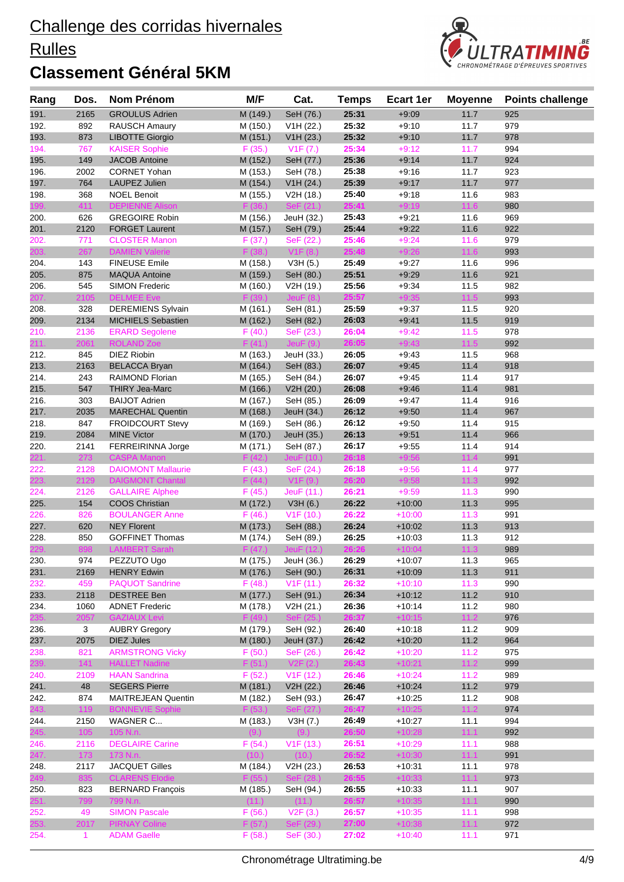#### **Rulles**



| Rang         | Dos.         | Nom Prénom                                     | M/F                  | Cat.                    | <b>Temps</b>   | Ecart 1er            | <b>Moyenne</b> | <b>Points challenge</b> |
|--------------|--------------|------------------------------------------------|----------------------|-------------------------|----------------|----------------------|----------------|-------------------------|
| 191.         | 2165         | <b>GROULUS Adrien</b>                          | M (149.)             | SeH (76.)               | 25:31          | $+9:09$              | 11.7           | 925                     |
| 192.         | 892          | RAUSCH Amaury                                  | M (150.)             | V1H (22.)               | 25:32          | $+9:10$              | 11.7           | 979                     |
| 193.         | 873          | <b>LIBOTTE Giorgio</b>                         | M (151.)             | V1H (23.)               | 25:32          | $+9:10$              | 11.7           | 978                     |
| 194.         | 767          | <b>KAISER Sophie</b>                           | F(35.)               | V1F (7.)                | 25:34          | $+9:12$              | 11.7           | 994                     |
| 195.         | 149          | <b>JACOB Antoine</b>                           | M (152.)             | SeH (77.)               | 25:36          | $+9:14$              | 11.7           | 924                     |
| 196.         | 2002         | <b>CORNET Yohan</b>                            | M (153.)             | SeH (78.)               | 25:38          | $+9:16$              | 11.7           | 923                     |
| 197.         | 764          | LAUPEZ Julien                                  | M (154.)             | V1H (24.)               | 25:39          | $+9:17$              | 11.7           | 977                     |
| 198.         | 368          | <b>NOEL Benoit</b>                             | M (155.)             | V2H (18.)               | 25:40          | $+9:18$              | 11.6           | 983                     |
| 199.         | 411          | <b>DEPIENNE Alison</b>                         | F (36.)              | SeF (21.)               | 25:41          | $+9:19$              | 11.6           | 980                     |
| 200.         | 626          | <b>GREGOIRE Robin</b><br><b>FORGET Laurent</b> | M (156.)             | JeuH (32.)              | 25:43<br>25:44 | $+9.21$              | 11.6           | 969<br>922              |
| 201.<br>202. | 2120<br>771  | <b>CLOSTER Manon</b>                           | M (157.)<br>F(37.)   | SeH (79.)<br>SeF (22.)  | 25:46          | $+9:22$<br>$+9:24$   | 11.6<br>11.6   | 979                     |
| 203.         | 267          | <b>DAMIEN Valerie</b>                          | F(38.)               | V1F(8.)                 | 25:48          | $+9:26$              | 11.6           | 993                     |
| 204.         | 143          | <b>FINEUSE Emile</b>                           | M (158.)             | V3H(5.)                 | 25:49          | $+9:27$              | 11.6           | 996                     |
| 205.         | 875          | <b>MAQUA Antoine</b>                           | M (159.)             | SeH (80.)               | 25:51          | $+9:29$              | 11.6           | 921                     |
| 206.         | 545          | <b>SIMON Frederic</b>                          | M (160.)             | V2H (19.)               | 25:56          | $+9:34$              | 11.5           | 982                     |
| 207.         | 2105         | <b>DELMEE</b> Eve                              | F(39.)               | Jeu $F(8.)$             | 25:57          | $+9:35$              | 11.5           | 993                     |
| 208.         | 328          | <b>DEREMIENS Sylvain</b>                       | M (161.)             | SeH (81.)               | 25:59          | $+9:37$              | 11.5           | 920                     |
| 209.         | 2134         | <b>MICHIELS Sebastien</b>                      | M (162.)             | SeH (82.)               | 26:03          | $+9.41$              | 11.5           | 919                     |
| 210.         | 2136         | <b>ERARD Segolene</b>                          | F(40.)               | SeF (23.)               | 26:04          | $+9:42$              | 11.5           | 978                     |
| 211.         | 2061         | <b>ROLAND Zoe</b>                              | F(41.)               | JeuF(9.)                | 26:05          | $+9:43$              | 11.5           | 992                     |
| 212.         | 845          | <b>DIEZ Riobin</b>                             | M (163.)             | JeuH (33.)              | 26:05          | $+9:43$              | 11.5           | 968                     |
| 213.         | 2163         | <b>BELACCA Bryan</b>                           | M (164.)             | SeH (83.)               | 26:07          | $+9:45$              | 11.4           | 918                     |
| 214.         | 243          | RAIMOND Florian                                | M (165.)             | SeH (84.)               | 26:07          | $+9:45$              | 11.4           | 917                     |
| 215.         | 547          | <b>THIRY Jea-Marc</b>                          | M (166.)             | V2H (20.)               | 26:08          | $+9:46$              | 11.4           | 981                     |
| 216.         | 303          | <b>BAIJOT Adrien</b>                           | M (167.)             | SeH (85.)               | 26:09          | $+9:47$              | 11.4           | 916                     |
| 217.         | 2035         | <b>MARECHAL Quentin</b>                        | M (168.)             | JeuH (34.)              | 26:12          | $+9:50$              | 11.4           | 967                     |
| 218.         | 847          | <b>FROIDCOURT Stevy</b>                        | M (169.)             | SeH (86.)               | 26:12          | $+9:50$              | 11.4           | 915                     |
| 219.         | 2084         | <b>MINE Victor</b>                             | M (170.)             | JeuH (35.)              | 26:13          | $+9.51$              | 11.4           | 966                     |
| 220.<br>221. | 2141<br>273  | <b>FERREIRINNA Jorge</b><br><b>CASPA Manon</b> | M (171.)<br>F(42.)   | SeH (87.)<br>JeuF (10.) | 26:17<br>26:18 | $+9:55$<br>$+9:56$   | 11.4<br>11.4   | 914<br>991              |
| 222.         | 2128         | <b>DAIOMONT Mallaurie</b>                      | F(43.)               | SeF (24.)               | 26:18          | $+9:56$              | 11.4           | 977                     |
| 223.         | 2129         | <b>DAIGMONT Chantal</b>                        | F(44.)               | V1F(9.)                 | 26:20          | $+9:58$              | 11.3           | 992                     |
| 224.         | 2126         | <b>GALLAIRE Alphee</b>                         | F(45.)               | JeuF (11.)              | 26:21          | $+9:59$              | 11.3           | 990                     |
| 225.         | 154          | <b>COOS Christian</b>                          | M (172.)             | V3H(6.)                 | 26:22          | $+10:00$             | 11.3           | 995                     |
| 226.         | 826          | <b>BOULANGER Anne</b>                          | F(46.)               | V1F(10.)                | 26:22          | $+10:00$             | 11.3           | 991                     |
| 227.         | 620          | <b>NEY Florent</b>                             | M (173.)             | SeH (88.)               | 26:24          | $+10:02$             | 11.3           | 913                     |
| 228.         | 850          | <b>GOFFINET Thomas</b>                         | M (174.)             | SeH (89.)               | 26:25          | $+10:03$             | 11.3           | 912                     |
| 229.         | 898          | <b>LAMBERT Sarah</b>                           | F(47.)               | JeuF (12.)              | 26:26          | $+10:04$             | 11.3           | 989                     |
| 230.         | 974          | PEZZUTO Ugo                                    | M (175.)             | JeuH (36.)              | 26:29          | $+10:07$             | 11.3           | 965                     |
| 231.         | 2169         | <b>HENRY Edwin</b>                             | M (176.)             | SeH (90.)               | 26:31          | $+10:09$             | 11.3           | 911                     |
| 232.         | 459          | <b>PAQUOT Sandrine</b>                         | F(48.)               | V1F(11.)                | 26:32          | $+10:10$             | 11.3           | 990                     |
| 233.         | 2118         | <b>DESTREE Ben</b>                             | M (177.)             | SeH (91.)               | 26:34          | $+10:12$             | 11.2           | 910                     |
| 234.         | 1060         | <b>ADNET Frederic</b>                          | M (178.)             | V2H (21.)               | 26:36          | $+10:14$             | 11.2           | 980                     |
| 235.         | 2057         | <b>GAZIAUX Levi</b>                            | F(49.)               | SeF (25.)               | 26:37          | $+10:15$             | 11.2           | 976                     |
| 236.<br>237. | 3<br>2075    | <b>AUBRY Gregory</b><br><b>DIEZ Jules</b>      | M (179.)<br>M (180.) | SeH (92.)<br>JeuH (37.) | 26:40<br>26:42 | $+10:18$<br>$+10:20$ | 11.2<br>11.2   | 909<br>964              |
| 238.         | 821          | <b>ARMSTRONG Vicky</b>                         | F(50.)               | SeF (26.)               | 26:42          | $+10:20$             | 11.2           | 975                     |
| 239.         | 141          | <b>HALLET Nadine</b>                           | F(51.)               | V2F(2.)                 | 26:43          | $+10:21$             | $11.2$         | 999                     |
| 240.         | 2109         | <b>HAAN Sandrina</b>                           | F(52.)               | V1F(12.)                | 26:46          | $+10:24$             | 11.2           | 989                     |
| 241.         | 48           | <b>SEGERS Pierre</b>                           | M (181.)             | V2H (22.)               | 26:46          | $+10:24$             | 11.2           | 979                     |
| 242.         | 874          | <b>MAITREJEAN Quentin</b>                      | M (182.)             | SeH (93.)               | 26:47          | $+10:25$             | 11.2           | 908                     |
| 243.         | 119          | <b>BONNEVIE Sophie</b>                         | F(53.)               | SeF (27.)               | 26:47          | $+10:25$             | 11.2           | 974                     |
| 244.         | 2150         | WAGNER C                                       | M (183.)             | V3H (7.)                | 26:49          | $+10:27$             | 11.1           | 994                     |
| 245.         | 105          | 105 N.n.                                       | (9.)                 | (9.)                    | 26:50          | $+10:28$             | 11.1           | 992                     |
| 246.         | 2116         | <b>DEGLAIRE Carine</b>                         | F(54.)               | V1F(13.)                | 26:51          | $+10:29$             | 11.1           | 988                     |
| 247.         | 173          | 173 N.n.                                       | (10.)                | (10.)                   | 26:52          | $+10:30$             | 11.1           | 991                     |
| 248.         | 2117         | <b>JACQUET Gilles</b>                          | M (184.)             | V2H (23.)               | 26:53          | $+10:31$             | 11.1           | 978                     |
| 249.         | 835          | <b>CLARENS Elodie</b>                          | F(55.)               | SeF (28.)               | 26:55          | $+10:33$             | 11.1           | 973                     |
| 250.         | 823          | <b>BERNARD François</b>                        | M (185.)             | SeH (94.)               | 26:55          | $+10:33$             | 11.1           | 907                     |
| 251.         | 799          | 799 N.n.                                       | (11.)                | (11.)                   | 26:57          | $+10:35$             | 11.1           | 990                     |
| 252.         | 49           | <b>SIMON Pascale</b>                           | F(56.)               | V2F(3.)                 | 26:57          | $+10:35$             | 11.1           | 998                     |
| 253.         | 2017         | <b>PIRNAY Coline</b>                           | F(57.)               | SeF (29.)               | 27:00          | $+10:38$             | 11.1           | 972                     |
| 254.         | $\mathbf{1}$ | <b>ADAM Gaelle</b>                             | F(58.)               | SeF (30.)               | 27:02          | $+10:40$             | 11.1           | 971                     |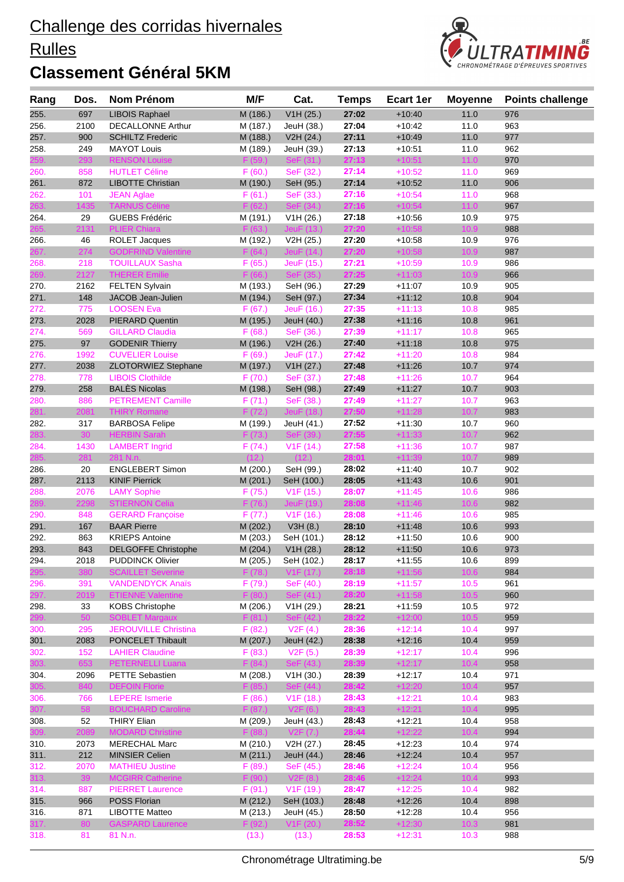#### **Rulles**



|              |              |                                                   |                       | Cat.                    | <b>Temps</b>   | <b>Ecart 1er</b>     | <b>Moyenne</b> | <b>Points challenge</b> |
|--------------|--------------|---------------------------------------------------|-----------------------|-------------------------|----------------|----------------------|----------------|-------------------------|
| 255.         | 697          | <b>LIBOIS Raphael</b>                             | M (186.)              | V1H (25.)               | 27:02          | $+10:40$             | 11.0           | 976                     |
| 256.         | 2100         | <b>DECALLONNE Arthur</b>                          | M (187.)              | JeuH (38.)              | 27:04          | $+10:42$             | 11.0           | 963                     |
| 257.         | 900          | <b>SCHILTZ Frederic</b>                           | M (188.)              | V2H (24.)               | 27:11          | $+10:49$             | 11.0           | 977                     |
| 258.         | 249          | <b>MAYOT Louis</b>                                | M (189.)              | JeuH (39.)              | 27:13          | $+10:51$             | 11.0           | 962                     |
| :59.         | 293          | <b>RENSON Louise</b>                              | F(59.)                | SeF (31.)               | 27:13          | $+10:51$             | 11.0           | 970                     |
| 260.         | 858          | <b>HUTLET Céline</b>                              | F(60.)                | SeF (32.)               | 27:14          | $+10:52$             | 11.0           | 969                     |
| 261.         | 872          | <b>LIBOTTE Christian</b>                          | M (190.)              | SeH (95.)               | 27:14          | $+10:52$             | 11.0           | 906                     |
| 262.         | 101          | <b>JEAN Aglae</b>                                 | F(61.)                | SeF (33.)               | 27:16          | $+10:54$             | 11.0           | 968                     |
| 263.         | 1435         | <b>TARNUS Céline</b>                              | F(62.)                | SeF (34.)               | 27:16          | $+10:54$             | 11.0           | 967                     |
| 264.         | 29           | <b>GUEBS Frédéric</b>                             | M (191.)              | V1H (26.)               | 27:18          | $+10:56$             | 10.9           | 975                     |
|              | 2131         | <b>PLIER Chiara</b>                               | F(63.)                | JeuF (13.)              | 27:20          | $+10:58$             | 10.9           | 988                     |
| 266.         | 46<br>274    | <b>ROLET Jacques</b><br><b>GODFRIND Valentine</b> | M (192.)<br>F(64)     | V2H (25.)<br>JeuF (14.) | 27:20<br>27:20 | $+10.58$<br>$+10:58$ | 10.9<br>10.9   | 976<br>987              |
| 267.<br>268. | 218          | <b>TOUILLAUX Sasha</b>                            | F(65.)                | JeuF (15.)              | 27:21          | $+10:59$             | 10.9           | 986                     |
| 269.         | 2127         | <b>THERER Emilie</b>                              | F(66.)                | SeF (35.)               | 27:25          | $+11:03$             | 10.9           | 966                     |
| 270.         | 2162         | <b>FELTEN Sylvain</b>                             | M (193.)              | SeH (96.)               | 27:29          | $+11:07$             | 10.9           | 905                     |
| 271.         | 148          | JACOB Jean-Julien                                 | M (194.)              | SeH (97.)               | 27:34          | $+11:12$             | 10.8           | 904                     |
| 272.         | 775          | <b>LOOSEN Eva</b>                                 | F(67.)                | JeuF (16.)              | 27:35          | $+11:13$             | 10.8           | 985                     |
| 273.         | 2028         | <b>PIERARD Quentin</b>                            | M (195.)              | JeuH (40.)              | 27:38          | $+11:16$             | 10.8           | 961                     |
| 274.         | 569          | <b>GILLARD Claudia</b>                            | F(68.)                | SeF (36.)               | 27:39          | $+11:17$             | 10.8           | 965                     |
| 275.         | 97           | <b>GODENIR Thierry</b>                            | M (196.)              | V2H (26.)               | 27:40          | $+11:18$             | 10.8           | 975                     |
| 276.         | 1992         | <b>CUVELIER Louise</b>                            | F(69.)                | JeuF (17.)              | 27:42          | $+11:20$             | 10.8           | 984                     |
| 277.         | 2038         | ZLOTORWIEZ Stephane                               | M (197.)              | V1H (27.)               | 27:48          | $+11:26$             | 10.7           | 974                     |
| 278.         | 778          | <b>LIBOIS Clothilde</b>                           | F(70.)                | SeF (37.)               | 27:48          | $+11:26$             | 10.7           | 964                     |
| 279.         | 258          | <b>BALÈS Nicolas</b>                              | M (198.)              | SeH (98.)               | 27:49          | $+11:27$             | 10.7           | 903                     |
| 280.         | 886          | <b>PETREMENT Camille</b>                          | F(71.)                | SeF (38.)               | 27:49          | $+11:27$             | 10.7           | 963                     |
| 281.         | 2081         | <b>THIRY Romane</b>                               | F(72)                 | JeuF (18.)              | 27:50          | $+11:28$             | 10.7           | 983                     |
| 282.         | 317          | <b>BARBOSA Felipe</b>                             | M (199.)              | JeuH (41.)              | 27:52          | $+11:30$             | 10.7           | 960                     |
| 283.         | 30           | <b>HERBIN Sarah</b>                               | F(73.)                | SeF (39.)               | 27:55          | $+11:33$             | 10.7           | 962                     |
| 284.         | 1430         | <b>LAMBERT Ingrid</b>                             | F(74.)                | V1F(14.)                | 27:58          | $+11:36$             | 10.7           | 987                     |
| 285.         | 281          | 281 N.n.                                          | (12.)                 | (12.)                   | 28:01          | $+11:39$             | 10.7           | 989                     |
| 286.         | 20           | <b>ENGLEBERT Simon</b>                            | M (200.)              | SeH (99.)               | 28:02<br>28:05 | $+11:40$             | 10.7           | 902                     |
| 287.<br>288. | 2113<br>2076 | <b>KINIF Pierrick</b><br><b>LAMY Sophie</b>       | M (201.)<br>F(75.)    | SeH (100.)<br>V1F(15.)  | 28:07          | $+11:43$<br>$+11:45$ | 10.6<br>10.6   | 901<br>986              |
| 289.         | 2298         | <b>STIERNON Celia</b>                             | F(76.)                | JeuF (19.)              | 28:08          | $+11:46$             | 10.6           | 982                     |
| 290.         | 848          | <b>GERARD Francoise</b>                           | F(77.)                | V1F(16.)                | 28:08          | $+11:46$             | 10.6           | 985                     |
| 291.         | 167          | <b>BAAR Pierre</b>                                | M (202.)              | V3H(8.)                 | 28:10          | $+11:48$             | 10.6           | 993                     |
| 292.         | 863          | <b>KRIEPS Antoine</b>                             | M (203.)              | SeH (101.)              | 28:12          | $+11:50$             | 10.6           | 900                     |
| 293.         | 843          | <b>DELGOFFE Christophe</b>                        | M (204.)              | V1H (28.)               | 28:12          | $+11:50$             | 10.6           | 973                     |
| 294.         | 2018         | <b>PUDDINCK Olivier</b>                           | $\overline{M}$ (205.) | SeH (102.)              | 28:17          | $+11:55$             | 10.6           | 899                     |
| 295.         | 380          | <b>SCAILLET Severine</b>                          | F(78.)                | V1F(17.)                | 28:18          | $+11:56$             | 10.6           | 984                     |
| 296.         | 391          | <b>VANDENDYCK Anaïs</b>                           | F(79.)                | SeF (40.)               | 28:19          | $+11:57$             | 10.5           | 961                     |
| 297.         | 2019         | <b>ETIENNE Valentine</b>                          | F(80.)                | SeF (41.)               | 28:20          | $+11:58$             | 10.5           | 960                     |
| 298.         | 33           | <b>KOBS Christophe</b>                            | M (206.)              | V1H (29.)               | 28:21          | $+11:59$             | 10.5           | 972                     |
| 299.         | 50           | <b>SOBLET Margaux</b>                             | F(81.)                | SeF (42.)               | 28:22          | $+12:00$             | 10.5           | 959                     |
| 300.         | 295          | <b>JEROUVILLE Christina</b>                       | F(82.)                | V2F(4.)                 | 28:36          | $+12:14$             | 10.4           | 997                     |
| 301.         | 2083         | PONCELET Thibault                                 | M (207.)              | JeuH (42.)              | 28:38          | $+12:16$             | 10.4           | 959                     |
| 302.         | 152          | <b>LAHIER Claudine</b>                            | F(83.)                | V2F(5.)                 | 28:39          | $+12:17$             | 10.4           | 996                     |
| 303.         | 653          | <b>PETERNELLI Luana</b>                           | F(84.)                | SeF (43.)               | 28:39          | $+12:17$             | 10.4           | 958                     |
| 304.         | 2096<br>840  | PETTE Sebastien<br><b>DEFOIN Florie</b>           | M (208.)<br>F(85.)    | V1H (30.)<br>SeF (44.)  | 28:39<br>28:42 | $+12:17$<br>$+12:20$ | 10.4<br>10.4   | 971<br>957              |
| 305.<br>306. | 766          | <b>LEPERE</b> Ismerie                             | F(86.)                | V <sub>1</sub> F (18.)  | 28:43          | $+12:21$             | 10.4           | 983                     |
| 307.         | 58           | <b>BOUCHARD Caroline</b>                          | F(87.)                | V2F(6.)                 | 28:43          | $+12:21$             | 10.4           | 995                     |
| 308.         | 52           | <b>THIRY Elian</b>                                | M (209.)              | JeuH (43.)              | 28:43          | $+12:21$             | 10.4           | 958                     |
| 309.         | 2089         | <b>MODARD Christine</b>                           | F(88.)                | V2F(7.)                 | 28:44          | $+12:22$             | 10.4           | 994                     |
| 310.         | 2073         | <b>MERECHAL Marc</b>                              | M (210.)              | V2H (27.)               | 28:45          | $+12:23$             | 10.4           | 974                     |
| 311.         | 212          | <b>MINSIER Celien</b>                             | M (211.)              | JeuH (44.)              | 28:46          | $+12:24$             | 10.4           | 957                     |
| 312.         | 2070         | <b>MATHIEU Justine</b>                            | F(89.)                | SeF (45.)               | 28:46          | $+12:24$             | 10.4           | 956                     |
| 313.         | 39           | <b>MCGIRR Catherine</b>                           | F(90.)                | V2F(8.)                 | 28:46          | $+12:24$             | 10.4           | 993                     |
| 314.         | 887          | <b>PIERRET Laurence</b>                           | F(91.)                | V <sub>1</sub> F (19.)  | 28:47          | $+12:25$             | 10.4           | 982                     |
| 315.         | 966          | POSS Florian                                      | M (212.)              | SeH (103.)              | 28:48          | $+12:26$             | 10.4           | 898                     |
| 316.         | 871          | <b>LIBOTTE Matteo</b>                             | M (213.)              | JeuH (45.)              | 28:50          | $+12:28$             | 10.4           | 956                     |
| 317.         | 80           | <b>GASPARD Laurence</b>                           | F(92.)                | V1F(20.)                | 28:52          | $+12:30$             | 10.3           | 981                     |
| 318.         | 81           | 81 N.n.                                           | (13.)                 | (13.)                   | 28:53          | $+12:31$             | 10.3           | 988                     |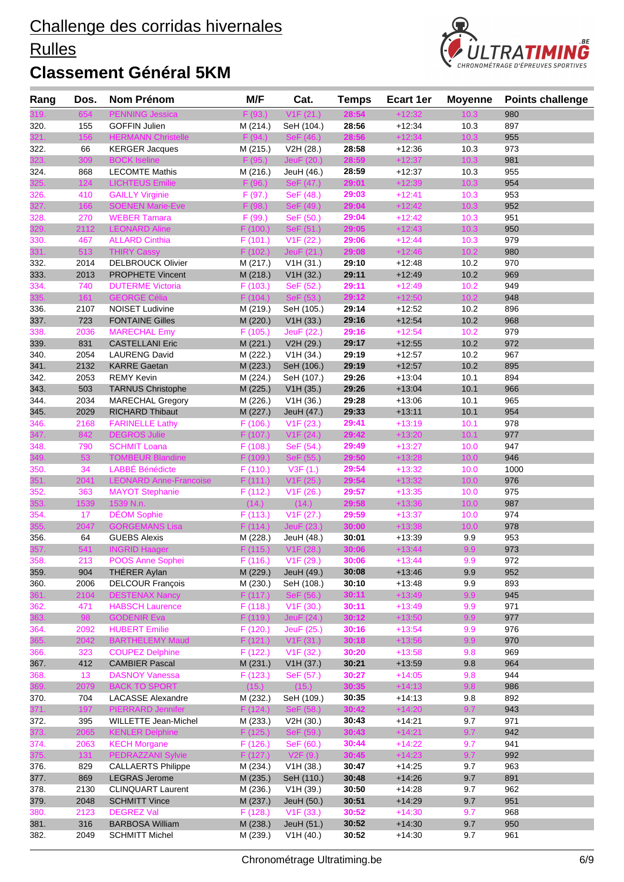#### **Rulles**



| <b>PENNING Jessica</b><br>F(93.)<br>V1F(21.)<br>980<br>10.3<br><b>GOFFIN Julien</b><br>28:56<br>$+12:34$<br>10.3<br>897<br>155<br>M (214.)<br>SeH (104.)<br>28:56<br>321<br>156<br><b>HERMANN Christelle</b><br>F(94)<br>$+12:34$<br>10.3<br>955<br>28:58<br>66<br>973<br><b>KERGER Jacques</b><br>M (215.)<br>V2H (28.)<br>$+12:36$<br>10.3<br><b>BOCK Iseline</b><br>28:59<br>309<br>F(95)<br>JeuF (20.)<br>$+12:37$<br>10.3<br>981<br>23.<br>955<br>324.<br>868<br><b>LECOMTE Mathis</b><br>M (216.)<br>JeuH (46.)<br>28:59<br>$+12:37$<br>10.3<br>124<br>F(96.)<br>29:01<br>$+12:39$<br>10.3<br>954<br><b>LICHTEUS Emilie</b><br>SeF (47.)<br>325.<br>410<br><b>GAILLY Virginie</b><br>F(97.)<br>SeF (48.)<br>29:03<br>$+12:41$<br>10.3<br>953<br>326.<br>327.<br>166<br><b>SOENEN Marie-Eve</b><br>29:04<br>$+12:42$<br>10.3<br>952<br>F(98.)<br>$\text{SeF (49.)}$<br>29:04<br>951<br>270<br><b>WEBER Tamara</b><br>F(99.)<br>SeF (50.)<br>$+12:42$<br>10.3<br>328.<br>329.<br>2112<br>29:05<br>$+12:43$<br>10.3<br><b>LEONARD Aline</b><br>F(100.)<br>SeF (51.)<br>950<br>979<br>467<br><b>ALLARD Cinthia</b><br>V1F(22.)<br>29:06<br>$+12:44$<br>10.3<br>330.<br>F(101.)<br>513<br>29:08<br>331.<br>$+12:46$<br>10.2<br>980<br><b>THIRY Cassy</b><br>F(102.)<br>JeuF(21.)<br>970<br>2014<br><b>DELBROUCK Olivier</b><br>V1H (31.)<br>29:10<br>$+12:48$<br>10.2<br>M (217.)<br>10.2<br>2013<br><b>PROPHETE Vincent</b><br>M (218.)<br>29:11<br>$+12:49$<br>969<br>V1H (32.)<br>740<br><b>DUTERME Victoria</b><br>F(103.)<br>SeF (52.)<br>29:11<br>$+12:49$<br>10.2<br>949<br>335.<br>161<br><b>GEORGE Célia</b><br>F(104.)<br>SeF (53.)<br>29:12<br>$+12:50$<br>10.2<br>948<br>29:14<br>2107<br><b>NOISET Ludivine</b><br>$+12:52$<br>10.2<br>896<br>M (219.)<br>SeH (105.)<br>29:16<br>10.2<br>723<br><b>FONTAINE Gilles</b><br>M (220.)<br>V1H (33.)<br>$+12:54$<br>968<br>2036<br>29:16<br>$+12:54$<br>10.2<br>979<br><b>MARECHAL Emy</b><br>F(105.)<br>JeuF (22.)<br>831<br>29:17<br>10.2<br>972<br>339.<br><b>CASTELLANI Eric</b><br>M (221.)<br>V2H (29.)<br>$+12:55$<br>2054<br>340.<br><b>LAURENG David</b><br>M (222.)<br>V1H (34.)<br>29:19<br>$+12:57$<br>10.2<br>967<br>2132<br>341.<br><b>KARRE Gaetan</b><br>M (223.)<br>SeH (106.)<br>29:19<br>$+12:57$<br>10.2<br>895<br>342.<br>2053<br><b>REMY Kevin</b><br>M (224.)<br>SeH (107.)<br>29:26<br>$+13:04$<br>10.1<br>894<br>29:26<br>343.<br>503<br><b>TARNUS Christophe</b><br>$+13:04$<br>10.1<br>M (225.)<br>V1H (35.)<br>966<br>2034<br>29:28<br>344.<br><b>MARECHAL Gregory</b><br>M (226.)<br>V <sub>1</sub> H (36.)<br>$+13:06$<br>10.1<br>965<br>2029<br>29:33<br>10.1<br>954<br>345.<br><b>RICHARD Thibaut</b><br>M (227.)<br>JeuH (47.)<br>$+13:11$<br>2168<br><b>FARINELLE Lathy</b><br>29:41<br>$+13:19$<br>10.1<br>978<br>346.<br>F(106.)<br>V1F(23.)<br>347.<br>842<br><b>DEGROS Julie</b><br>29:42<br>$+13:20$<br>10.1<br>977<br>F(107.)<br>V1F(24.)<br><b>SCHMIT Loana</b><br>$+13:27$<br>947<br>790<br>F(108.)<br>SeF (54.)<br>29:49<br>10.0<br>348.<br>349.<br>53<br><b>TOMBEUR Blandine</b><br>10.0<br>946<br>F(109.)<br>SeF (55.)<br>29:50<br>$+13:28$<br>34<br><b>LABBÉ Bénédicte</b><br>29:54<br>$+13:32$<br>10.0<br>1000<br>F(110.)<br>V3F(1.)<br>350.<br>29:54<br>351.<br>$+13:32$<br>10.0<br>2041<br><b>LEONARD Anne-Francoise</b><br>F(111.)<br>V1F(25.)<br>976<br>975<br>352.<br>363<br><b>MAYOT Stephanie</b><br>F(112.)<br>V <sub>1</sub> F (26.)<br>29:57<br>$+13:35$<br>10.0<br>1539<br>29:58<br>353.<br>1539 N.n.<br>$+13:36$<br>10.0<br>987<br>(14.)<br>(14.)<br><b>DÉOM Sophie</b><br>V <sub>1</sub> F (27.)<br>29:59<br>974<br>354.<br>17<br>F(113.)<br>$+13:37$<br>10.0<br>2047<br><b>GORGEMANS Lisa</b><br>30:00<br>$+13:38$<br>10.0<br>978<br>55.<br>F(114.)<br>JeuF $(23.)$<br><b>GUEBS Alexis</b><br>M (228.)<br>$+13:39$<br>9.9<br>953<br>356.<br>64<br>JeuH (48.)<br>30:01<br>541<br><b>INGRID Haager</b><br>F(115.)<br>V1F(28.)<br>30:06<br>$+13:44$<br>9.9<br>973<br>357.<br>972<br>358.<br>213<br>POOS Anne Sophei<br>$F(116.)$ V1F $(29.)$<br>30:06<br>$+13:44$<br>9.9<br>359.<br>904<br><b>THERER Aylan</b><br>M (229.)<br>JeuH (49.)<br>30:08<br>9.9<br>952<br>$+13:46$<br>30:10<br>2006<br><b>DELCOUR Francois</b><br>M (230.)<br>SeH (108.)<br>$+13:48$<br>9.9<br>893<br>360.<br><b>DESTENAX Nancy</b><br>30:11<br>$+13:49$<br>9.9<br>945<br>361.<br>2104<br>F(117.)<br>SeF (56.)<br><b>HABSCH Laurence</b><br>F(118.)<br>V1F(30.)<br>30:11<br>$+13:49$<br>9.9<br>971<br>471<br>362.<br>363.<br>98<br><b>GODENIR Eva</b><br>F (119.)<br>JeuF (24.)<br>30:12<br>$+13:50$<br>9.9<br>977<br>2092<br><b>HUBERT Emilie</b><br>F (120.)<br>JeuF (25.)<br>30:16<br>$+13:54$<br>9.9<br>976<br>364.<br>365.<br>2042<br><b>BARTHELEMY Maud</b><br>V1F(31.)<br>30:18<br>$+13:56$<br>9.9<br>F(121.)<br>970<br>30:20<br>969<br>323<br><b>COUPEZ Delphine</b><br>F(122.)<br>V1F(32.)<br>$+13:58$<br>9.8<br>412<br>30:21<br>9.8<br><b>CAMBIER Pascal</b><br>M (231.)<br>V1H (37.)<br>$+13.59$<br>964<br>30:27<br>13<br><b>DASNOY Vanessa</b><br>F(123.)<br>SeF (57.)<br>$+14:05$<br>944<br>9.8<br>369.<br>30:35<br><b>BACK TO SPORT</b><br>(15.)<br>$+14:13$<br>9.8<br>2079<br>(15.)<br>986<br>704<br><b>LACASSE Alexandre</b><br>M (232.)<br>30:35<br>$+14:13$<br>9.8<br>892<br>SeH (109.)<br>371.<br>197<br>F(124.)<br>30:42<br>$+14:20$<br>9.7<br><b>PIERRARD Jennifer</b><br>SeF (58.)<br>943<br>$+14.21$<br>971<br>372.<br>395<br><b>WILLETTE Jean-Michel</b><br>M (233.)<br>V2H (30.)<br>30:43<br>9.7<br>30:43<br>373.<br><b>KENLER Delphine</b><br>F(125.)<br>SeF (59.)<br>$+14:21$<br>9.7<br>2065<br>942<br>30:44<br>$+14:22$<br><b>KECH Morgane</b><br>F(126.)<br>SeF (60.)<br>9.7<br>941<br>374.<br>2063<br>375.<br>30:45<br>$+14:23$<br>131<br>PEDRAZZANI Sylvie<br>V2F(9.)<br>9.7<br>992<br>F(127.)<br>829<br><b>CALLAERTS Philippe</b><br>M (234.)<br>V1H (38.)<br>30:47<br>$+14.25$<br>9.7<br>963<br>376.<br>869<br>377.<br><b>LEGRAS Jerome</b><br>M (235.)<br>SeH (110.)<br>30:48<br>$+14.26$<br>9.7<br>891<br>2130<br><b>CLINQUART Laurent</b><br>M (236.)<br>V <sub>1</sub> H (39.)<br>30:50<br>$+14.28$<br>9.7<br>962<br>378.<br>2048<br><b>SCHMITT Vince</b><br>M (237.)<br>JeuH (50.)<br>30:51<br>$+14:29$<br>9.7<br>951<br>379.<br>2123<br><b>DEGREZ Val</b><br>F (128.)<br>V1F(33.)<br>30:52<br>$+14:30$<br>9.7<br>968<br>380.<br>30:52<br>9.7<br>316<br><b>BARBOSA William</b><br>M (238.)<br>JeuH (51.)<br>$+14:30$<br>950<br>381.<br>2049<br><b>SCHMITT Michel</b><br>30:52<br>$+14:30$<br>9.7<br>M (239.)<br>V1H (40.)<br>961 | Rang | Dos. | Nom Prénom | M/F | Cat. | <b>Temps</b> | <b>Ecart 1er</b> | <b>Moyenne</b> | <b>Points challenge</b> |
|--------------------------------------------------------------------------------------------------------------------------------------------------------------------------------------------------------------------------------------------------------------------------------------------------------------------------------------------------------------------------------------------------------------------------------------------------------------------------------------------------------------------------------------------------------------------------------------------------------------------------------------------------------------------------------------------------------------------------------------------------------------------------------------------------------------------------------------------------------------------------------------------------------------------------------------------------------------------------------------------------------------------------------------------------------------------------------------------------------------------------------------------------------------------------------------------------------------------------------------------------------------------------------------------------------------------------------------------------------------------------------------------------------------------------------------------------------------------------------------------------------------------------------------------------------------------------------------------------------------------------------------------------------------------------------------------------------------------------------------------------------------------------------------------------------------------------------------------------------------------------------------------------------------------------------------------------------------------------------------------------------------------------------------------------------------------------------------------------------------------------------------------------------------------------------------------------------------------------------------------------------------------------------------------------------------------------------------------------------------------------------------------------------------------------------------------------------------------------------------------------------------------------------------------------------------------------------------------------------------------------------------------------------------------------------------------------------------------------------------------------------------------------------------------------------------------------------------------------------------------------------------------------------------------------------------------------------------------------------------------------------------------------------------------------------------------------------------------------------------------------------------------------------------------------------------------------------------------------------------------------------------------------------------------------------------------------------------------------------------------------------------------------------------------------------------------------------------------------------------------------------------------------------------------------------------------------------------------------------------------------------------------------------------------------------------------------------------------------------------------------------------------------------------------------------------------------------------------------------------------------------------------------------------------------------------------------------------------------------------------------------------------------------------------------------------------------------------------------------------------------------------------------------------------------------------------------------------------------------------------------------------------------------------------------------------------------------------------------------------------------------------------------------------------------------------------------------------------------------------------------------------------------------------------------------------------------------------------------------------------------------------------------------------------------------------------------------------------------------------------------------------------------------------------------------------------------------------------------------------------------------------------------------------------------------------------------------------------------------------------------------------------------------------------------------------------------------------------------------------------------------------------------------------------------------------------------------------------------------------------------------------------------------------------------------------------------------------------------------------------------------------------------------------------------------------------------------------------------------------------------------------------------------------------------------------------------------------------------------------------------------------------------------------------------------------------------------------------------------------------------------------------------------------------------------------------------------------------------------------------------------------------------------------------------------------------------------------------------------------------------------------------------------------------------------------------------------------------------------------------------------------------------------------------------------------------------------------------------------------------------------------------------------------------------------------------------------------------------------------------------------------------------------------------------------------------------------------------------------------------------------------------------------------------------------------------|------|------|------------|-----|------|--------------|------------------|----------------|-------------------------|
|                                                                                                                                                                                                                                                                                                                                                                                                                                                                                                                                                                                                                                                                                                                                                                                                                                                                                                                                                                                                                                                                                                                                                                                                                                                                                                                                                                                                                                                                                                                                                                                                                                                                                                                                                                                                                                                                                                                                                                                                                                                                                                                                                                                                                                                                                                                                                                                                                                                                                                                                                                                                                                                                                                                                                                                                                                                                                                                                                                                                                                                                                                                                                                                                                                                                                                                                                                                                                                                                                                                                                                                                                                                                                                                                                                                                                                                                                                                                                                                                                                                                                                                                                                                                                                                                                                                                                                                                                                                                                                                                                                                                                                                                                                                                                                                                                                                                                                                                                                                                                                                                                                                                                                                                                                                                                                                                                                                                                                                                                                                                                                                                                                                                                                                                                                                                                                                                                                                                                                                                                                                                                                                                                                                                                                                                                                                                                                                                                                                                                                                                                                    |      |      |            |     |      |              |                  |                |                         |
|                                                                                                                                                                                                                                                                                                                                                                                                                                                                                                                                                                                                                                                                                                                                                                                                                                                                                                                                                                                                                                                                                                                                                                                                                                                                                                                                                                                                                                                                                                                                                                                                                                                                                                                                                                                                                                                                                                                                                                                                                                                                                                                                                                                                                                                                                                                                                                                                                                                                                                                                                                                                                                                                                                                                                                                                                                                                                                                                                                                                                                                                                                                                                                                                                                                                                                                                                                                                                                                                                                                                                                                                                                                                                                                                                                                                                                                                                                                                                                                                                                                                                                                                                                                                                                                                                                                                                                                                                                                                                                                                                                                                                                                                                                                                                                                                                                                                                                                                                                                                                                                                                                                                                                                                                                                                                                                                                                                                                                                                                                                                                                                                                                                                                                                                                                                                                                                                                                                                                                                                                                                                                                                                                                                                                                                                                                                                                                                                                                                                                                                                                                    | 320. |      |            |     |      |              |                  |                |                         |
|                                                                                                                                                                                                                                                                                                                                                                                                                                                                                                                                                                                                                                                                                                                                                                                                                                                                                                                                                                                                                                                                                                                                                                                                                                                                                                                                                                                                                                                                                                                                                                                                                                                                                                                                                                                                                                                                                                                                                                                                                                                                                                                                                                                                                                                                                                                                                                                                                                                                                                                                                                                                                                                                                                                                                                                                                                                                                                                                                                                                                                                                                                                                                                                                                                                                                                                                                                                                                                                                                                                                                                                                                                                                                                                                                                                                                                                                                                                                                                                                                                                                                                                                                                                                                                                                                                                                                                                                                                                                                                                                                                                                                                                                                                                                                                                                                                                                                                                                                                                                                                                                                                                                                                                                                                                                                                                                                                                                                                                                                                                                                                                                                                                                                                                                                                                                                                                                                                                                                                                                                                                                                                                                                                                                                                                                                                                                                                                                                                                                                                                                                                    |      |      |            |     |      |              |                  |                |                         |
|                                                                                                                                                                                                                                                                                                                                                                                                                                                                                                                                                                                                                                                                                                                                                                                                                                                                                                                                                                                                                                                                                                                                                                                                                                                                                                                                                                                                                                                                                                                                                                                                                                                                                                                                                                                                                                                                                                                                                                                                                                                                                                                                                                                                                                                                                                                                                                                                                                                                                                                                                                                                                                                                                                                                                                                                                                                                                                                                                                                                                                                                                                                                                                                                                                                                                                                                                                                                                                                                                                                                                                                                                                                                                                                                                                                                                                                                                                                                                                                                                                                                                                                                                                                                                                                                                                                                                                                                                                                                                                                                                                                                                                                                                                                                                                                                                                                                                                                                                                                                                                                                                                                                                                                                                                                                                                                                                                                                                                                                                                                                                                                                                                                                                                                                                                                                                                                                                                                                                                                                                                                                                                                                                                                                                                                                                                                                                                                                                                                                                                                                                                    | 322. |      |            |     |      |              |                  |                |                         |
|                                                                                                                                                                                                                                                                                                                                                                                                                                                                                                                                                                                                                                                                                                                                                                                                                                                                                                                                                                                                                                                                                                                                                                                                                                                                                                                                                                                                                                                                                                                                                                                                                                                                                                                                                                                                                                                                                                                                                                                                                                                                                                                                                                                                                                                                                                                                                                                                                                                                                                                                                                                                                                                                                                                                                                                                                                                                                                                                                                                                                                                                                                                                                                                                                                                                                                                                                                                                                                                                                                                                                                                                                                                                                                                                                                                                                                                                                                                                                                                                                                                                                                                                                                                                                                                                                                                                                                                                                                                                                                                                                                                                                                                                                                                                                                                                                                                                                                                                                                                                                                                                                                                                                                                                                                                                                                                                                                                                                                                                                                                                                                                                                                                                                                                                                                                                                                                                                                                                                                                                                                                                                                                                                                                                                                                                                                                                                                                                                                                                                                                                                                    |      |      |            |     |      |              |                  |                |                         |
|                                                                                                                                                                                                                                                                                                                                                                                                                                                                                                                                                                                                                                                                                                                                                                                                                                                                                                                                                                                                                                                                                                                                                                                                                                                                                                                                                                                                                                                                                                                                                                                                                                                                                                                                                                                                                                                                                                                                                                                                                                                                                                                                                                                                                                                                                                                                                                                                                                                                                                                                                                                                                                                                                                                                                                                                                                                                                                                                                                                                                                                                                                                                                                                                                                                                                                                                                                                                                                                                                                                                                                                                                                                                                                                                                                                                                                                                                                                                                                                                                                                                                                                                                                                                                                                                                                                                                                                                                                                                                                                                                                                                                                                                                                                                                                                                                                                                                                                                                                                                                                                                                                                                                                                                                                                                                                                                                                                                                                                                                                                                                                                                                                                                                                                                                                                                                                                                                                                                                                                                                                                                                                                                                                                                                                                                                                                                                                                                                                                                                                                                                                    |      |      |            |     |      |              |                  |                |                         |
|                                                                                                                                                                                                                                                                                                                                                                                                                                                                                                                                                                                                                                                                                                                                                                                                                                                                                                                                                                                                                                                                                                                                                                                                                                                                                                                                                                                                                                                                                                                                                                                                                                                                                                                                                                                                                                                                                                                                                                                                                                                                                                                                                                                                                                                                                                                                                                                                                                                                                                                                                                                                                                                                                                                                                                                                                                                                                                                                                                                                                                                                                                                                                                                                                                                                                                                                                                                                                                                                                                                                                                                                                                                                                                                                                                                                                                                                                                                                                                                                                                                                                                                                                                                                                                                                                                                                                                                                                                                                                                                                                                                                                                                                                                                                                                                                                                                                                                                                                                                                                                                                                                                                                                                                                                                                                                                                                                                                                                                                                                                                                                                                                                                                                                                                                                                                                                                                                                                                                                                                                                                                                                                                                                                                                                                                                                                                                                                                                                                                                                                                                                    |      |      |            |     |      |              |                  |                |                         |
|                                                                                                                                                                                                                                                                                                                                                                                                                                                                                                                                                                                                                                                                                                                                                                                                                                                                                                                                                                                                                                                                                                                                                                                                                                                                                                                                                                                                                                                                                                                                                                                                                                                                                                                                                                                                                                                                                                                                                                                                                                                                                                                                                                                                                                                                                                                                                                                                                                                                                                                                                                                                                                                                                                                                                                                                                                                                                                                                                                                                                                                                                                                                                                                                                                                                                                                                                                                                                                                                                                                                                                                                                                                                                                                                                                                                                                                                                                                                                                                                                                                                                                                                                                                                                                                                                                                                                                                                                                                                                                                                                                                                                                                                                                                                                                                                                                                                                                                                                                                                                                                                                                                                                                                                                                                                                                                                                                                                                                                                                                                                                                                                                                                                                                                                                                                                                                                                                                                                                                                                                                                                                                                                                                                                                                                                                                                                                                                                                                                                                                                                                                    |      |      |            |     |      |              |                  |                |                         |
|                                                                                                                                                                                                                                                                                                                                                                                                                                                                                                                                                                                                                                                                                                                                                                                                                                                                                                                                                                                                                                                                                                                                                                                                                                                                                                                                                                                                                                                                                                                                                                                                                                                                                                                                                                                                                                                                                                                                                                                                                                                                                                                                                                                                                                                                                                                                                                                                                                                                                                                                                                                                                                                                                                                                                                                                                                                                                                                                                                                                                                                                                                                                                                                                                                                                                                                                                                                                                                                                                                                                                                                                                                                                                                                                                                                                                                                                                                                                                                                                                                                                                                                                                                                                                                                                                                                                                                                                                                                                                                                                                                                                                                                                                                                                                                                                                                                                                                                                                                                                                                                                                                                                                                                                                                                                                                                                                                                                                                                                                                                                                                                                                                                                                                                                                                                                                                                                                                                                                                                                                                                                                                                                                                                                                                                                                                                                                                                                                                                                                                                                                                    |      |      |            |     |      |              |                  |                |                         |
|                                                                                                                                                                                                                                                                                                                                                                                                                                                                                                                                                                                                                                                                                                                                                                                                                                                                                                                                                                                                                                                                                                                                                                                                                                                                                                                                                                                                                                                                                                                                                                                                                                                                                                                                                                                                                                                                                                                                                                                                                                                                                                                                                                                                                                                                                                                                                                                                                                                                                                                                                                                                                                                                                                                                                                                                                                                                                                                                                                                                                                                                                                                                                                                                                                                                                                                                                                                                                                                                                                                                                                                                                                                                                                                                                                                                                                                                                                                                                                                                                                                                                                                                                                                                                                                                                                                                                                                                                                                                                                                                                                                                                                                                                                                                                                                                                                                                                                                                                                                                                                                                                                                                                                                                                                                                                                                                                                                                                                                                                                                                                                                                                                                                                                                                                                                                                                                                                                                                                                                                                                                                                                                                                                                                                                                                                                                                                                                                                                                                                                                                                                    |      |      |            |     |      |              |                  |                |                         |
|                                                                                                                                                                                                                                                                                                                                                                                                                                                                                                                                                                                                                                                                                                                                                                                                                                                                                                                                                                                                                                                                                                                                                                                                                                                                                                                                                                                                                                                                                                                                                                                                                                                                                                                                                                                                                                                                                                                                                                                                                                                                                                                                                                                                                                                                                                                                                                                                                                                                                                                                                                                                                                                                                                                                                                                                                                                                                                                                                                                                                                                                                                                                                                                                                                                                                                                                                                                                                                                                                                                                                                                                                                                                                                                                                                                                                                                                                                                                                                                                                                                                                                                                                                                                                                                                                                                                                                                                                                                                                                                                                                                                                                                                                                                                                                                                                                                                                                                                                                                                                                                                                                                                                                                                                                                                                                                                                                                                                                                                                                                                                                                                                                                                                                                                                                                                                                                                                                                                                                                                                                                                                                                                                                                                                                                                                                                                                                                                                                                                                                                                                                    |      |      |            |     |      |              |                  |                |                         |
|                                                                                                                                                                                                                                                                                                                                                                                                                                                                                                                                                                                                                                                                                                                                                                                                                                                                                                                                                                                                                                                                                                                                                                                                                                                                                                                                                                                                                                                                                                                                                                                                                                                                                                                                                                                                                                                                                                                                                                                                                                                                                                                                                                                                                                                                                                                                                                                                                                                                                                                                                                                                                                                                                                                                                                                                                                                                                                                                                                                                                                                                                                                                                                                                                                                                                                                                                                                                                                                                                                                                                                                                                                                                                                                                                                                                                                                                                                                                                                                                                                                                                                                                                                                                                                                                                                                                                                                                                                                                                                                                                                                                                                                                                                                                                                                                                                                                                                                                                                                                                                                                                                                                                                                                                                                                                                                                                                                                                                                                                                                                                                                                                                                                                                                                                                                                                                                                                                                                                                                                                                                                                                                                                                                                                                                                                                                                                                                                                                                                                                                                                                    |      |      |            |     |      |              |                  |                |                         |
|                                                                                                                                                                                                                                                                                                                                                                                                                                                                                                                                                                                                                                                                                                                                                                                                                                                                                                                                                                                                                                                                                                                                                                                                                                                                                                                                                                                                                                                                                                                                                                                                                                                                                                                                                                                                                                                                                                                                                                                                                                                                                                                                                                                                                                                                                                                                                                                                                                                                                                                                                                                                                                                                                                                                                                                                                                                                                                                                                                                                                                                                                                                                                                                                                                                                                                                                                                                                                                                                                                                                                                                                                                                                                                                                                                                                                                                                                                                                                                                                                                                                                                                                                                                                                                                                                                                                                                                                                                                                                                                                                                                                                                                                                                                                                                                                                                                                                                                                                                                                                                                                                                                                                                                                                                                                                                                                                                                                                                                                                                                                                                                                                                                                                                                                                                                                                                                                                                                                                                                                                                                                                                                                                                                                                                                                                                                                                                                                                                                                                                                                                                    | 332. |      |            |     |      |              |                  |                |                         |
|                                                                                                                                                                                                                                                                                                                                                                                                                                                                                                                                                                                                                                                                                                                                                                                                                                                                                                                                                                                                                                                                                                                                                                                                                                                                                                                                                                                                                                                                                                                                                                                                                                                                                                                                                                                                                                                                                                                                                                                                                                                                                                                                                                                                                                                                                                                                                                                                                                                                                                                                                                                                                                                                                                                                                                                                                                                                                                                                                                                                                                                                                                                                                                                                                                                                                                                                                                                                                                                                                                                                                                                                                                                                                                                                                                                                                                                                                                                                                                                                                                                                                                                                                                                                                                                                                                                                                                                                                                                                                                                                                                                                                                                                                                                                                                                                                                                                                                                                                                                                                                                                                                                                                                                                                                                                                                                                                                                                                                                                                                                                                                                                                                                                                                                                                                                                                                                                                                                                                                                                                                                                                                                                                                                                                                                                                                                                                                                                                                                                                                                                                                    | 333. |      |            |     |      |              |                  |                |                         |
|                                                                                                                                                                                                                                                                                                                                                                                                                                                                                                                                                                                                                                                                                                                                                                                                                                                                                                                                                                                                                                                                                                                                                                                                                                                                                                                                                                                                                                                                                                                                                                                                                                                                                                                                                                                                                                                                                                                                                                                                                                                                                                                                                                                                                                                                                                                                                                                                                                                                                                                                                                                                                                                                                                                                                                                                                                                                                                                                                                                                                                                                                                                                                                                                                                                                                                                                                                                                                                                                                                                                                                                                                                                                                                                                                                                                                                                                                                                                                                                                                                                                                                                                                                                                                                                                                                                                                                                                                                                                                                                                                                                                                                                                                                                                                                                                                                                                                                                                                                                                                                                                                                                                                                                                                                                                                                                                                                                                                                                                                                                                                                                                                                                                                                                                                                                                                                                                                                                                                                                                                                                                                                                                                                                                                                                                                                                                                                                                                                                                                                                                                                    | 334. |      |            |     |      |              |                  |                |                         |
|                                                                                                                                                                                                                                                                                                                                                                                                                                                                                                                                                                                                                                                                                                                                                                                                                                                                                                                                                                                                                                                                                                                                                                                                                                                                                                                                                                                                                                                                                                                                                                                                                                                                                                                                                                                                                                                                                                                                                                                                                                                                                                                                                                                                                                                                                                                                                                                                                                                                                                                                                                                                                                                                                                                                                                                                                                                                                                                                                                                                                                                                                                                                                                                                                                                                                                                                                                                                                                                                                                                                                                                                                                                                                                                                                                                                                                                                                                                                                                                                                                                                                                                                                                                                                                                                                                                                                                                                                                                                                                                                                                                                                                                                                                                                                                                                                                                                                                                                                                                                                                                                                                                                                                                                                                                                                                                                                                                                                                                                                                                                                                                                                                                                                                                                                                                                                                                                                                                                                                                                                                                                                                                                                                                                                                                                                                                                                                                                                                                                                                                                                                    |      |      |            |     |      |              |                  |                |                         |
|                                                                                                                                                                                                                                                                                                                                                                                                                                                                                                                                                                                                                                                                                                                                                                                                                                                                                                                                                                                                                                                                                                                                                                                                                                                                                                                                                                                                                                                                                                                                                                                                                                                                                                                                                                                                                                                                                                                                                                                                                                                                                                                                                                                                                                                                                                                                                                                                                                                                                                                                                                                                                                                                                                                                                                                                                                                                                                                                                                                                                                                                                                                                                                                                                                                                                                                                                                                                                                                                                                                                                                                                                                                                                                                                                                                                                                                                                                                                                                                                                                                                                                                                                                                                                                                                                                                                                                                                                                                                                                                                                                                                                                                                                                                                                                                                                                                                                                                                                                                                                                                                                                                                                                                                                                                                                                                                                                                                                                                                                                                                                                                                                                                                                                                                                                                                                                                                                                                                                                                                                                                                                                                                                                                                                                                                                                                                                                                                                                                                                                                                                                    | 336. |      |            |     |      |              |                  |                |                         |
|                                                                                                                                                                                                                                                                                                                                                                                                                                                                                                                                                                                                                                                                                                                                                                                                                                                                                                                                                                                                                                                                                                                                                                                                                                                                                                                                                                                                                                                                                                                                                                                                                                                                                                                                                                                                                                                                                                                                                                                                                                                                                                                                                                                                                                                                                                                                                                                                                                                                                                                                                                                                                                                                                                                                                                                                                                                                                                                                                                                                                                                                                                                                                                                                                                                                                                                                                                                                                                                                                                                                                                                                                                                                                                                                                                                                                                                                                                                                                                                                                                                                                                                                                                                                                                                                                                                                                                                                                                                                                                                                                                                                                                                                                                                                                                                                                                                                                                                                                                                                                                                                                                                                                                                                                                                                                                                                                                                                                                                                                                                                                                                                                                                                                                                                                                                                                                                                                                                                                                                                                                                                                                                                                                                                                                                                                                                                                                                                                                                                                                                                                                    | 337. |      |            |     |      |              |                  |                |                         |
|                                                                                                                                                                                                                                                                                                                                                                                                                                                                                                                                                                                                                                                                                                                                                                                                                                                                                                                                                                                                                                                                                                                                                                                                                                                                                                                                                                                                                                                                                                                                                                                                                                                                                                                                                                                                                                                                                                                                                                                                                                                                                                                                                                                                                                                                                                                                                                                                                                                                                                                                                                                                                                                                                                                                                                                                                                                                                                                                                                                                                                                                                                                                                                                                                                                                                                                                                                                                                                                                                                                                                                                                                                                                                                                                                                                                                                                                                                                                                                                                                                                                                                                                                                                                                                                                                                                                                                                                                                                                                                                                                                                                                                                                                                                                                                                                                                                                                                                                                                                                                                                                                                                                                                                                                                                                                                                                                                                                                                                                                                                                                                                                                                                                                                                                                                                                                                                                                                                                                                                                                                                                                                                                                                                                                                                                                                                                                                                                                                                                                                                                                                    | 338. |      |            |     |      |              |                  |                |                         |
|                                                                                                                                                                                                                                                                                                                                                                                                                                                                                                                                                                                                                                                                                                                                                                                                                                                                                                                                                                                                                                                                                                                                                                                                                                                                                                                                                                                                                                                                                                                                                                                                                                                                                                                                                                                                                                                                                                                                                                                                                                                                                                                                                                                                                                                                                                                                                                                                                                                                                                                                                                                                                                                                                                                                                                                                                                                                                                                                                                                                                                                                                                                                                                                                                                                                                                                                                                                                                                                                                                                                                                                                                                                                                                                                                                                                                                                                                                                                                                                                                                                                                                                                                                                                                                                                                                                                                                                                                                                                                                                                                                                                                                                                                                                                                                                                                                                                                                                                                                                                                                                                                                                                                                                                                                                                                                                                                                                                                                                                                                                                                                                                                                                                                                                                                                                                                                                                                                                                                                                                                                                                                                                                                                                                                                                                                                                                                                                                                                                                                                                                                                    |      |      |            |     |      |              |                  |                |                         |
|                                                                                                                                                                                                                                                                                                                                                                                                                                                                                                                                                                                                                                                                                                                                                                                                                                                                                                                                                                                                                                                                                                                                                                                                                                                                                                                                                                                                                                                                                                                                                                                                                                                                                                                                                                                                                                                                                                                                                                                                                                                                                                                                                                                                                                                                                                                                                                                                                                                                                                                                                                                                                                                                                                                                                                                                                                                                                                                                                                                                                                                                                                                                                                                                                                                                                                                                                                                                                                                                                                                                                                                                                                                                                                                                                                                                                                                                                                                                                                                                                                                                                                                                                                                                                                                                                                                                                                                                                                                                                                                                                                                                                                                                                                                                                                                                                                                                                                                                                                                                                                                                                                                                                                                                                                                                                                                                                                                                                                                                                                                                                                                                                                                                                                                                                                                                                                                                                                                                                                                                                                                                                                                                                                                                                                                                                                                                                                                                                                                                                                                                                                    |      |      |            |     |      |              |                  |                |                         |
|                                                                                                                                                                                                                                                                                                                                                                                                                                                                                                                                                                                                                                                                                                                                                                                                                                                                                                                                                                                                                                                                                                                                                                                                                                                                                                                                                                                                                                                                                                                                                                                                                                                                                                                                                                                                                                                                                                                                                                                                                                                                                                                                                                                                                                                                                                                                                                                                                                                                                                                                                                                                                                                                                                                                                                                                                                                                                                                                                                                                                                                                                                                                                                                                                                                                                                                                                                                                                                                                                                                                                                                                                                                                                                                                                                                                                                                                                                                                                                                                                                                                                                                                                                                                                                                                                                                                                                                                                                                                                                                                                                                                                                                                                                                                                                                                                                                                                                                                                                                                                                                                                                                                                                                                                                                                                                                                                                                                                                                                                                                                                                                                                                                                                                                                                                                                                                                                                                                                                                                                                                                                                                                                                                                                                                                                                                                                                                                                                                                                                                                                                                    |      |      |            |     |      |              |                  |                |                         |
|                                                                                                                                                                                                                                                                                                                                                                                                                                                                                                                                                                                                                                                                                                                                                                                                                                                                                                                                                                                                                                                                                                                                                                                                                                                                                                                                                                                                                                                                                                                                                                                                                                                                                                                                                                                                                                                                                                                                                                                                                                                                                                                                                                                                                                                                                                                                                                                                                                                                                                                                                                                                                                                                                                                                                                                                                                                                                                                                                                                                                                                                                                                                                                                                                                                                                                                                                                                                                                                                                                                                                                                                                                                                                                                                                                                                                                                                                                                                                                                                                                                                                                                                                                                                                                                                                                                                                                                                                                                                                                                                                                                                                                                                                                                                                                                                                                                                                                                                                                                                                                                                                                                                                                                                                                                                                                                                                                                                                                                                                                                                                                                                                                                                                                                                                                                                                                                                                                                                                                                                                                                                                                                                                                                                                                                                                                                                                                                                                                                                                                                                                                    |      |      |            |     |      |              |                  |                |                         |
|                                                                                                                                                                                                                                                                                                                                                                                                                                                                                                                                                                                                                                                                                                                                                                                                                                                                                                                                                                                                                                                                                                                                                                                                                                                                                                                                                                                                                                                                                                                                                                                                                                                                                                                                                                                                                                                                                                                                                                                                                                                                                                                                                                                                                                                                                                                                                                                                                                                                                                                                                                                                                                                                                                                                                                                                                                                                                                                                                                                                                                                                                                                                                                                                                                                                                                                                                                                                                                                                                                                                                                                                                                                                                                                                                                                                                                                                                                                                                                                                                                                                                                                                                                                                                                                                                                                                                                                                                                                                                                                                                                                                                                                                                                                                                                                                                                                                                                                                                                                                                                                                                                                                                                                                                                                                                                                                                                                                                                                                                                                                                                                                                                                                                                                                                                                                                                                                                                                                                                                                                                                                                                                                                                                                                                                                                                                                                                                                                                                                                                                                                                    |      |      |            |     |      |              |                  |                |                         |
|                                                                                                                                                                                                                                                                                                                                                                                                                                                                                                                                                                                                                                                                                                                                                                                                                                                                                                                                                                                                                                                                                                                                                                                                                                                                                                                                                                                                                                                                                                                                                                                                                                                                                                                                                                                                                                                                                                                                                                                                                                                                                                                                                                                                                                                                                                                                                                                                                                                                                                                                                                                                                                                                                                                                                                                                                                                                                                                                                                                                                                                                                                                                                                                                                                                                                                                                                                                                                                                                                                                                                                                                                                                                                                                                                                                                                                                                                                                                                                                                                                                                                                                                                                                                                                                                                                                                                                                                                                                                                                                                                                                                                                                                                                                                                                                                                                                                                                                                                                                                                                                                                                                                                                                                                                                                                                                                                                                                                                                                                                                                                                                                                                                                                                                                                                                                                                                                                                                                                                                                                                                                                                                                                                                                                                                                                                                                                                                                                                                                                                                                                                    |      |      |            |     |      |              |                  |                |                         |
|                                                                                                                                                                                                                                                                                                                                                                                                                                                                                                                                                                                                                                                                                                                                                                                                                                                                                                                                                                                                                                                                                                                                                                                                                                                                                                                                                                                                                                                                                                                                                                                                                                                                                                                                                                                                                                                                                                                                                                                                                                                                                                                                                                                                                                                                                                                                                                                                                                                                                                                                                                                                                                                                                                                                                                                                                                                                                                                                                                                                                                                                                                                                                                                                                                                                                                                                                                                                                                                                                                                                                                                                                                                                                                                                                                                                                                                                                                                                                                                                                                                                                                                                                                                                                                                                                                                                                                                                                                                                                                                                                                                                                                                                                                                                                                                                                                                                                                                                                                                                                                                                                                                                                                                                                                                                                                                                                                                                                                                                                                                                                                                                                                                                                                                                                                                                                                                                                                                                                                                                                                                                                                                                                                                                                                                                                                                                                                                                                                                                                                                                                                    |      |      |            |     |      |              |                  |                |                         |
|                                                                                                                                                                                                                                                                                                                                                                                                                                                                                                                                                                                                                                                                                                                                                                                                                                                                                                                                                                                                                                                                                                                                                                                                                                                                                                                                                                                                                                                                                                                                                                                                                                                                                                                                                                                                                                                                                                                                                                                                                                                                                                                                                                                                                                                                                                                                                                                                                                                                                                                                                                                                                                                                                                                                                                                                                                                                                                                                                                                                                                                                                                                                                                                                                                                                                                                                                                                                                                                                                                                                                                                                                                                                                                                                                                                                                                                                                                                                                                                                                                                                                                                                                                                                                                                                                                                                                                                                                                                                                                                                                                                                                                                                                                                                                                                                                                                                                                                                                                                                                                                                                                                                                                                                                                                                                                                                                                                                                                                                                                                                                                                                                                                                                                                                                                                                                                                                                                                                                                                                                                                                                                                                                                                                                                                                                                                                                                                                                                                                                                                                                                    |      |      |            |     |      |              |                  |                |                         |
|                                                                                                                                                                                                                                                                                                                                                                                                                                                                                                                                                                                                                                                                                                                                                                                                                                                                                                                                                                                                                                                                                                                                                                                                                                                                                                                                                                                                                                                                                                                                                                                                                                                                                                                                                                                                                                                                                                                                                                                                                                                                                                                                                                                                                                                                                                                                                                                                                                                                                                                                                                                                                                                                                                                                                                                                                                                                                                                                                                                                                                                                                                                                                                                                                                                                                                                                                                                                                                                                                                                                                                                                                                                                                                                                                                                                                                                                                                                                                                                                                                                                                                                                                                                                                                                                                                                                                                                                                                                                                                                                                                                                                                                                                                                                                                                                                                                                                                                                                                                                                                                                                                                                                                                                                                                                                                                                                                                                                                                                                                                                                                                                                                                                                                                                                                                                                                                                                                                                                                                                                                                                                                                                                                                                                                                                                                                                                                                                                                                                                                                                                                    |      |      |            |     |      |              |                  |                |                         |
|                                                                                                                                                                                                                                                                                                                                                                                                                                                                                                                                                                                                                                                                                                                                                                                                                                                                                                                                                                                                                                                                                                                                                                                                                                                                                                                                                                                                                                                                                                                                                                                                                                                                                                                                                                                                                                                                                                                                                                                                                                                                                                                                                                                                                                                                                                                                                                                                                                                                                                                                                                                                                                                                                                                                                                                                                                                                                                                                                                                                                                                                                                                                                                                                                                                                                                                                                                                                                                                                                                                                                                                                                                                                                                                                                                                                                                                                                                                                                                                                                                                                                                                                                                                                                                                                                                                                                                                                                                                                                                                                                                                                                                                                                                                                                                                                                                                                                                                                                                                                                                                                                                                                                                                                                                                                                                                                                                                                                                                                                                                                                                                                                                                                                                                                                                                                                                                                                                                                                                                                                                                                                                                                                                                                                                                                                                                                                                                                                                                                                                                                                                    |      |      |            |     |      |              |                  |                |                         |
|                                                                                                                                                                                                                                                                                                                                                                                                                                                                                                                                                                                                                                                                                                                                                                                                                                                                                                                                                                                                                                                                                                                                                                                                                                                                                                                                                                                                                                                                                                                                                                                                                                                                                                                                                                                                                                                                                                                                                                                                                                                                                                                                                                                                                                                                                                                                                                                                                                                                                                                                                                                                                                                                                                                                                                                                                                                                                                                                                                                                                                                                                                                                                                                                                                                                                                                                                                                                                                                                                                                                                                                                                                                                                                                                                                                                                                                                                                                                                                                                                                                                                                                                                                                                                                                                                                                                                                                                                                                                                                                                                                                                                                                                                                                                                                                                                                                                                                                                                                                                                                                                                                                                                                                                                                                                                                                                                                                                                                                                                                                                                                                                                                                                                                                                                                                                                                                                                                                                                                                                                                                                                                                                                                                                                                                                                                                                                                                                                                                                                                                                                                    |      |      |            |     |      |              |                  |                |                         |
|                                                                                                                                                                                                                                                                                                                                                                                                                                                                                                                                                                                                                                                                                                                                                                                                                                                                                                                                                                                                                                                                                                                                                                                                                                                                                                                                                                                                                                                                                                                                                                                                                                                                                                                                                                                                                                                                                                                                                                                                                                                                                                                                                                                                                                                                                                                                                                                                                                                                                                                                                                                                                                                                                                                                                                                                                                                                                                                                                                                                                                                                                                                                                                                                                                                                                                                                                                                                                                                                                                                                                                                                                                                                                                                                                                                                                                                                                                                                                                                                                                                                                                                                                                                                                                                                                                                                                                                                                                                                                                                                                                                                                                                                                                                                                                                                                                                                                                                                                                                                                                                                                                                                                                                                                                                                                                                                                                                                                                                                                                                                                                                                                                                                                                                                                                                                                                                                                                                                                                                                                                                                                                                                                                                                                                                                                                                                                                                                                                                                                                                                                                    |      |      |            |     |      |              |                  |                |                         |
|                                                                                                                                                                                                                                                                                                                                                                                                                                                                                                                                                                                                                                                                                                                                                                                                                                                                                                                                                                                                                                                                                                                                                                                                                                                                                                                                                                                                                                                                                                                                                                                                                                                                                                                                                                                                                                                                                                                                                                                                                                                                                                                                                                                                                                                                                                                                                                                                                                                                                                                                                                                                                                                                                                                                                                                                                                                                                                                                                                                                                                                                                                                                                                                                                                                                                                                                                                                                                                                                                                                                                                                                                                                                                                                                                                                                                                                                                                                                                                                                                                                                                                                                                                                                                                                                                                                                                                                                                                                                                                                                                                                                                                                                                                                                                                                                                                                                                                                                                                                                                                                                                                                                                                                                                                                                                                                                                                                                                                                                                                                                                                                                                                                                                                                                                                                                                                                                                                                                                                                                                                                                                                                                                                                                                                                                                                                                                                                                                                                                                                                                                                    |      |      |            |     |      |              |                  |                |                         |
|                                                                                                                                                                                                                                                                                                                                                                                                                                                                                                                                                                                                                                                                                                                                                                                                                                                                                                                                                                                                                                                                                                                                                                                                                                                                                                                                                                                                                                                                                                                                                                                                                                                                                                                                                                                                                                                                                                                                                                                                                                                                                                                                                                                                                                                                                                                                                                                                                                                                                                                                                                                                                                                                                                                                                                                                                                                                                                                                                                                                                                                                                                                                                                                                                                                                                                                                                                                                                                                                                                                                                                                                                                                                                                                                                                                                                                                                                                                                                                                                                                                                                                                                                                                                                                                                                                                                                                                                                                                                                                                                                                                                                                                                                                                                                                                                                                                                                                                                                                                                                                                                                                                                                                                                                                                                                                                                                                                                                                                                                                                                                                                                                                                                                                                                                                                                                                                                                                                                                                                                                                                                                                                                                                                                                                                                                                                                                                                                                                                                                                                                                                    |      |      |            |     |      |              |                  |                |                         |
|                                                                                                                                                                                                                                                                                                                                                                                                                                                                                                                                                                                                                                                                                                                                                                                                                                                                                                                                                                                                                                                                                                                                                                                                                                                                                                                                                                                                                                                                                                                                                                                                                                                                                                                                                                                                                                                                                                                                                                                                                                                                                                                                                                                                                                                                                                                                                                                                                                                                                                                                                                                                                                                                                                                                                                                                                                                                                                                                                                                                                                                                                                                                                                                                                                                                                                                                                                                                                                                                                                                                                                                                                                                                                                                                                                                                                                                                                                                                                                                                                                                                                                                                                                                                                                                                                                                                                                                                                                                                                                                                                                                                                                                                                                                                                                                                                                                                                                                                                                                                                                                                                                                                                                                                                                                                                                                                                                                                                                                                                                                                                                                                                                                                                                                                                                                                                                                                                                                                                                                                                                                                                                                                                                                                                                                                                                                                                                                                                                                                                                                                                                    |      |      |            |     |      |              |                  |                |                         |
|                                                                                                                                                                                                                                                                                                                                                                                                                                                                                                                                                                                                                                                                                                                                                                                                                                                                                                                                                                                                                                                                                                                                                                                                                                                                                                                                                                                                                                                                                                                                                                                                                                                                                                                                                                                                                                                                                                                                                                                                                                                                                                                                                                                                                                                                                                                                                                                                                                                                                                                                                                                                                                                                                                                                                                                                                                                                                                                                                                                                                                                                                                                                                                                                                                                                                                                                                                                                                                                                                                                                                                                                                                                                                                                                                                                                                                                                                                                                                                                                                                                                                                                                                                                                                                                                                                                                                                                                                                                                                                                                                                                                                                                                                                                                                                                                                                                                                                                                                                                                                                                                                                                                                                                                                                                                                                                                                                                                                                                                                                                                                                                                                                                                                                                                                                                                                                                                                                                                                                                                                                                                                                                                                                                                                                                                                                                                                                                                                                                                                                                                                                    |      |      |            |     |      |              |                  |                |                         |
|                                                                                                                                                                                                                                                                                                                                                                                                                                                                                                                                                                                                                                                                                                                                                                                                                                                                                                                                                                                                                                                                                                                                                                                                                                                                                                                                                                                                                                                                                                                                                                                                                                                                                                                                                                                                                                                                                                                                                                                                                                                                                                                                                                                                                                                                                                                                                                                                                                                                                                                                                                                                                                                                                                                                                                                                                                                                                                                                                                                                                                                                                                                                                                                                                                                                                                                                                                                                                                                                                                                                                                                                                                                                                                                                                                                                                                                                                                                                                                                                                                                                                                                                                                                                                                                                                                                                                                                                                                                                                                                                                                                                                                                                                                                                                                                                                                                                                                                                                                                                                                                                                                                                                                                                                                                                                                                                                                                                                                                                                                                                                                                                                                                                                                                                                                                                                                                                                                                                                                                                                                                                                                                                                                                                                                                                                                                                                                                                                                                                                                                                                                    |      |      |            |     |      |              |                  |                |                         |
|                                                                                                                                                                                                                                                                                                                                                                                                                                                                                                                                                                                                                                                                                                                                                                                                                                                                                                                                                                                                                                                                                                                                                                                                                                                                                                                                                                                                                                                                                                                                                                                                                                                                                                                                                                                                                                                                                                                                                                                                                                                                                                                                                                                                                                                                                                                                                                                                                                                                                                                                                                                                                                                                                                                                                                                                                                                                                                                                                                                                                                                                                                                                                                                                                                                                                                                                                                                                                                                                                                                                                                                                                                                                                                                                                                                                                                                                                                                                                                                                                                                                                                                                                                                                                                                                                                                                                                                                                                                                                                                                                                                                                                                                                                                                                                                                                                                                                                                                                                                                                                                                                                                                                                                                                                                                                                                                                                                                                                                                                                                                                                                                                                                                                                                                                                                                                                                                                                                                                                                                                                                                                                                                                                                                                                                                                                                                                                                                                                                                                                                                                                    |      |      |            |     |      |              |                  |                |                         |
|                                                                                                                                                                                                                                                                                                                                                                                                                                                                                                                                                                                                                                                                                                                                                                                                                                                                                                                                                                                                                                                                                                                                                                                                                                                                                                                                                                                                                                                                                                                                                                                                                                                                                                                                                                                                                                                                                                                                                                                                                                                                                                                                                                                                                                                                                                                                                                                                                                                                                                                                                                                                                                                                                                                                                                                                                                                                                                                                                                                                                                                                                                                                                                                                                                                                                                                                                                                                                                                                                                                                                                                                                                                                                                                                                                                                                                                                                                                                                                                                                                                                                                                                                                                                                                                                                                                                                                                                                                                                                                                                                                                                                                                                                                                                                                                                                                                                                                                                                                                                                                                                                                                                                                                                                                                                                                                                                                                                                                                                                                                                                                                                                                                                                                                                                                                                                                                                                                                                                                                                                                                                                                                                                                                                                                                                                                                                                                                                                                                                                                                                                                    |      |      |            |     |      |              |                  |                |                         |
|                                                                                                                                                                                                                                                                                                                                                                                                                                                                                                                                                                                                                                                                                                                                                                                                                                                                                                                                                                                                                                                                                                                                                                                                                                                                                                                                                                                                                                                                                                                                                                                                                                                                                                                                                                                                                                                                                                                                                                                                                                                                                                                                                                                                                                                                                                                                                                                                                                                                                                                                                                                                                                                                                                                                                                                                                                                                                                                                                                                                                                                                                                                                                                                                                                                                                                                                                                                                                                                                                                                                                                                                                                                                                                                                                                                                                                                                                                                                                                                                                                                                                                                                                                                                                                                                                                                                                                                                                                                                                                                                                                                                                                                                                                                                                                                                                                                                                                                                                                                                                                                                                                                                                                                                                                                                                                                                                                                                                                                                                                                                                                                                                                                                                                                                                                                                                                                                                                                                                                                                                                                                                                                                                                                                                                                                                                                                                                                                                                                                                                                                                                    |      |      |            |     |      |              |                  |                |                         |
|                                                                                                                                                                                                                                                                                                                                                                                                                                                                                                                                                                                                                                                                                                                                                                                                                                                                                                                                                                                                                                                                                                                                                                                                                                                                                                                                                                                                                                                                                                                                                                                                                                                                                                                                                                                                                                                                                                                                                                                                                                                                                                                                                                                                                                                                                                                                                                                                                                                                                                                                                                                                                                                                                                                                                                                                                                                                                                                                                                                                                                                                                                                                                                                                                                                                                                                                                                                                                                                                                                                                                                                                                                                                                                                                                                                                                                                                                                                                                                                                                                                                                                                                                                                                                                                                                                                                                                                                                                                                                                                                                                                                                                                                                                                                                                                                                                                                                                                                                                                                                                                                                                                                                                                                                                                                                                                                                                                                                                                                                                                                                                                                                                                                                                                                                                                                                                                                                                                                                                                                                                                                                                                                                                                                                                                                                                                                                                                                                                                                                                                                                                    |      |      |            |     |      |              |                  |                |                         |
|                                                                                                                                                                                                                                                                                                                                                                                                                                                                                                                                                                                                                                                                                                                                                                                                                                                                                                                                                                                                                                                                                                                                                                                                                                                                                                                                                                                                                                                                                                                                                                                                                                                                                                                                                                                                                                                                                                                                                                                                                                                                                                                                                                                                                                                                                                                                                                                                                                                                                                                                                                                                                                                                                                                                                                                                                                                                                                                                                                                                                                                                                                                                                                                                                                                                                                                                                                                                                                                                                                                                                                                                                                                                                                                                                                                                                                                                                                                                                                                                                                                                                                                                                                                                                                                                                                                                                                                                                                                                                                                                                                                                                                                                                                                                                                                                                                                                                                                                                                                                                                                                                                                                                                                                                                                                                                                                                                                                                                                                                                                                                                                                                                                                                                                                                                                                                                                                                                                                                                                                                                                                                                                                                                                                                                                                                                                                                                                                                                                                                                                                                                    |      |      |            |     |      |              |                  |                |                         |
|                                                                                                                                                                                                                                                                                                                                                                                                                                                                                                                                                                                                                                                                                                                                                                                                                                                                                                                                                                                                                                                                                                                                                                                                                                                                                                                                                                                                                                                                                                                                                                                                                                                                                                                                                                                                                                                                                                                                                                                                                                                                                                                                                                                                                                                                                                                                                                                                                                                                                                                                                                                                                                                                                                                                                                                                                                                                                                                                                                                                                                                                                                                                                                                                                                                                                                                                                                                                                                                                                                                                                                                                                                                                                                                                                                                                                                                                                                                                                                                                                                                                                                                                                                                                                                                                                                                                                                                                                                                                                                                                                                                                                                                                                                                                                                                                                                                                                                                                                                                                                                                                                                                                                                                                                                                                                                                                                                                                                                                                                                                                                                                                                                                                                                                                                                                                                                                                                                                                                                                                                                                                                                                                                                                                                                                                                                                                                                                                                                                                                                                                                                    |      |      |            |     |      |              |                  |                |                         |
|                                                                                                                                                                                                                                                                                                                                                                                                                                                                                                                                                                                                                                                                                                                                                                                                                                                                                                                                                                                                                                                                                                                                                                                                                                                                                                                                                                                                                                                                                                                                                                                                                                                                                                                                                                                                                                                                                                                                                                                                                                                                                                                                                                                                                                                                                                                                                                                                                                                                                                                                                                                                                                                                                                                                                                                                                                                                                                                                                                                                                                                                                                                                                                                                                                                                                                                                                                                                                                                                                                                                                                                                                                                                                                                                                                                                                                                                                                                                                                                                                                                                                                                                                                                                                                                                                                                                                                                                                                                                                                                                                                                                                                                                                                                                                                                                                                                                                                                                                                                                                                                                                                                                                                                                                                                                                                                                                                                                                                                                                                                                                                                                                                                                                                                                                                                                                                                                                                                                                                                                                                                                                                                                                                                                                                                                                                                                                                                                                                                                                                                                                                    |      |      |            |     |      |              |                  |                |                         |
|                                                                                                                                                                                                                                                                                                                                                                                                                                                                                                                                                                                                                                                                                                                                                                                                                                                                                                                                                                                                                                                                                                                                                                                                                                                                                                                                                                                                                                                                                                                                                                                                                                                                                                                                                                                                                                                                                                                                                                                                                                                                                                                                                                                                                                                                                                                                                                                                                                                                                                                                                                                                                                                                                                                                                                                                                                                                                                                                                                                                                                                                                                                                                                                                                                                                                                                                                                                                                                                                                                                                                                                                                                                                                                                                                                                                                                                                                                                                                                                                                                                                                                                                                                                                                                                                                                                                                                                                                                                                                                                                                                                                                                                                                                                                                                                                                                                                                                                                                                                                                                                                                                                                                                                                                                                                                                                                                                                                                                                                                                                                                                                                                                                                                                                                                                                                                                                                                                                                                                                                                                                                                                                                                                                                                                                                                                                                                                                                                                                                                                                                                                    |      |      |            |     |      |              |                  |                |                         |
|                                                                                                                                                                                                                                                                                                                                                                                                                                                                                                                                                                                                                                                                                                                                                                                                                                                                                                                                                                                                                                                                                                                                                                                                                                                                                                                                                                                                                                                                                                                                                                                                                                                                                                                                                                                                                                                                                                                                                                                                                                                                                                                                                                                                                                                                                                                                                                                                                                                                                                                                                                                                                                                                                                                                                                                                                                                                                                                                                                                                                                                                                                                                                                                                                                                                                                                                                                                                                                                                                                                                                                                                                                                                                                                                                                                                                                                                                                                                                                                                                                                                                                                                                                                                                                                                                                                                                                                                                                                                                                                                                                                                                                                                                                                                                                                                                                                                                                                                                                                                                                                                                                                                                                                                                                                                                                                                                                                                                                                                                                                                                                                                                                                                                                                                                                                                                                                                                                                                                                                                                                                                                                                                                                                                                                                                                                                                                                                                                                                                                                                                                                    | 366. |      |            |     |      |              |                  |                |                         |
|                                                                                                                                                                                                                                                                                                                                                                                                                                                                                                                                                                                                                                                                                                                                                                                                                                                                                                                                                                                                                                                                                                                                                                                                                                                                                                                                                                                                                                                                                                                                                                                                                                                                                                                                                                                                                                                                                                                                                                                                                                                                                                                                                                                                                                                                                                                                                                                                                                                                                                                                                                                                                                                                                                                                                                                                                                                                                                                                                                                                                                                                                                                                                                                                                                                                                                                                                                                                                                                                                                                                                                                                                                                                                                                                                                                                                                                                                                                                                                                                                                                                                                                                                                                                                                                                                                                                                                                                                                                                                                                                                                                                                                                                                                                                                                                                                                                                                                                                                                                                                                                                                                                                                                                                                                                                                                                                                                                                                                                                                                                                                                                                                                                                                                                                                                                                                                                                                                                                                                                                                                                                                                                                                                                                                                                                                                                                                                                                                                                                                                                                                                    | 367. |      |            |     |      |              |                  |                |                         |
|                                                                                                                                                                                                                                                                                                                                                                                                                                                                                                                                                                                                                                                                                                                                                                                                                                                                                                                                                                                                                                                                                                                                                                                                                                                                                                                                                                                                                                                                                                                                                                                                                                                                                                                                                                                                                                                                                                                                                                                                                                                                                                                                                                                                                                                                                                                                                                                                                                                                                                                                                                                                                                                                                                                                                                                                                                                                                                                                                                                                                                                                                                                                                                                                                                                                                                                                                                                                                                                                                                                                                                                                                                                                                                                                                                                                                                                                                                                                                                                                                                                                                                                                                                                                                                                                                                                                                                                                                                                                                                                                                                                                                                                                                                                                                                                                                                                                                                                                                                                                                                                                                                                                                                                                                                                                                                                                                                                                                                                                                                                                                                                                                                                                                                                                                                                                                                                                                                                                                                                                                                                                                                                                                                                                                                                                                                                                                                                                                                                                                                                                                                    | 368. |      |            |     |      |              |                  |                |                         |
|                                                                                                                                                                                                                                                                                                                                                                                                                                                                                                                                                                                                                                                                                                                                                                                                                                                                                                                                                                                                                                                                                                                                                                                                                                                                                                                                                                                                                                                                                                                                                                                                                                                                                                                                                                                                                                                                                                                                                                                                                                                                                                                                                                                                                                                                                                                                                                                                                                                                                                                                                                                                                                                                                                                                                                                                                                                                                                                                                                                                                                                                                                                                                                                                                                                                                                                                                                                                                                                                                                                                                                                                                                                                                                                                                                                                                                                                                                                                                                                                                                                                                                                                                                                                                                                                                                                                                                                                                                                                                                                                                                                                                                                                                                                                                                                                                                                                                                                                                                                                                                                                                                                                                                                                                                                                                                                                                                                                                                                                                                                                                                                                                                                                                                                                                                                                                                                                                                                                                                                                                                                                                                                                                                                                                                                                                                                                                                                                                                                                                                                                                                    |      |      |            |     |      |              |                  |                |                         |
|                                                                                                                                                                                                                                                                                                                                                                                                                                                                                                                                                                                                                                                                                                                                                                                                                                                                                                                                                                                                                                                                                                                                                                                                                                                                                                                                                                                                                                                                                                                                                                                                                                                                                                                                                                                                                                                                                                                                                                                                                                                                                                                                                                                                                                                                                                                                                                                                                                                                                                                                                                                                                                                                                                                                                                                                                                                                                                                                                                                                                                                                                                                                                                                                                                                                                                                                                                                                                                                                                                                                                                                                                                                                                                                                                                                                                                                                                                                                                                                                                                                                                                                                                                                                                                                                                                                                                                                                                                                                                                                                                                                                                                                                                                                                                                                                                                                                                                                                                                                                                                                                                                                                                                                                                                                                                                                                                                                                                                                                                                                                                                                                                                                                                                                                                                                                                                                                                                                                                                                                                                                                                                                                                                                                                                                                                                                                                                                                                                                                                                                                                                    | 370. |      |            |     |      |              |                  |                |                         |
|                                                                                                                                                                                                                                                                                                                                                                                                                                                                                                                                                                                                                                                                                                                                                                                                                                                                                                                                                                                                                                                                                                                                                                                                                                                                                                                                                                                                                                                                                                                                                                                                                                                                                                                                                                                                                                                                                                                                                                                                                                                                                                                                                                                                                                                                                                                                                                                                                                                                                                                                                                                                                                                                                                                                                                                                                                                                                                                                                                                                                                                                                                                                                                                                                                                                                                                                                                                                                                                                                                                                                                                                                                                                                                                                                                                                                                                                                                                                                                                                                                                                                                                                                                                                                                                                                                                                                                                                                                                                                                                                                                                                                                                                                                                                                                                                                                                                                                                                                                                                                                                                                                                                                                                                                                                                                                                                                                                                                                                                                                                                                                                                                                                                                                                                                                                                                                                                                                                                                                                                                                                                                                                                                                                                                                                                                                                                                                                                                                                                                                                                                                    |      |      |            |     |      |              |                  |                |                         |
|                                                                                                                                                                                                                                                                                                                                                                                                                                                                                                                                                                                                                                                                                                                                                                                                                                                                                                                                                                                                                                                                                                                                                                                                                                                                                                                                                                                                                                                                                                                                                                                                                                                                                                                                                                                                                                                                                                                                                                                                                                                                                                                                                                                                                                                                                                                                                                                                                                                                                                                                                                                                                                                                                                                                                                                                                                                                                                                                                                                                                                                                                                                                                                                                                                                                                                                                                                                                                                                                                                                                                                                                                                                                                                                                                                                                                                                                                                                                                                                                                                                                                                                                                                                                                                                                                                                                                                                                                                                                                                                                                                                                                                                                                                                                                                                                                                                                                                                                                                                                                                                                                                                                                                                                                                                                                                                                                                                                                                                                                                                                                                                                                                                                                                                                                                                                                                                                                                                                                                                                                                                                                                                                                                                                                                                                                                                                                                                                                                                                                                                                                                    |      |      |            |     |      |              |                  |                |                         |
|                                                                                                                                                                                                                                                                                                                                                                                                                                                                                                                                                                                                                                                                                                                                                                                                                                                                                                                                                                                                                                                                                                                                                                                                                                                                                                                                                                                                                                                                                                                                                                                                                                                                                                                                                                                                                                                                                                                                                                                                                                                                                                                                                                                                                                                                                                                                                                                                                                                                                                                                                                                                                                                                                                                                                                                                                                                                                                                                                                                                                                                                                                                                                                                                                                                                                                                                                                                                                                                                                                                                                                                                                                                                                                                                                                                                                                                                                                                                                                                                                                                                                                                                                                                                                                                                                                                                                                                                                                                                                                                                                                                                                                                                                                                                                                                                                                                                                                                                                                                                                                                                                                                                                                                                                                                                                                                                                                                                                                                                                                                                                                                                                                                                                                                                                                                                                                                                                                                                                                                                                                                                                                                                                                                                                                                                                                                                                                                                                                                                                                                                                                    |      |      |            |     |      |              |                  |                |                         |
|                                                                                                                                                                                                                                                                                                                                                                                                                                                                                                                                                                                                                                                                                                                                                                                                                                                                                                                                                                                                                                                                                                                                                                                                                                                                                                                                                                                                                                                                                                                                                                                                                                                                                                                                                                                                                                                                                                                                                                                                                                                                                                                                                                                                                                                                                                                                                                                                                                                                                                                                                                                                                                                                                                                                                                                                                                                                                                                                                                                                                                                                                                                                                                                                                                                                                                                                                                                                                                                                                                                                                                                                                                                                                                                                                                                                                                                                                                                                                                                                                                                                                                                                                                                                                                                                                                                                                                                                                                                                                                                                                                                                                                                                                                                                                                                                                                                                                                                                                                                                                                                                                                                                                                                                                                                                                                                                                                                                                                                                                                                                                                                                                                                                                                                                                                                                                                                                                                                                                                                                                                                                                                                                                                                                                                                                                                                                                                                                                                                                                                                                                                    |      |      |            |     |      |              |                  |                |                         |
|                                                                                                                                                                                                                                                                                                                                                                                                                                                                                                                                                                                                                                                                                                                                                                                                                                                                                                                                                                                                                                                                                                                                                                                                                                                                                                                                                                                                                                                                                                                                                                                                                                                                                                                                                                                                                                                                                                                                                                                                                                                                                                                                                                                                                                                                                                                                                                                                                                                                                                                                                                                                                                                                                                                                                                                                                                                                                                                                                                                                                                                                                                                                                                                                                                                                                                                                                                                                                                                                                                                                                                                                                                                                                                                                                                                                                                                                                                                                                                                                                                                                                                                                                                                                                                                                                                                                                                                                                                                                                                                                                                                                                                                                                                                                                                                                                                                                                                                                                                                                                                                                                                                                                                                                                                                                                                                                                                                                                                                                                                                                                                                                                                                                                                                                                                                                                                                                                                                                                                                                                                                                                                                                                                                                                                                                                                                                                                                                                                                                                                                                                                    |      |      |            |     |      |              |                  |                |                         |
|                                                                                                                                                                                                                                                                                                                                                                                                                                                                                                                                                                                                                                                                                                                                                                                                                                                                                                                                                                                                                                                                                                                                                                                                                                                                                                                                                                                                                                                                                                                                                                                                                                                                                                                                                                                                                                                                                                                                                                                                                                                                                                                                                                                                                                                                                                                                                                                                                                                                                                                                                                                                                                                                                                                                                                                                                                                                                                                                                                                                                                                                                                                                                                                                                                                                                                                                                                                                                                                                                                                                                                                                                                                                                                                                                                                                                                                                                                                                                                                                                                                                                                                                                                                                                                                                                                                                                                                                                                                                                                                                                                                                                                                                                                                                                                                                                                                                                                                                                                                                                                                                                                                                                                                                                                                                                                                                                                                                                                                                                                                                                                                                                                                                                                                                                                                                                                                                                                                                                                                                                                                                                                                                                                                                                                                                                                                                                                                                                                                                                                                                                                    |      |      |            |     |      |              |                  |                |                         |
|                                                                                                                                                                                                                                                                                                                                                                                                                                                                                                                                                                                                                                                                                                                                                                                                                                                                                                                                                                                                                                                                                                                                                                                                                                                                                                                                                                                                                                                                                                                                                                                                                                                                                                                                                                                                                                                                                                                                                                                                                                                                                                                                                                                                                                                                                                                                                                                                                                                                                                                                                                                                                                                                                                                                                                                                                                                                                                                                                                                                                                                                                                                                                                                                                                                                                                                                                                                                                                                                                                                                                                                                                                                                                                                                                                                                                                                                                                                                                                                                                                                                                                                                                                                                                                                                                                                                                                                                                                                                                                                                                                                                                                                                                                                                                                                                                                                                                                                                                                                                                                                                                                                                                                                                                                                                                                                                                                                                                                                                                                                                                                                                                                                                                                                                                                                                                                                                                                                                                                                                                                                                                                                                                                                                                                                                                                                                                                                                                                                                                                                                                                    |      |      |            |     |      |              |                  |                |                         |
|                                                                                                                                                                                                                                                                                                                                                                                                                                                                                                                                                                                                                                                                                                                                                                                                                                                                                                                                                                                                                                                                                                                                                                                                                                                                                                                                                                                                                                                                                                                                                                                                                                                                                                                                                                                                                                                                                                                                                                                                                                                                                                                                                                                                                                                                                                                                                                                                                                                                                                                                                                                                                                                                                                                                                                                                                                                                                                                                                                                                                                                                                                                                                                                                                                                                                                                                                                                                                                                                                                                                                                                                                                                                                                                                                                                                                                                                                                                                                                                                                                                                                                                                                                                                                                                                                                                                                                                                                                                                                                                                                                                                                                                                                                                                                                                                                                                                                                                                                                                                                                                                                                                                                                                                                                                                                                                                                                                                                                                                                                                                                                                                                                                                                                                                                                                                                                                                                                                                                                                                                                                                                                                                                                                                                                                                                                                                                                                                                                                                                                                                                                    |      |      |            |     |      |              |                  |                |                         |
|                                                                                                                                                                                                                                                                                                                                                                                                                                                                                                                                                                                                                                                                                                                                                                                                                                                                                                                                                                                                                                                                                                                                                                                                                                                                                                                                                                                                                                                                                                                                                                                                                                                                                                                                                                                                                                                                                                                                                                                                                                                                                                                                                                                                                                                                                                                                                                                                                                                                                                                                                                                                                                                                                                                                                                                                                                                                                                                                                                                                                                                                                                                                                                                                                                                                                                                                                                                                                                                                                                                                                                                                                                                                                                                                                                                                                                                                                                                                                                                                                                                                                                                                                                                                                                                                                                                                                                                                                                                                                                                                                                                                                                                                                                                                                                                                                                                                                                                                                                                                                                                                                                                                                                                                                                                                                                                                                                                                                                                                                                                                                                                                                                                                                                                                                                                                                                                                                                                                                                                                                                                                                                                                                                                                                                                                                                                                                                                                                                                                                                                                                                    |      |      |            |     |      |              |                  |                |                         |
|                                                                                                                                                                                                                                                                                                                                                                                                                                                                                                                                                                                                                                                                                                                                                                                                                                                                                                                                                                                                                                                                                                                                                                                                                                                                                                                                                                                                                                                                                                                                                                                                                                                                                                                                                                                                                                                                                                                                                                                                                                                                                                                                                                                                                                                                                                                                                                                                                                                                                                                                                                                                                                                                                                                                                                                                                                                                                                                                                                                                                                                                                                                                                                                                                                                                                                                                                                                                                                                                                                                                                                                                                                                                                                                                                                                                                                                                                                                                                                                                                                                                                                                                                                                                                                                                                                                                                                                                                                                                                                                                                                                                                                                                                                                                                                                                                                                                                                                                                                                                                                                                                                                                                                                                                                                                                                                                                                                                                                                                                                                                                                                                                                                                                                                                                                                                                                                                                                                                                                                                                                                                                                                                                                                                                                                                                                                                                                                                                                                                                                                                                                    |      |      |            |     |      |              |                  |                |                         |
|                                                                                                                                                                                                                                                                                                                                                                                                                                                                                                                                                                                                                                                                                                                                                                                                                                                                                                                                                                                                                                                                                                                                                                                                                                                                                                                                                                                                                                                                                                                                                                                                                                                                                                                                                                                                                                                                                                                                                                                                                                                                                                                                                                                                                                                                                                                                                                                                                                                                                                                                                                                                                                                                                                                                                                                                                                                                                                                                                                                                                                                                                                                                                                                                                                                                                                                                                                                                                                                                                                                                                                                                                                                                                                                                                                                                                                                                                                                                                                                                                                                                                                                                                                                                                                                                                                                                                                                                                                                                                                                                                                                                                                                                                                                                                                                                                                                                                                                                                                                                                                                                                                                                                                                                                                                                                                                                                                                                                                                                                                                                                                                                                                                                                                                                                                                                                                                                                                                                                                                                                                                                                                                                                                                                                                                                                                                                                                                                                                                                                                                                                                    | 382. |      |            |     |      |              |                  |                |                         |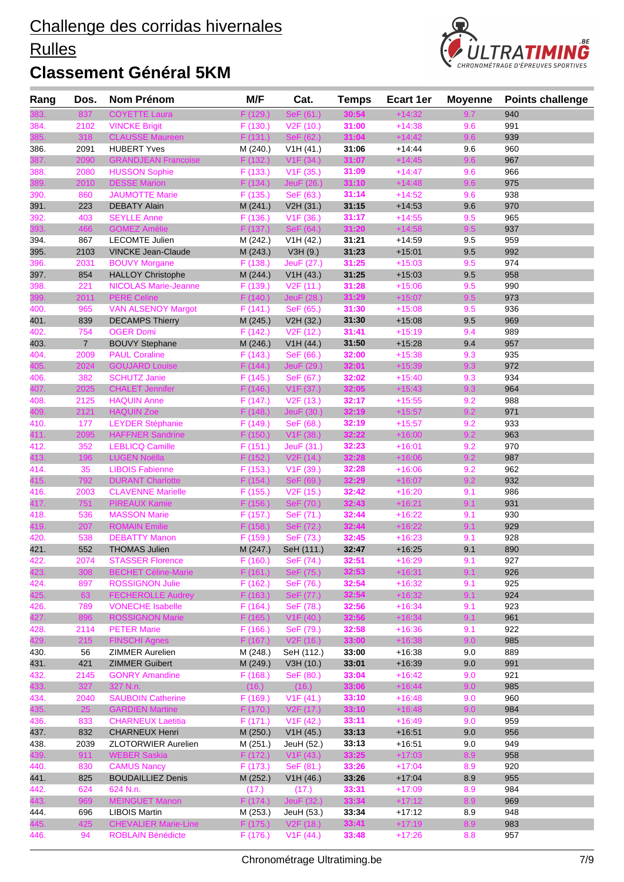# Rulles



| Rang        | Dos.           | <b>Nom Prénom</b>                               | M/F                 | Cat.                   | <b>Temps</b>   | <b>Ecart 1er</b>     | <b>Moyenne</b> | <b>Points challenge</b> |
|-------------|----------------|-------------------------------------------------|---------------------|------------------------|----------------|----------------------|----------------|-------------------------|
|             | 837            | <b>COYETTE Laura</b>                            | F (129.)            | SeF (61.)              | 30:54          | +14:32               | 9.7            | 940                     |
| 384.        | 2102           | <b>VINCKE Brigit</b>                            | F(130.)             | V2F(10.)               | 31:00          | $+14:38$             | 9.6            | 991                     |
|             | 318            | <b>CLAUSSE Maureen</b>                          | F(131.)             | SeF (62.)              | 31:04          | $+14:42$             | 9.6            | 939                     |
| 386.        | 2091           | <b>HUBERT Yves</b>                              | M (240.)            | V1H(41.)               | 31:06          | $+14.44$             | 9.6            | 960                     |
|             | 2090           | <b>GRANDJEAN Francoise</b>                      | F(132.)             | V <sub>1</sub> F (34.) | 31:07          | $+14:45$             | 9.6            | 967                     |
| 388.        | 2080           | <b>HUSSON Sophie</b>                            | F(133.)             | V <sub>1</sub> F (35.) | 31:09          | $+14:47$             | 9.6            | 966                     |
| 389.        | 2010           | <b>DESSE Marion</b>                             | F(134.)             | JeuF (26.)             | 31:10          | $+14:48$             | 9.6            | 975                     |
| 390.        | 860            | <b>JAUMOTTE Marie</b>                           | F(135.)             | SeF (63.)              | 31:14          | $+14:52$             | 9.6            | 938                     |
| 391.        | 223            | <b>DEBATY Alain</b>                             | M (241.)            | V2H (31.)              | 31:15          | $+14:53$             | 9.6            | 970                     |
| 392.        | 403            | <b>SEYLLE Anne</b>                              | F(136.)             | V1F(36.)               | 31:17          | $+14:55$             | 9.5            | 965                     |
|             | 466            | <b>GOMEZ Amélie</b>                             | F(137.)             | SeF (64.)              | 31:20          | $+14:58$             | 9.5            | 937                     |
| 394.        | 867            | <b>LECOMTE Julien</b>                           | M (242.)            | V1H (42.)              | 31:21          | $+14:59$             | 9.5            | 959                     |
| 395.        | 2103           | <b>VINCKE Jean-Claude</b>                       | M (243.)            | V3H (9.)               | 31:23          | $+15:01$             | 9.5            | 992                     |
| 396.        | 2031           | <b>BOUVY Morgane</b>                            | F(138.)             | JeuF (27.)             | 31:25          | $+15:03$             | 9.5            | 974                     |
| 397.        | 854            | <b>HALLOY Christophe</b>                        | M (244.)            | V1H (43.)              | 31:25          | $+15:03$             | 9.5            | 958                     |
| 398.        | 221            | <b>NICOLAS Marie-Jeanne</b>                     | F(139.)             | V2F(11.)               | 31:28          | $+15:06$             | 9.5            | 990                     |
| 399.        | 2011           | <b>PERE Celine</b>                              | F(140.)             | JeuF (28.)             | 31:29          | $+15:07$             | 9.5            | 973                     |
| 400.        | 965            | <b>VAN ALSENOY Margot</b>                       | F(141.)             | SeF (65.)              | 31:30          | $+15:08$             | 9.5            | 936                     |
| 401.        | 839            | <b>DECAMPS Thierry</b>                          | M (245.)            | V2H (32.)              | 31:30          | $+15:08$             | 9.5            | 969                     |
| 402.        | 754            | <b>OGER Domi</b>                                | F(142.)             | V2F(12.)               | 31:41          | $+15:19$             | 9.4            | 989                     |
| 403.        | $\overline{7}$ | <b>BOUVY Stephane</b>                           | M (246.)            | V1H (44.)              | 31:50          | $+15:28$             | 9.4            | 957                     |
| 404.        | 2009           | <b>PAUL Coraline</b>                            | F(143.)             | SeF (66.)              | 32:00          | $+15:38$             | 9.3            | 935                     |
| 405.        | 2024           | <b>GOUJARD Louise</b>                           | F(144)              | JeuF (29.)             | 32:01          | $+15:39$             | 9.3            | 972                     |
| 406.        | 382            | <b>SCHUTZ Janie</b>                             | F(145.)             | SeF (67.)              | 32:02          | $+15:40$             | 9.3            | 934                     |
| 407.        | 2025           | <b>CHALET Jennifer</b>                          | F(146.)             | V1F(37.)               | 32:05          | $+15:43$             | 9.3            | 964                     |
| 408.        | 2125           | <b>HAQUIN Anne</b>                              | F(147.)             | V <sub>2</sub> F (13.) | 32:17          | $+15:55$             | 9.2            | 988                     |
| 409.        | 2121           | <b>HAQUIN Zoe</b>                               | F(148.)             | JeuF (30.)             | 32:19          | $+15:57$             | 9.2            | 971                     |
| 410.        | 177            | <b>LEYDER Stéphanie</b>                         | F(149.)             | SeF (68.)              | 32:19          | $+15:57$             | 9.2            | 933                     |
| 411.        | 2095           | <b>HAFFNER Sandrine</b>                         | F(150.)             | V1F (38.)              | 32:22          | $+16:00$             | 9.2            | 963                     |
| 412.        | 352            | <b>LEBLICQ Camille</b>                          | F(151.)             | JeuF (31.)             | 32:23          | $+16:01$             | 9.2            | 970                     |
| 413.        | 196            | <b>LUGEN Noëlla</b>                             | F(152.)             | V2F(14.)               | 32:28          | $+16:06$             | 9.2            | 987                     |
| 414.        | 35             | <b>LIBOIS Fabienne</b>                          | F(153.)             | V1F(39.)               | 32:28          | $+16:06$             | 9.2            | 962                     |
| 415.        | 792            | <b>DURANT Charlotte</b>                         | F(154.)             | SeF (69.)              | 32:29          | $+16:07$             | 9.2            | 932                     |
| 416.        | 2003           | <b>CLAVENNE Marielle</b>                        | F(155.)             | V <sub>2</sub> F (15.) | 32:42          | $+16:20$             | 9.1            | 986                     |
| 417.        | 751            | <b>PIREAUX Kamie</b>                            | F(156.)             | SeF (70.)              | 32:43          | $+16:21$             | 9.1            | 931                     |
| 418.        | 536            | <b>MASSON Marie</b>                             | F(157.)             | SeF (71.)              | 32:44          | $+16:22$             | 9.1            | 930                     |
| 419.        | 207            | <b>ROMAIN Emilie</b>                            | F(158.)             | SeF (72.)              | 32:44          | $+16:22$             | 9.1            | 929                     |
| 420.        | 538            | <b>DEBATTY Manon</b>                            | F(159.)             | SeF (73.)              | 32:45          | $+16:23$             | 9.1            | 928                     |
| 421.        | 552            | <b>THOMAS Julien</b><br><b>STASSER Florence</b> | M (247.)            | SeH (111.)             | 32:47<br>32:51 | $+16:25$             | 9.1            | 890                     |
| 422<br>423. | 2074<br>308    | <b>BECHET Céline-Marie</b>                      | F (160.)<br>F(161.) | SeF (74.)<br>SeF (75.) | 32:53          | $+16:29$<br>$+16:31$ | 9.1<br>9.1     | 927<br>926              |
| 424.        | 897            | <b>ROSSIGNON Julie</b>                          | F(162.)             | SeF (76.)              | 32:54          | $+16:32$             | 9.1            | 925                     |
| 425.        | 63             | <b>FECHEROLLE Audrey</b>                        | F(163.)             | SeF (77.)              | 32:54          | $+16:32$             | 9.1            | 924                     |
| 426.        | 789            | <b>VONECHE Isabelle</b>                         | F(164.)             | SeF (78.)              | 32:56          | $+16:34$             | 9.1            | 923                     |
| 427.        | 896            | <b>ROSSIGNON Marie</b>                          | F(165.)             | V1F(40.)               | 32:56          | $+16:34$             | 9.1            | 961                     |
| 428.        | 2114           | <b>PETER Marie</b>                              | F(166.)             | SeF (79.)              | 32:58          | $+16:36$             | 9.1            | 922                     |
| 429.        | 215            | <b>FINSCHI Agnes</b>                            | F(167.)             | V2F(16.)               | 33:00          | $+16:38$             | 9.0            | 985                     |
| 430.        | 56             | ZIMMER Aurelien                                 | M (248.)            | SeH (112.)             | 33:00          | $+16:38$             | 9.0            | 889                     |
| 431.        | 421            | <b>ZIMMER Guibert</b>                           | M (249.)            | V3H (10.)              | 33:01          | $+16:39$             | 9.0            | 991                     |
| 432.        | 2145           | <b>GONRY Amandine</b>                           | F(168.)             | SeF (80.)              | 33:04          | $+16:42$             | 9.0            | 921                     |
| 433.        | 327            | 327 N.n.                                        | (16.)               | (16.)                  | 33:06          | $+16:44$             | 9.0            | 985                     |
| 434.        | 2040           | <b>SAUBOIN Catherine</b>                        | F(169.)             | V1F(41.)               | 33:10          | $+16:48$             | 9.0            | 960                     |
| 435.        | 25             | <b>GARDIEN Martine</b>                          | F(170.)             | V2F (17.)              | 33:10          | $+16:48$             | 9.0            | 984                     |
| 436.        | 833            | <b>CHARNEUX Laetitia</b>                        | F(171.)             | V1F(42.)               | 33:11          | $+16:49$             | 9.0            | 959                     |
| 437.        | 832            | <b>CHARNEUX Henri</b>                           | M (250.)            | V1H (45.)              | 33:13          | $+16.51$             | 9.0            | 956                     |
| 438.        | 2039           | <b>ZLOTORWIER Aurelien</b>                      | M (251.)            | JeuH (52.)             | 33:13          | $+16.51$             | 9.0            | 949                     |
| 439.        | 911            | <b>WEBER Saskia</b>                             | F(172.)             | V1F(43.)               | 33:25          | $+17:03$             | 8.9            | 958                     |
| 440.        | 830            | <b>CAMUS Nancy</b>                              | F(173.)             | SeF (81.)              | 33:26          | $+17:04$             | 8.9            | 920                     |
| 441.        | 825            | <b>BOUDAILLIEZ Denis</b>                        | M (252.)            | V1H (46.)              | 33:26          | $+17:04$             | 8.9            | 955                     |
| 442.        | 624            | 624 N.n.                                        | (17.)               | (17.)                  | 33:31          | $+17:09$             | 8.9            | 984                     |
| 443.        | 969            | <b>MEINGUET Manon</b>                           | F (174.)            | JeuF (32.)             | 33:34          | $+17:12$             | 8.9            | 969                     |
| 444.        | 696            | <b>LIBOIS Martin</b>                            | M (253.)            | JeuH (53.)             | 33:34          | $+17:12$             | 8.9            | 948                     |
| 445.        | 425            | <b>CHEVALIER Marie-Line</b>                     | F(175.)             | V2F(18.)               | 33:41          | $+17:19$             | 8.9            | 983                     |
| 446.        | 94             | <b>ROBLAIN Bénédicte</b>                        | F(176.)             | V1F(44)                | 33:48          | $+17:26$             | 8.8            | 957                     |
|             |                |                                                 |                     |                        |                |                      |                |                         |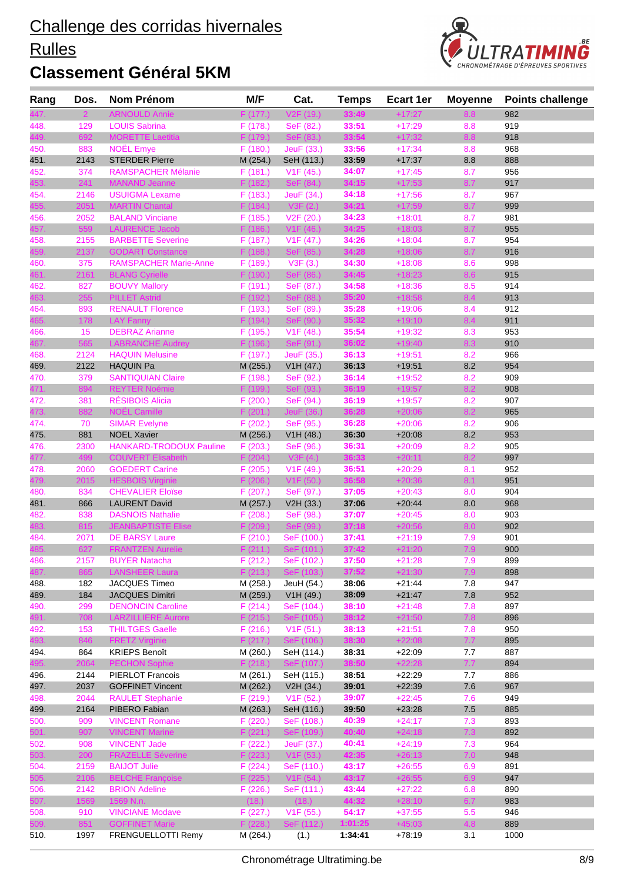# **Rulles**



| Rang | Dos. | Nom Prénom                   | M/F      | Cat.                   | <b>Temps</b> | Ecart 1er | <b>Moyenne</b> | <b>Points challenge</b> |
|------|------|------------------------------|----------|------------------------|--------------|-----------|----------------|-------------------------|
|      |      | <b>ARNOULD Annie</b>         | F (177.) | V <sub>2</sub> F (19.) | 33:49        | +17:27    | 8.8            | 982                     |
| 448. | 129  | <b>LOUIS Sabrina</b>         | F(178.)  | SeF (82.)              | 33:51        | $+17:29$  | 8.8            | 919                     |
| 449. | 692  | <b>MORETTE Laetitia</b>      | F(179.)  | SeF (83.)              | 33:54        | $+17:32$  | 8.8            | 918                     |
| 450. | 883  | <b>NOËL Emye</b>             | F(180.)  | JeuF (33.)             | 33:56        | $+17:34$  | 8.8            | 968                     |
| 451. | 2143 | <b>STERDER Pierre</b>        | M (254.) | SeH (113.)             | 33:59        | $+17:37$  | 8.8            | 888                     |
| 452. | 374  | <b>RAMSPACHER Mélanie</b>    | F(181.)  | V1F(45.)               | 34:07        | $+17:45$  | 8.7            | 956                     |
| 453. | 241  | <b>MANAND Jeanne</b>         | F(182.)  | SeF (84.)              | 34:15        | $+17:53$  | 8.7            | 917                     |
| 454. | 2146 | <b>USUIGMA Lexame</b>        | F(183.)  | JeuF (34.)             | 34:18        | $+17:56$  | 8.7            | 967                     |
| 455. | 2051 | <b>MARTIN Chantal</b>        | F(184.)  | V3F(2.)                | 34:21        | $+17:59$  | 8.7            | 999                     |
| 456. | 2052 | <b>BALAND Vinciane</b>       | F(185.)  | V2F (20.)              | 34:23        | $+18:01$  | 8.7            | 981                     |
| 457. | 559  | <b>LAURENCE Jacob</b>        | F(186.)  | V1F(46.)               | 34:25        | $+18:03$  | 8.7            | 955                     |
| 458. | 2155 | <b>BARBETTE Severine</b>     | F(187.)  | V1F (47.)              | 34:26        | $+18:04$  | 8.7            | 954                     |
| 459. | 2137 | <b>GODART Constance</b>      | F(188.)  | SeF (85.)              | 34:28        | $+18:06$  | 8.7            | 916                     |
| 460. | 375  | <b>RAMSPACHER Marie-Anne</b> | F (189.) | V3F(3.)                | 34:30        | $+18:08$  | 8.6            | 998                     |
| 461. | 2161 | <b>BLANG Cyrielle</b>        | F(190.)  | SeF (86.)              | 34:45        | $+18:23$  | 8.6            | 915                     |
| 462. | 827  | <b>BOUVY Mallory</b>         | F (191.) | SeF (87.)              | 34:58        | $+18:36$  | 8.5            | 914                     |
| 463. | 255  | <b>PILLET Astrid</b>         | F (192.) | SeF (88.)              | 35:20        | $+18:58$  | 8.4            | 913                     |
| 464. | 893  | <b>RENAULT Florence</b>      | F (193.) | SeF (89.)              | 35:28        | $+19:06$  | 8.4            | 912                     |
| 465. | 178  | <b>LAY Fanny</b>             | F(194.)  | SeF (90.)              | 35:32        | $+19:10$  | 8.4            | 911                     |
| 466. | 15   | <b>DEBRAZ Arianne</b>        | F (195.) | V1F(48.)               | 35:54        | $+19:32$  | 8.3            | 953                     |
| 467. | 565  | <b>LABRANCHE Audrey</b>      | F (196.) | SeF (91.)              | 36:02        | $+19:40$  | 8.3            | 910                     |
| 468. | 2124 | <b>HAQUIN Melusine</b>       | F (197.) | JeuF (35.)             | 36:13        | $+19:51$  | 8.2            | 966                     |
| 469. | 2122 | <b>HAQUIN Pa</b>             | M (255.) | V1H (47.)              | 36:13        | $+19:51$  | 8.2            | 954                     |
| 470. | 379  | <b>SANTIQUIAN Claire</b>     | F (198.) | SeF (92.)              | 36:14        | $+19:52$  | 8.2            | 909                     |
| 471. | 894  | <b>REYTER Noémie</b>         | F (199.) | SeF (93.)              | 36:19        | $+19:57$  | 8.2            | 908                     |
| 472. | 381  | <b>RÉSIBOIS Alicia</b>       | F(200.)  | SeF (94.)              | 36:19        | $+19:57$  | 8.2            | 907                     |
| 473. | 882  | NOËL Camille                 | F(201.)  | JeuF (36.)             | 36:28        | $+20:06$  | 8.2            | 965                     |
| 474. | 70   | <b>SIMAR Evelyne</b>         | F(202.)  | SeF (95.)              | 36:28        | $+20:06$  | 8.2            | 906                     |
| 475. | 881  | <b>NOEL Xavier</b>           | M (256.) | V1H (48.)              | 36:30        | $+20:08$  | 8.2            | 953                     |
| 476. | 2300 | HANKARD-TRODOUX Pauline      | F(203.)  | SeF (96.)              | 36:31        | $+20:09$  | 8.2            | 905                     |
| 477. | 499  | <b>COUVERT Elisabeth</b>     | F(204.)  | V3F(4.)                | 36:33        | $+20:11$  | 8.2            | 997                     |
| 478. | 2060 | <b>GOEDERT Carine</b>        | F(205.)  | V <sub>1</sub> F (49.) | 36:51        | $+20:29$  | 8.1            | 952                     |
| 479. | 2015 | <b>HESBOIS Virginie</b>      | F(206.)  | V1F(50.)               | 36:58        | $+20:36$  | 8.1            | 951                     |
| 480. | 834  | <b>CHEVALIER Eloïse</b>      | F(207.)  | SeF (97.)              | 37:05        | $+20:43$  | 8.0            | 904                     |
| 481. | 866  | <b>LAURENT David</b>         | M (257.) | V2H (33.)              | 37:06        | $+20:44$  | 8.0            | 968                     |
| 482. | 838  | <b>DASNOIS Nathalie</b>      | F(208.)  | SeF (98.)              | 37:07        | $+20:45$  | 8.0            | 903                     |
| 483. | 815  | <b>JEANBAPTISTE Elise</b>    | F(209.)  | SeF (99.)              | 37:18        | $+20:56$  | 8.0            | 902                     |
| 484. | 2071 | <b>DE BARSY Laure</b>        | F(210.)  | SeF (100.)             | 37:41        | $+21:19$  | 7.9            | 901                     |
| 485. | 627  | <b>FRANTZEN Aurelie</b>      | F(211.)  | SeF (101.)             | 37:42        | $+21:20$  | 7.9            | 900                     |
| 486. | 2157 | <b>BUYER Natacha</b>         | F (212.) | SeF (102.)             | 37:50        | $+21:28$  | 7.9            | 899                     |
| 487. | 865  | <b>LANSHEER Laura</b>        | F(213.)  | SeF (103.)             | 37:52        | $+21:30$  | 7.9            | 898                     |
| 488. | 182  | JACQUES Timeo                | M (258.) | JeuH (54.)             | 38:06        | $+21:44$  | 7.8            | 947                     |
| 489. | 184  | <b>JACQUES Dimitri</b>       | M (259.) | V1H (49.)              | 38:09        | $+21:47$  | 7.8            | 952                     |
| 490. | 299  | <b>DENONCIN Caroline</b>     | F(214.)  | SeF (104.)             | 38:10        | $+21:48$  | 7.8            | 897                     |
| 491. | 708  | <b>LARZILLIERE Aurore</b>    | F(215.)  | SeF (105.)             | 38:12        | $+21:50$  | 7.8            | 896                     |
| 492. | 153  | <b>THILTGES Gaelle</b>       | F(216.)  | V1F(51.)               | 38:13        | $+21:51$  | 7.8            | 950                     |
| 493. | 846  | <b>FRETZ Virginie</b>        | F(217.)  | SeF (106.)             | 38:30        | $+22:08$  | 7.7            | 895                     |
| 494. | 864  | <b>KRIEPS Benoît</b>         | M (260.) | SeH (114.)             | 38:31        | $+22:09$  | 7.7            | 887                     |
|      | 2064 | <b>PECHON Sophie</b>         | F(218.)  | SeF (107.)             | 38:50        | $+22:28$  | 7.7            | 894                     |
| 496. | 2144 | <b>PIERLOT Francois</b>      | M (261.) | SeH (115.)             | 38:51        | $+22:29$  | 7.7            | 886                     |
| 497. | 2037 | <b>GOFFINET Vincent</b>      | M (262.) | V2H (34.)              | 39:01        | $+22:39$  | 7.6            | 967                     |
| 498. | 2044 | <b>RAULET Stephanie</b>      | F (219.) | V1F(52.)               | 39:07        | $+22:45$  | 7.6            | 949                     |
| 499. | 2164 | PIBERO Fabian                | M (263.) | SeH (116.)             | 39:50        | $+23:28$  | 7.5            | 885                     |
| 500. | 909  | <b>VINCENT Romane</b>        | F (220.) | SeF (108.)             | 40:39        | $+24:17$  | 7.3            | 893                     |
| 501. | 907  | <b>VINCENT Marine</b>        | F(221.)  | SeF (109.)             | 40:40        | $+24:18$  | 7.3            | 892                     |
| 502. | 908  | <b>VINCENT Jade</b>          | F (222.) | JeuF (37.)             | 40:41        | $+24:19$  | 7.3            | 964                     |
| 503. | 200  | <b>FRAZELLE Séverine</b>     | F(223.)  | V1F(53.)               | 42:35        | $+26:13$  | 7.0            | 948                     |
| 504. | 2159 | <b>BAIJOT Julie</b>          | F(224.)  | SeF (110.)             | 43:17        | $+26:55$  | 6.9            | 891                     |
| 505. | 2106 | <b>BELCHE Françoise</b>      | F(225.)  | V1F(54.)               | 43:17        | $+26:55$  | 6.9            | 947                     |
| 506. | 2142 | <b>BRION Adeline</b>         | F(226.)  | SeF (111.)             | 43:44        | $+27:22$  | 6.8            | 890                     |
| 507. | 1569 | 1569 N.n.                    | (18.)    | (18.)                  | 44:32        | $+28:10$  | 6.7            | 983                     |
| 508. | 910  | <b>VINCIANE Modave</b>       | F(227.)  | V1F(55.)               | 54:17        | $+37:55$  | 5.5            | 946                     |
| 509. | 851  | <b>GOFFINET Marie</b>        | F(228.)  | SeF (112.)             | 1:01:25      | $+45:03$  | 4.8            | 889                     |
| 510. | 1997 | FRENGUELLOTTI Remy           | M (264.) | (1.)                   | 1:34:41      | $+78:19$  | 3.1            | 1000                    |
|      |      |                              |          |                        |              |           |                |                         |